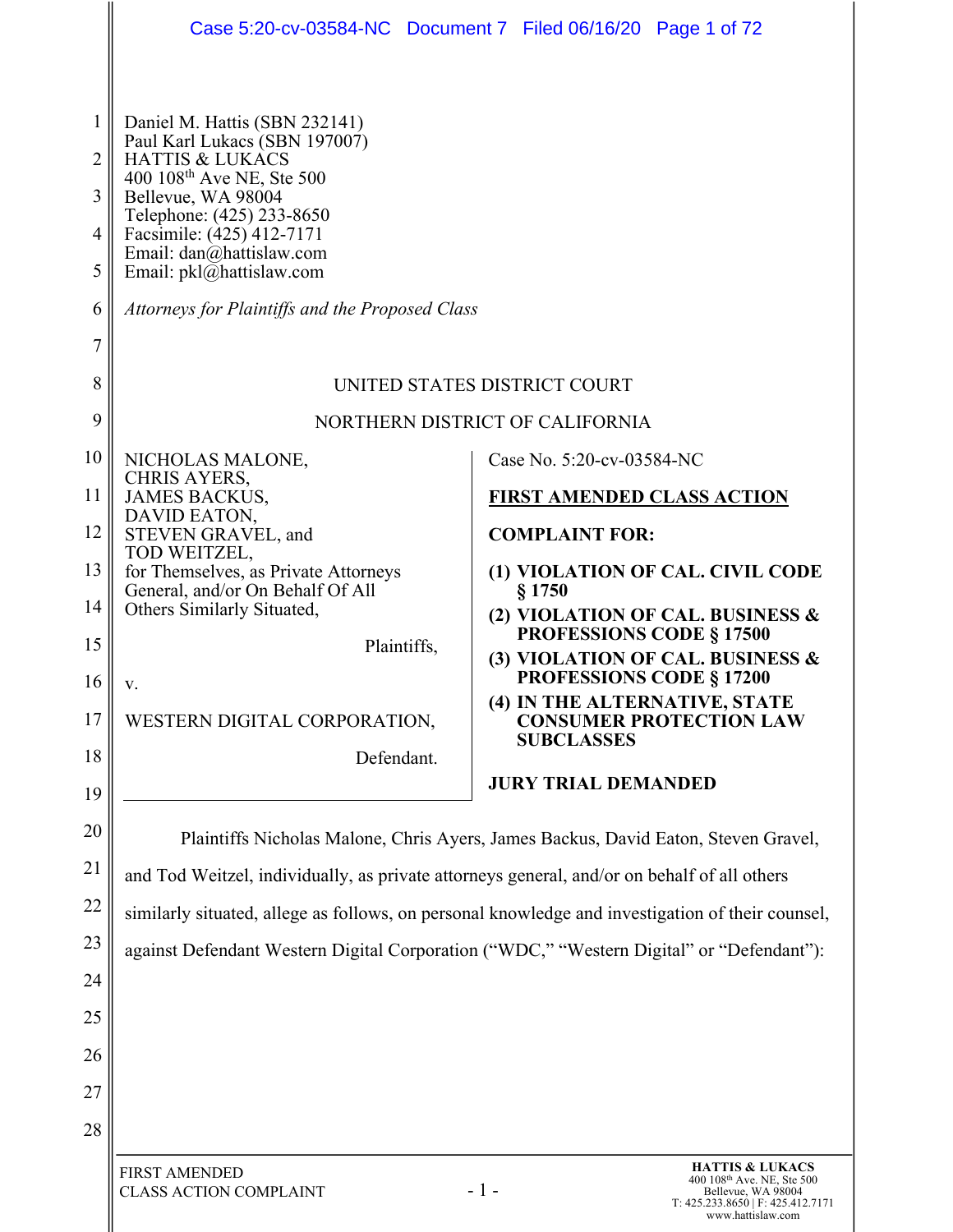|                                                           |                                                                                                                                                                                                                                                                                                                                  | Case 5:20-cv-03584-NC  Document 7  Filed 06/16/20  Page 1 of 72                                     |
|-----------------------------------------------------------|----------------------------------------------------------------------------------------------------------------------------------------------------------------------------------------------------------------------------------------------------------------------------------------------------------------------------------|-----------------------------------------------------------------------------------------------------|
| 1<br>$\overline{2}$<br>3<br>4<br>5<br>6<br>$\overline{7}$ | Daniel M. Hattis (SBN 232141)<br>Paul Karl Lukacs (SBN 197007)<br><b>HATTIS &amp; LUKACS</b><br>400 108 <sup>th</sup> Ave NE, Ste 500<br>Bellevue, WA 98004<br>Telephone: (425) 233-8650<br>Facsimile: (425) 412-7171<br>Email: dan@hattislaw.com<br>Email: pkl@hattislaw.com<br>Attorneys for Plaintiffs and the Proposed Class |                                                                                                     |
| 8                                                         | UNITED STATES DISTRICT COURT                                                                                                                                                                                                                                                                                                     |                                                                                                     |
| 9                                                         | NORTHERN DISTRICT OF CALIFORNIA                                                                                                                                                                                                                                                                                                  |                                                                                                     |
| 10                                                        | NICHOLAS MALONE,                                                                                                                                                                                                                                                                                                                 | Case No. 5:20-cv-03584-NC                                                                           |
| 11                                                        | <b>CHRIS AYERS,</b><br><b>JAMES BACKUS,</b>                                                                                                                                                                                                                                                                                      | <b>FIRST AMENDED CLASS ACTION</b>                                                                   |
| 12                                                        | DAVID EATON,<br>STEVEN GRAVEL, and                                                                                                                                                                                                                                                                                               | <b>COMPLAINT FOR:</b>                                                                               |
| 13                                                        | TOD WEITZEL,<br>for Themselves, as Private Attorneys                                                                                                                                                                                                                                                                             | (1) VIOLATION OF CAL. CIVIL CODE                                                                    |
| 14                                                        | General, and/or On Behalf Of All<br>Others Similarly Situated,                                                                                                                                                                                                                                                                   | § 1750<br>(2) VIOLATION OF CAL. BUSINESS &                                                          |
| 15                                                        | Plaintiffs,                                                                                                                                                                                                                                                                                                                      | <b>PROFESSIONS CODE § 17500</b><br>(3) VIOLATION OF CAL. BUSINESS &                                 |
| 16                                                        | v.                                                                                                                                                                                                                                                                                                                               | <b>PROFESSIONS CODE § 17200</b><br>(4) IN THE ALTERNATIVE, STATE                                    |
| 17                                                        | WESTERN DIGITAL CORPORATION,                                                                                                                                                                                                                                                                                                     | <b>CONSUMER PROTECTION LAW</b><br><b>SUBCLASSES</b>                                                 |
| 18                                                        | Defendant.                                                                                                                                                                                                                                                                                                                       | <b>JURY TRIAL DEMANDED</b>                                                                          |
| 19                                                        |                                                                                                                                                                                                                                                                                                                                  |                                                                                                     |
| 20                                                        | Plaintiffs Nicholas Malone, Chris Ayers, James Backus, David Eaton, Steven Gravel,                                                                                                                                                                                                                                               |                                                                                                     |
| 21<br>22                                                  | and Tod Weitzel, individually, as private attorneys general, and/or on behalf of all others                                                                                                                                                                                                                                      |                                                                                                     |
| 23                                                        | similarly situated, allege as follows, on personal knowledge and investigation of their counsel,                                                                                                                                                                                                                                 |                                                                                                     |
| 24                                                        |                                                                                                                                                                                                                                                                                                                                  | against Defendant Western Digital Corporation ("WDC," "Western Digital" or "Defendant"):            |
| 25                                                        |                                                                                                                                                                                                                                                                                                                                  |                                                                                                     |
| 26                                                        |                                                                                                                                                                                                                                                                                                                                  |                                                                                                     |
| 27                                                        |                                                                                                                                                                                                                                                                                                                                  |                                                                                                     |
| 28                                                        |                                                                                                                                                                                                                                                                                                                                  |                                                                                                     |
|                                                           | <b>FIRST AMENDED</b><br><b>CLASS ACTION COMPLAINT</b>                                                                                                                                                                                                                                                                            | <b>HATTIS &amp; LUKACS</b><br>400 108 <sup>th</sup> Ave. NE, Ste 500<br>$-1-$<br>Bellevue, WA 98004 |

I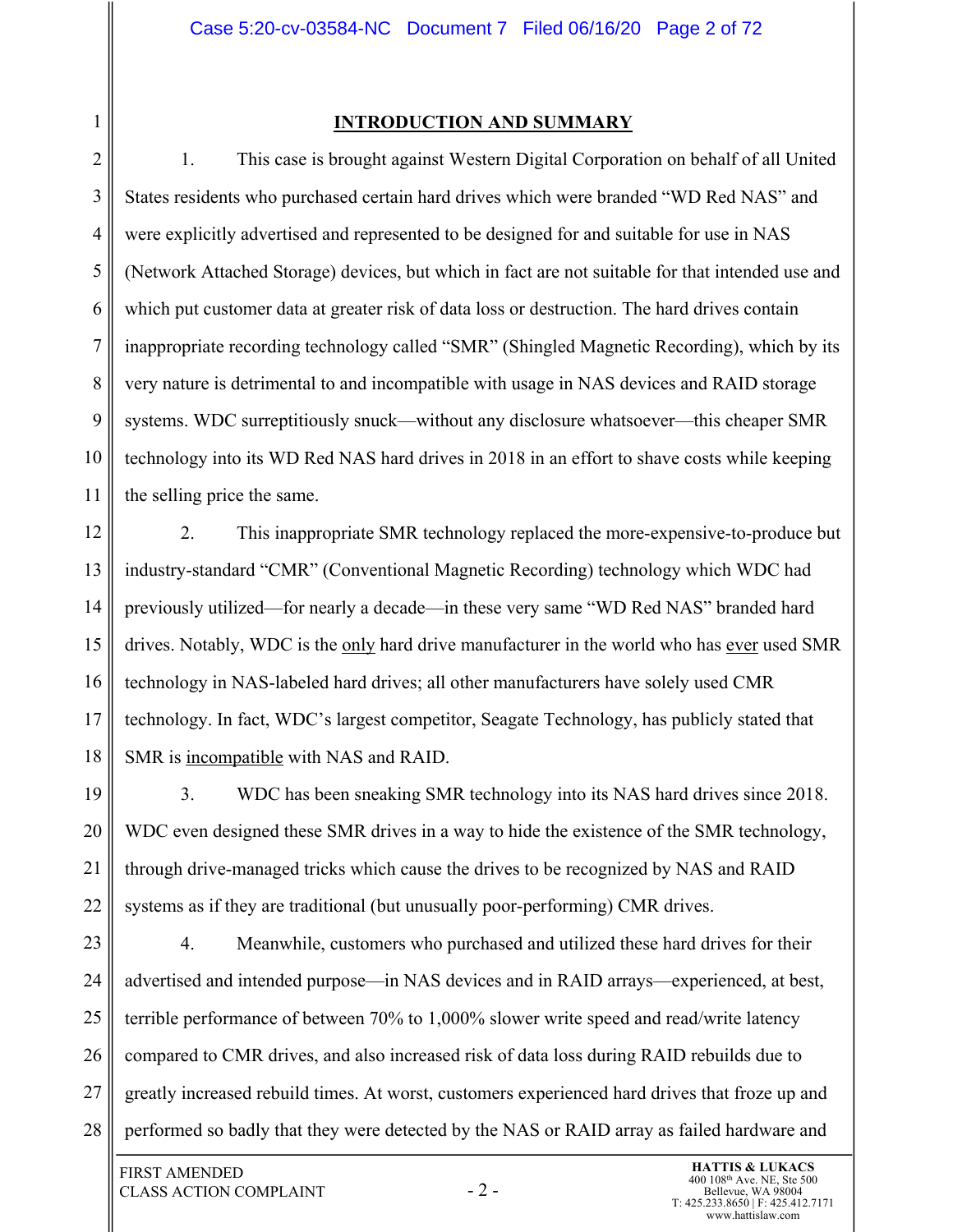#### **INTRODUCTION AND SUMMARY**

2 3 4 5 6 7 8 9 10 11 1. This case is brought against Western Digital Corporation on behalf of all United States residents who purchased certain hard drives which were branded "WD Red NAS" and were explicitly advertised and represented to be designed for and suitable for use in NAS (Network Attached Storage) devices, but which in fact are not suitable for that intended use and which put customer data at greater risk of data loss or destruction. The hard drives contain inappropriate recording technology called "SMR" (Shingled Magnetic Recording), which by its very nature is detrimental to and incompatible with usage in NAS devices and RAID storage systems. WDC surreptitiously snuck—without any disclosure whatsoever—this cheaper SMR technology into its WD Red NAS hard drives in 2018 in an effort to shave costs while keeping the selling price the same.

12 13 14 15 16 17 18 2. This inappropriate SMR technology replaced the more-expensive-to-produce but industry-standard "CMR" (Conventional Magnetic Recording) technology which WDC had previously utilized—for nearly a decade—in these very same "WD Red NAS" branded hard drives. Notably, WDC is the only hard drive manufacturer in the world who has <u>ever</u> used SMR technology in NAS-labeled hard drives; all other manufacturers have solely used CMR technology. In fact, WDC's largest competitor, Seagate Technology, has publicly stated that SMR is incompatible with NAS and RAID.

19 20 21 22 3. WDC has been sneaking SMR technology into its NAS hard drives since 2018. WDC even designed these SMR drives in a way to hide the existence of the SMR technology, through drive-managed tricks which cause the drives to be recognized by NAS and RAID systems as if they are traditional (but unusually poor-performing) CMR drives.

23 24 25 26 27 28 4. Meanwhile, customers who purchased and utilized these hard drives for their advertised and intended purpose—in NAS devices and in RAID arrays—experienced, at best, terrible performance of between 70% to 1,000% slower write speed and read/write latency compared to CMR drives, and also increased risk of data loss during RAID rebuilds due to greatly increased rebuild times. At worst, customers experienced hard drives that froze up and performed so badly that they were detected by the NAS or RAID array as failed hardware and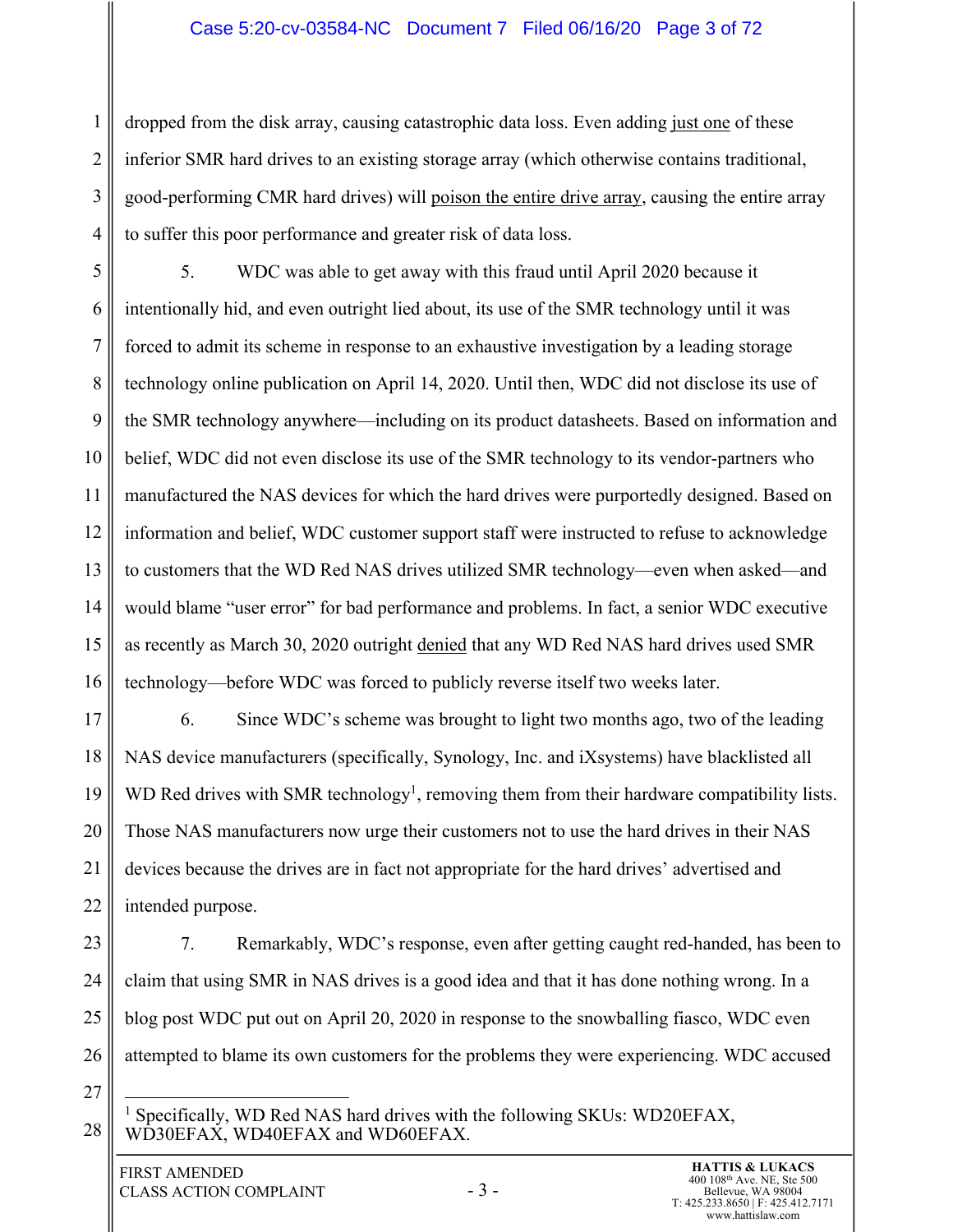### Case 5:20-cv-03584-NC Document 7 Filed 06/16/20 Page 3 of 72

3 4 dropped from the disk array, causing catastrophic data loss. Even adding just one of these inferior SMR hard drives to an existing storage array (which otherwise contains traditional, good-performing CMR hard drives) will poison the entire drive array, causing the entire array to suffer this poor performance and greater risk of data loss.

5 6 7 8 9 10 11 12 13 14 15 16 5. WDC was able to get away with this fraud until April 2020 because it intentionally hid, and even outright lied about, its use of the SMR technology until it was forced to admit its scheme in response to an exhaustive investigation by a leading storage technology online publication on April 14, 2020. Until then, WDC did not disclose its use of the SMR technology anywhere—including on its product datasheets. Based on information and belief, WDC did not even disclose its use of the SMR technology to its vendor-partners who manufactured the NAS devices for which the hard drives were purportedly designed. Based on information and belief, WDC customer support staff were instructed to refuse to acknowledge to customers that the WD Red NAS drives utilized SMR technology—even when asked—and would blame "user error" for bad performance and problems. In fact, a senior WDC executive as recently as March 30, 2020 outright denied that any WD Red NAS hard drives used SMR technology—before WDC was forced to publicly reverse itself two weeks later.

17 18 19 20 21 22 6. Since WDC's scheme was brought to light two months ago, two of the leading NAS device manufacturers (specifically, Synology, Inc. and iXsystems) have blacklisted all WD Red drives with SMR technology<sup>1</sup>, removing them from their hardware compatibility lists. Those NAS manufacturers now urge their customers not to use the hard drives in their NAS devices because the drives are in fact not appropriate for the hard drives' advertised and intended purpose.

23 24 25 26 7. Remarkably, WDC's response, even after getting caught red-handed, has been to claim that using SMR in NAS drives is a good idea and that it has done nothing wrong. In a blog post WDC put out on April 20, 2020 in response to the snowballing fiasco, WDC even attempted to blame its own customers for the problems they were experiencing. WDC accused

27

28

1

<sup>&</sup>lt;sup>1</sup> Specifically, WD Red NAS hard drives with the following SKUs: WD20EFAX, WD30EFAX, WD40EFAX and WD60EFAX.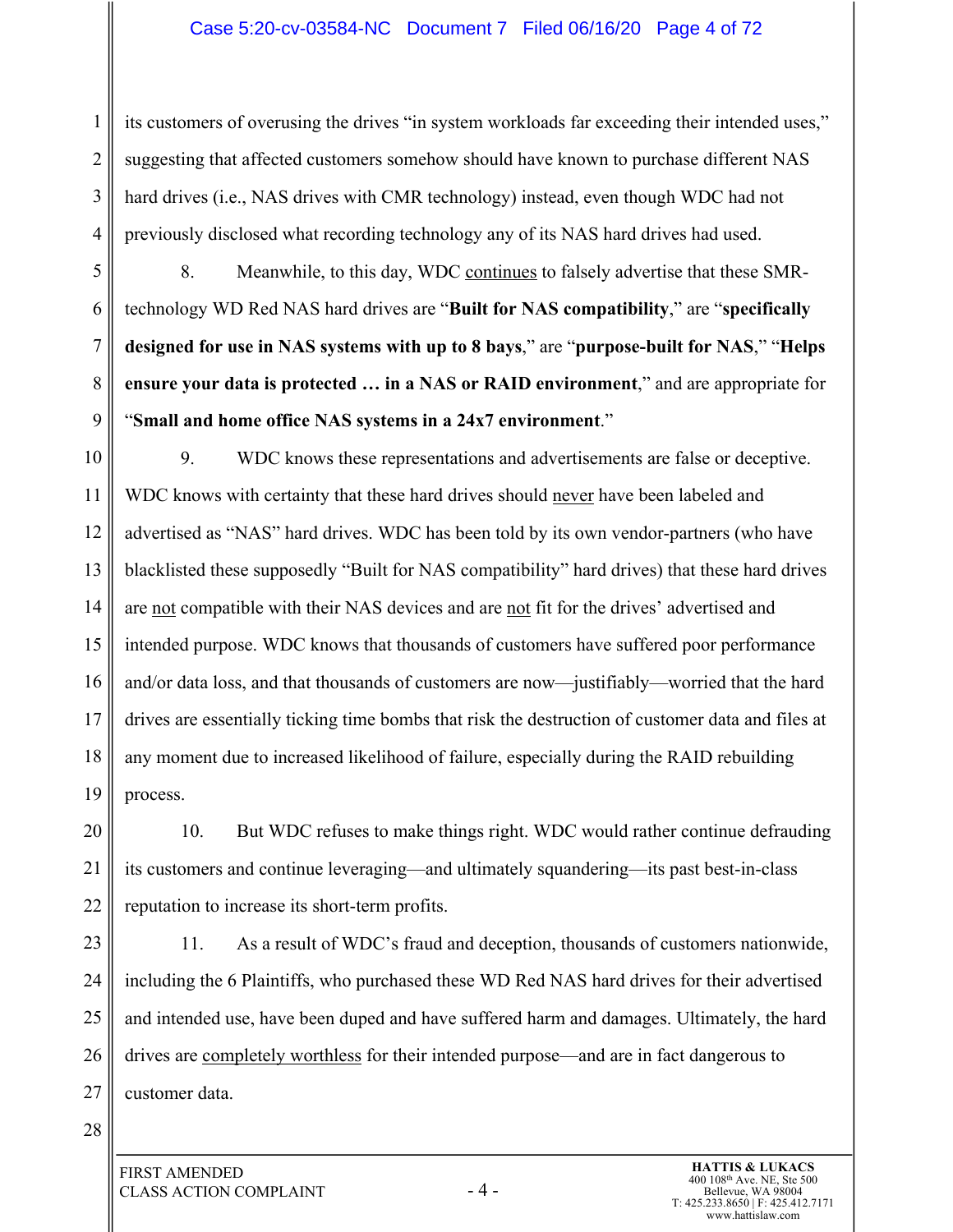#### Case 5:20-cv-03584-NC Document 7 Filed 06/16/20 Page 4 of 72

3 4 its customers of overusing the drives "in system workloads far exceeding their intended uses," suggesting that affected customers somehow should have known to purchase different NAS hard drives (i.e., NAS drives with CMR technology) instead, even though WDC had not previously disclosed what recording technology any of its NAS hard drives had used.

5 6 7 8 9 8. Meanwhile, to this day, WDC continues to falsely advertise that these SMRtechnology WD Red NAS hard drives are "**Built for NAS compatibility**," are "**specifically designed for use in NAS systems with up to 8 bays**," are "**purpose-built for NAS**," "**Helps ensure your data is protected … in a NAS or RAID environment**," and are appropriate for "**Small and home office NAS systems in a 24x7 environment**."

10 11 12 13 14 15 16 17 18 19 9. WDC knows these representations and advertisements are false or deceptive. WDC knows with certainty that these hard drives should never have been labeled and advertised as "NAS" hard drives. WDC has been told by its own vendor-partners (who have blacklisted these supposedly "Built for NAS compatibility" hard drives) that these hard drives are not compatible with their NAS devices and are not fit for the drives' advertised and intended purpose. WDC knows that thousands of customers have suffered poor performance and/or data loss, and that thousands of customers are now—justifiably—worried that the hard drives are essentially ticking time bombs that risk the destruction of customer data and files at any moment due to increased likelihood of failure, especially during the RAID rebuilding process.

20 21 22 10. But WDC refuses to make things right. WDC would rather continue defrauding its customers and continue leveraging—and ultimately squandering—its past best-in-class reputation to increase its short-term profits.

23 24 25 26 27 11. As a result of WDC's fraud and deception, thousands of customers nationwide, including the 6 Plaintiffs, who purchased these WD Red NAS hard drives for their advertised and intended use, have been duped and have suffered harm and damages. Ultimately, the hard drives are completely worthless for their intended purpose—and are in fact dangerous to customer data.

28

1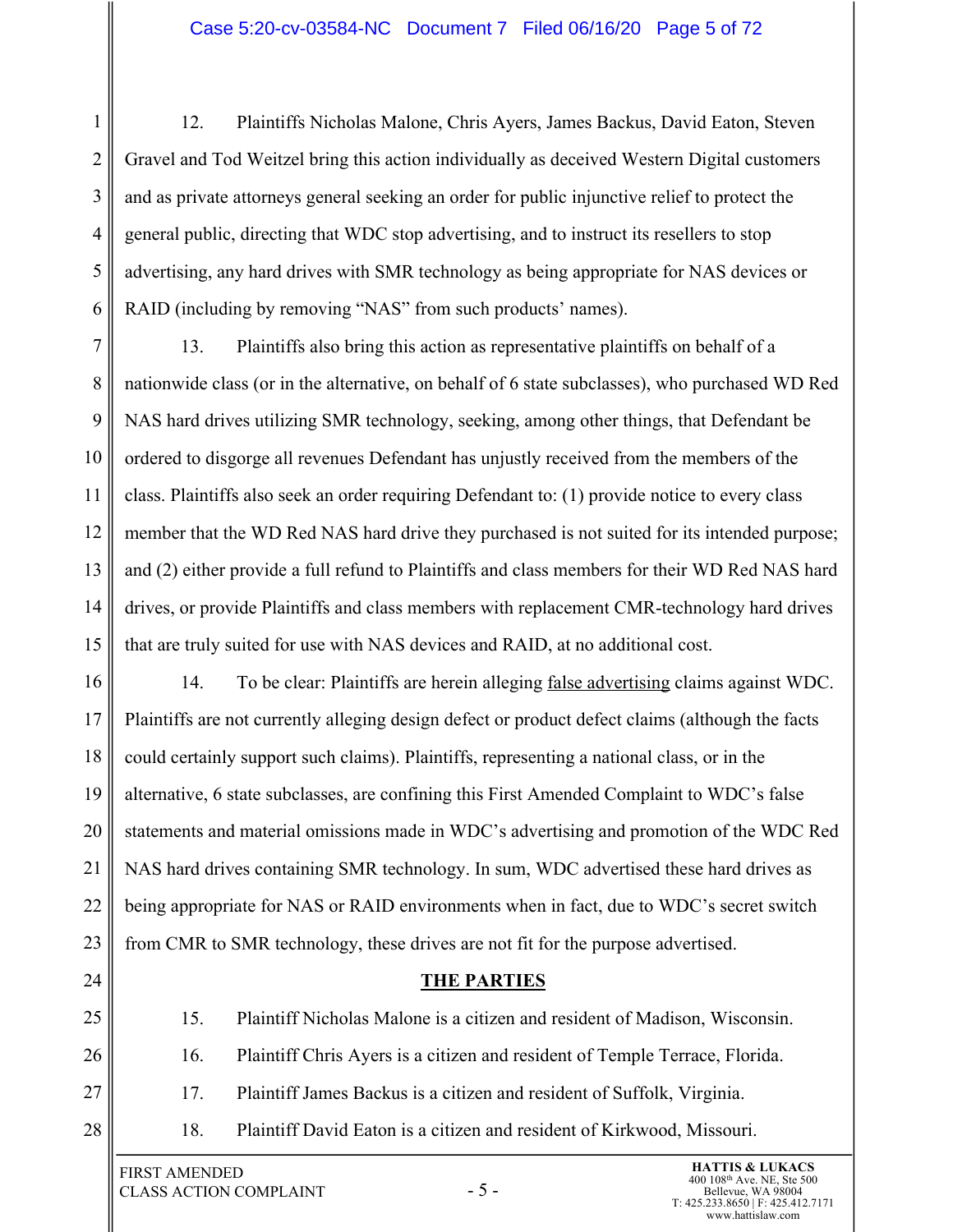1 2 3 4 5 6 12. Plaintiffs Nicholas Malone, Chris Ayers, James Backus, David Eaton, Steven Gravel and Tod Weitzel bring this action individually as deceived Western Digital customers and as private attorneys general seeking an order for public injunctive relief to protect the general public, directing that WDC stop advertising, and to instruct its resellers to stop advertising, any hard drives with SMR technology as being appropriate for NAS devices or RAID (including by removing "NAS" from such products' names).

7 8 9 10 11 12 13 14 15 13. Plaintiffs also bring this action as representative plaintiffs on behalf of a nationwide class (or in the alternative, on behalf of 6 state subclasses), who purchased WD Red NAS hard drives utilizing SMR technology, seeking, among other things, that Defendant be ordered to disgorge all revenues Defendant has unjustly received from the members of the class. Plaintiffs also seek an order requiring Defendant to: (1) provide notice to every class member that the WD Red NAS hard drive they purchased is not suited for its intended purpose; and (2) either provide a full refund to Plaintiffs and class members for their WD Red NAS hard drives, or provide Plaintiffs and class members with replacement CMR-technology hard drives that are truly suited for use with NAS devices and RAID, at no additional cost.

16 17 18 19 20 21 22 23 14. To be clear: Plaintiffs are herein alleging false advertising claims against WDC. Plaintiffs are not currently alleging design defect or product defect claims (although the facts could certainly support such claims). Plaintiffs, representing a national class, or in the alternative, 6 state subclasses, are confining this First Amended Complaint to WDC's false statements and material omissions made in WDC's advertising and promotion of the WDC Red NAS hard drives containing SMR technology. In sum, WDC advertised these hard drives as being appropriate for NAS or RAID environments when in fact, due to WDC's secret switch from CMR to SMR technology, these drives are not fit for the purpose advertised.

- 24
- 25

26

28

**THE PARTIES**

- 15. Plaintiff Nicholas Malone is a citizen and resident of Madison, Wisconsin.
- 16. Plaintiff Chris Ayers is a citizen and resident of Temple Terrace, Florida.
- 27 17. Plaintiff James Backus is a citizen and resident of Suffolk, Virginia.
	- 18. Plaintiff David Eaton is a citizen and resident of Kirkwood, Missouri.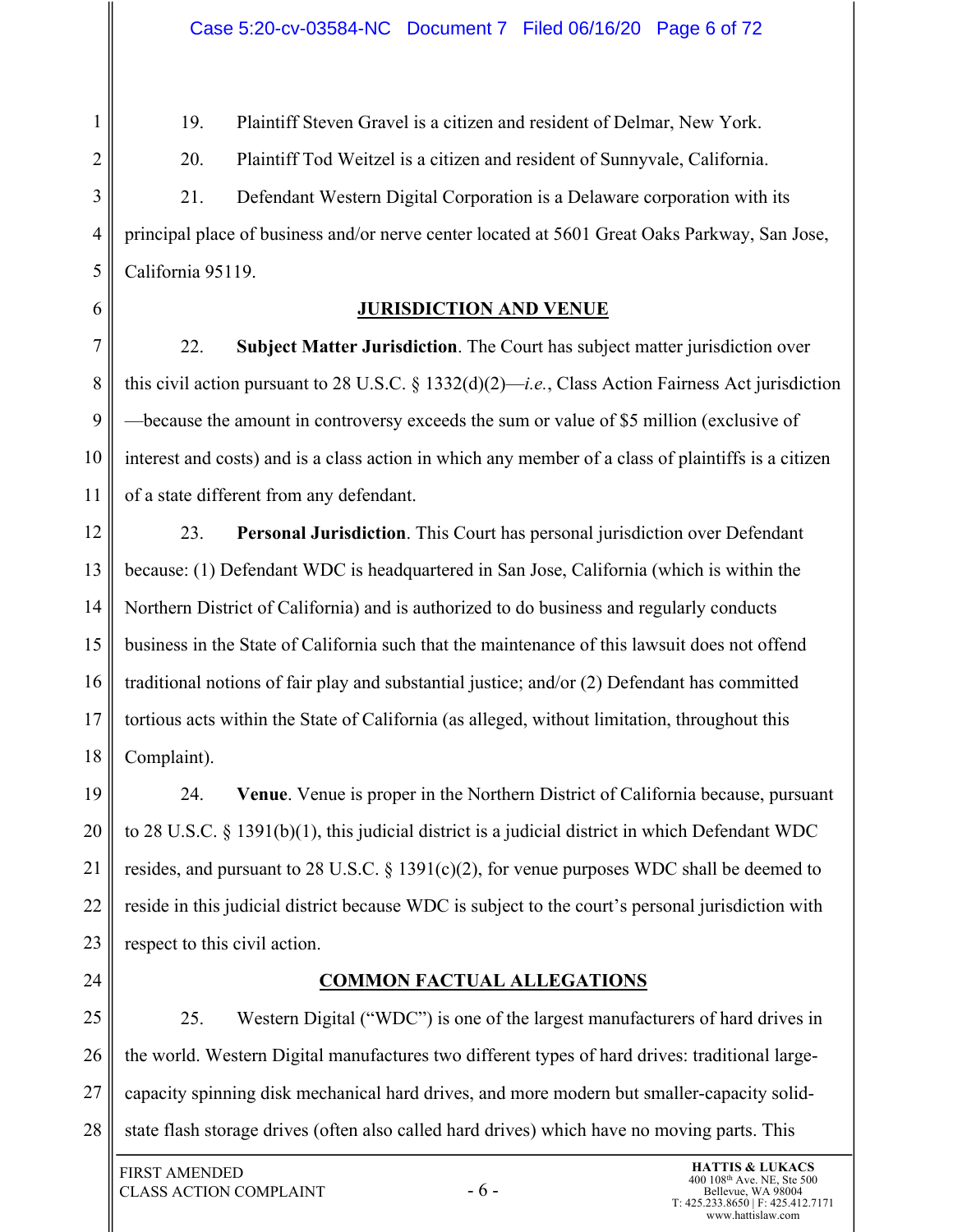19. Plaintiff Steven Gravel is a citizen and resident of Delmar, New York.

20. Plaintiff Tod Weitzel is a citizen and resident of Sunnyvale, California.

21. Defendant Western Digital Corporation is a Delaware corporation with its principal place of business and/or nerve center located at 5601 Great Oaks Parkway, San Jose, California 95119.

# **JURISDICTION AND VENUE**

7 8 9 10 11 22. **Subject Matter Jurisdiction**. The Court has subject matter jurisdiction over this civil action pursuant to 28 U.S.C. § 1332(d)(2)—*i.e.*, Class Action Fairness Act jurisdiction —because the amount in controversy exceeds the sum or value of \$5 million (exclusive of interest and costs) and is a class action in which any member of a class of plaintiffs is a citizen of a state different from any defendant.

12 13 14 15 16 17 18 23. **Personal Jurisdiction**. This Court has personal jurisdiction over Defendant because: (1) Defendant WDC is headquartered in San Jose, California (which is within the Northern District of California) and is authorized to do business and regularly conducts business in the State of California such that the maintenance of this lawsuit does not offend traditional notions of fair play and substantial justice; and/or (2) Defendant has committed tortious acts within the State of California (as alleged, without limitation, throughout this Complaint).

19 20 21 22 23 24. **Venue**. Venue is proper in the Northern District of California because, pursuant to 28 U.S.C. § 1391(b)(1), this judicial district is a judicial district in which Defendant WDC resides, and pursuant to 28 U.S.C. § 1391(c)(2), for venue purposes WDC shall be deemed to reside in this judicial district because WDC is subject to the court's personal jurisdiction with respect to this civil action.

24

1

2

3

4

5

6

**COMMON FACTUAL ALLEGATIONS**

25 26 27 28 25. Western Digital ("WDC") is one of the largest manufacturers of hard drives in the world. Western Digital manufactures two different types of hard drives: traditional largecapacity spinning disk mechanical hard drives, and more modern but smaller-capacity solidstate flash storage drives (often also called hard drives) which have no moving parts. This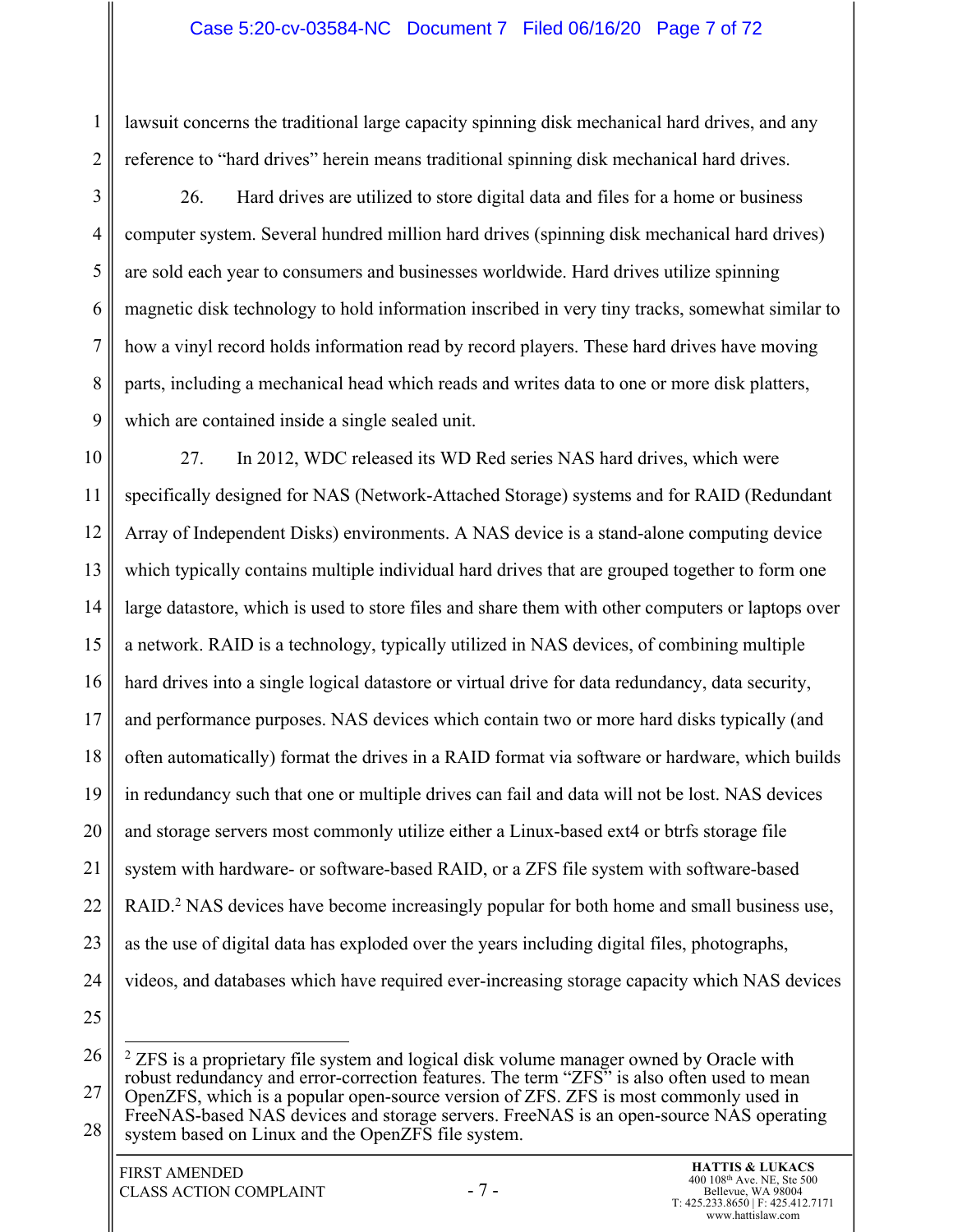#### Case 5:20-cv-03584-NC Document 7 Filed 06/16/20 Page 7 of 72

lawsuit concerns the traditional large capacity spinning disk mechanical hard drives, and any reference to "hard drives" herein means traditional spinning disk mechanical hard drives.

3 4 5 6 7 8 9 26. Hard drives are utilized to store digital data and files for a home or business computer system. Several hundred million hard drives (spinning disk mechanical hard drives) are sold each year to consumers and businesses worldwide. Hard drives utilize spinning magnetic disk technology to hold information inscribed in very tiny tracks, somewhat similar to how a vinyl record holds information read by record players. These hard drives have moving parts, including a mechanical head which reads and writes data to one or more disk platters, which are contained inside a single sealed unit.

10 11 12 13 14 15 16 17 18 19 20 21 22 23 24 25 27. In 2012, WDC released its WD Red series NAS hard drives, which were specifically designed for NAS (Network-Attached Storage) systems and for RAID (Redundant Array of Independent Disks) environments. A NAS device is a stand-alone computing device which typically contains multiple individual hard drives that are grouped together to form one large datastore, which is used to store files and share them with other computers or laptops over a network. RAID is a technology, typically utilized in NAS devices, of combining multiple hard drives into a single logical datastore or virtual drive for data redundancy, data security, and performance purposes. NAS devices which contain two or more hard disks typically (and often automatically) format the drives in a RAID format via software or hardware, which builds in redundancy such that one or multiple drives can fail and data will not be lost. NAS devices and storage servers most commonly utilize either a Linux-based ext4 or btrfs storage file system with hardware- or software-based RAID, or a ZFS file system with software-based RAID.<sup>2</sup> NAS devices have become increasingly popular for both home and small business use, as the use of digital data has exploded over the years including digital files, photographs, videos, and databases which have required ever-increasing storage capacity which NAS devices

26 27 28  $2$  ZFS is a proprietary file system and logical disk volume manager owned by Oracle with robust redundancy and error-correction features. The term "ZFS" is also often used to mean OpenZFS, which is a popular open-source version of ZFS. ZFS is most commonly used in FreeNAS-based NAS devices and storage servers. FreeNAS is an open-source NAS operating system based on Linux and the OpenZFS file system.

1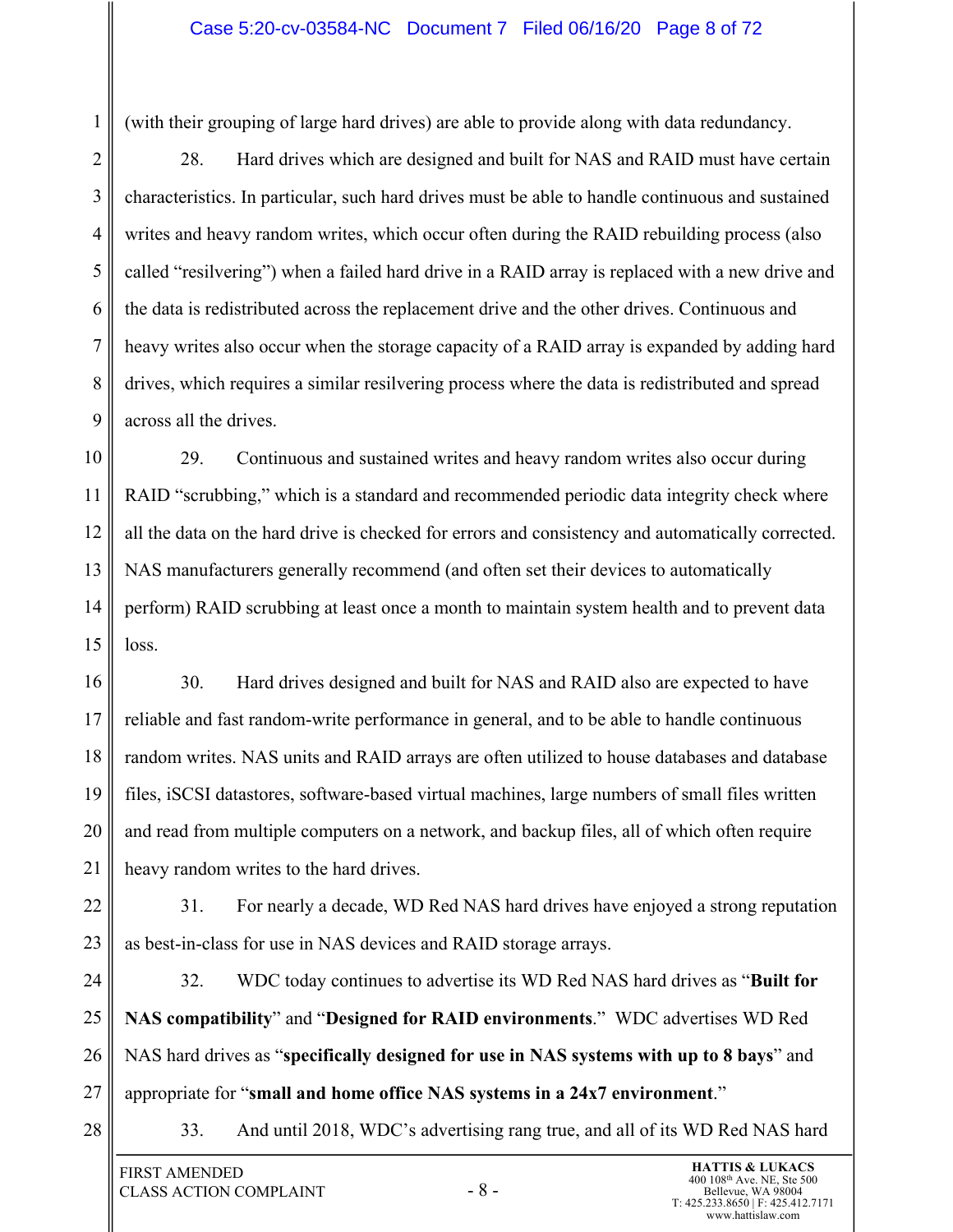#### Case 5:20-cv-03584-NC Document 7 Filed 06/16/20 Page 8 of 72

(with their grouping of large hard drives) are able to provide along with data redundancy.

2 3 4 5 6 7 8 9 28. Hard drives which are designed and built for NAS and RAID must have certain characteristics. In particular, such hard drives must be able to handle continuous and sustained writes and heavy random writes, which occur often during the RAID rebuilding process (also called "resilvering") when a failed hard drive in a RAID array is replaced with a new drive and the data is redistributed across the replacement drive and the other drives. Continuous and heavy writes also occur when the storage capacity of a RAID array is expanded by adding hard drives, which requires a similar resilvering process where the data is redistributed and spread across all the drives.

10 11 12 13 14 15 29. Continuous and sustained writes and heavy random writes also occur during RAID "scrubbing," which is a standard and recommended periodic data integrity check where all the data on the hard drive is checked for errors and consistency and automatically corrected. NAS manufacturers generally recommend (and often set their devices to automatically perform) RAID scrubbing at least once a month to maintain system health and to prevent data loss.

16 17 18 19 20 21 30. Hard drives designed and built for NAS and RAID also are expected to have reliable and fast random-write performance in general, and to be able to handle continuous random writes. NAS units and RAID arrays are often utilized to house databases and database files, iSCSI datastores, software-based virtual machines, large numbers of small files written and read from multiple computers on a network, and backup files, all of which often require heavy random writes to the hard drives.

22 23 31. For nearly a decade, WD Red NAS hard drives have enjoyed a strong reputation as best-in-class for use in NAS devices and RAID storage arrays.

24 25 26 27 32. WDC today continues to advertise its WD Red NAS hard drives as "**Built for NAS compatibility**" and "**Designed for RAID environments**." WDC advertises WD Red NAS hard drives as "**specifically designed for use in NAS systems with up to 8 bays**" and appropriate for "**small and home office NAS systems in a 24x7 environment**."

28

1

33. And until 2018, WDC's advertising rang true, and all of its WD Red NAS hard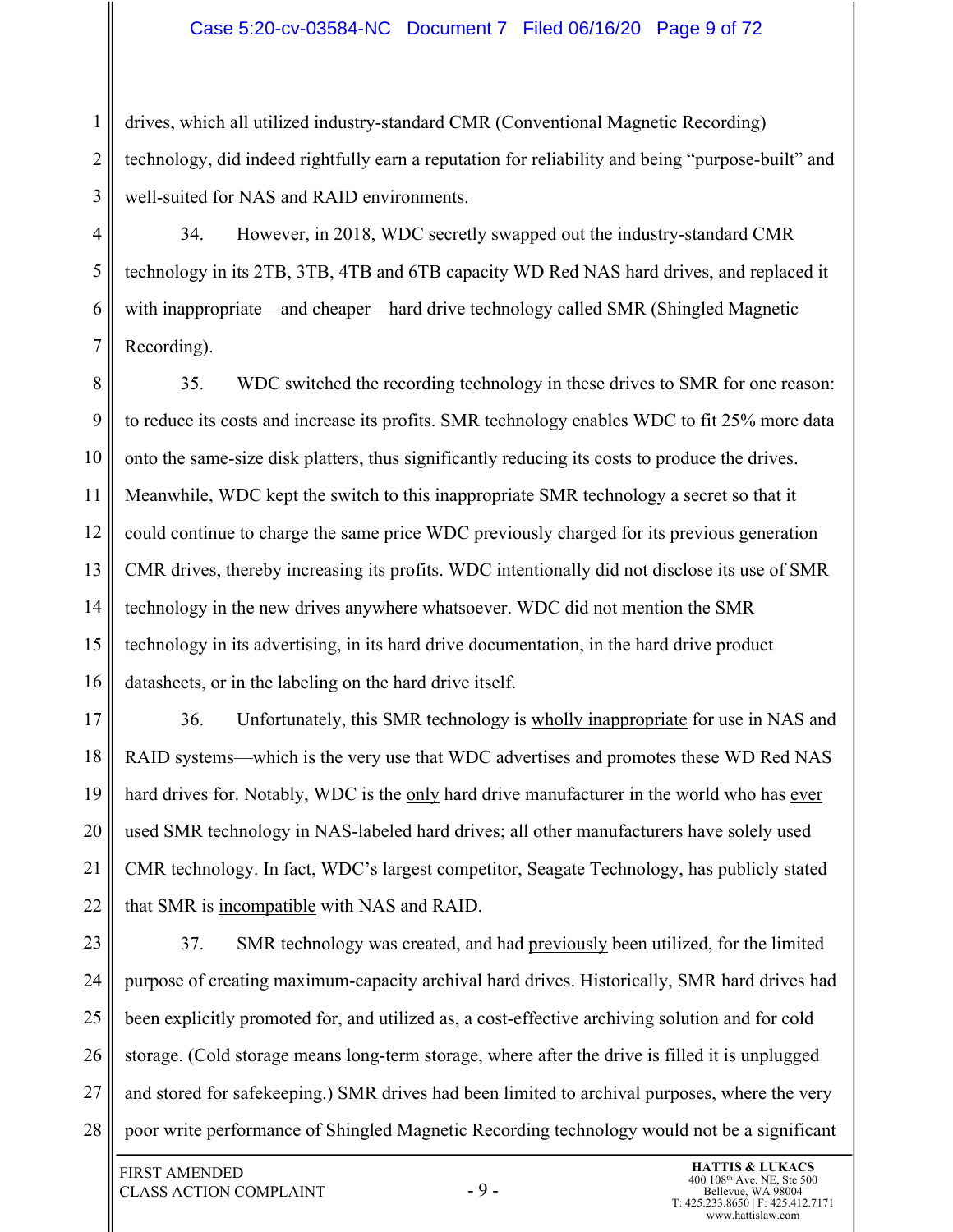#### Case 5:20-cv-03584-NC Document 7 Filed 06/16/20 Page 9 of 72

2 3 drives, which all utilized industry-standard CMR (Conventional Magnetic Recording) technology, did indeed rightfully earn a reputation for reliability and being "purpose-built" and well-suited for NAS and RAID environments.

4 5 6 7 34. However, in 2018, WDC secretly swapped out the industry-standard CMR technology in its 2TB, 3TB, 4TB and 6TB capacity WD Red NAS hard drives, and replaced it with inappropriate—and cheaper—hard drive technology called SMR (Shingled Magnetic Recording).

8 9 10 11 12 13 14 15 16 35. WDC switched the recording technology in these drives to SMR for one reason: to reduce its costs and increase its profits. SMR technology enables WDC to fit 25% more data onto the same-size disk platters, thus significantly reducing its costs to produce the drives. Meanwhile, WDC kept the switch to this inappropriate SMR technology a secret so that it could continue to charge the same price WDC previously charged for its previous generation CMR drives, thereby increasing its profits. WDC intentionally did not disclose its use of SMR technology in the new drives anywhere whatsoever. WDC did not mention the SMR technology in its advertising, in its hard drive documentation, in the hard drive product datasheets, or in the labeling on the hard drive itself.

17 18 19 20 21 22 36. Unfortunately, this SMR technology is wholly inappropriate for use in NAS and RAID systems—which is the very use that WDC advertises and promotes these WD Red NAS hard drives for. Notably, WDC is the only hard drive manufacturer in the world who has ever used SMR technology in NAS-labeled hard drives; all other manufacturers have solely used CMR technology. In fact, WDC's largest competitor, Seagate Technology, has publicly stated that SMR is incompatible with NAS and RAID.

23 24 25 26 27 28 37. SMR technology was created, and had previously been utilized, for the limited purpose of creating maximum-capacity archival hard drives. Historically, SMR hard drives had been explicitly promoted for, and utilized as, a cost-effective archiving solution and for cold storage. (Cold storage means long-term storage, where after the drive is filled it is unplugged and stored for safekeeping.) SMR drives had been limited to archival purposes, where the very poor write performance of Shingled Magnetic Recording technology would not be a significant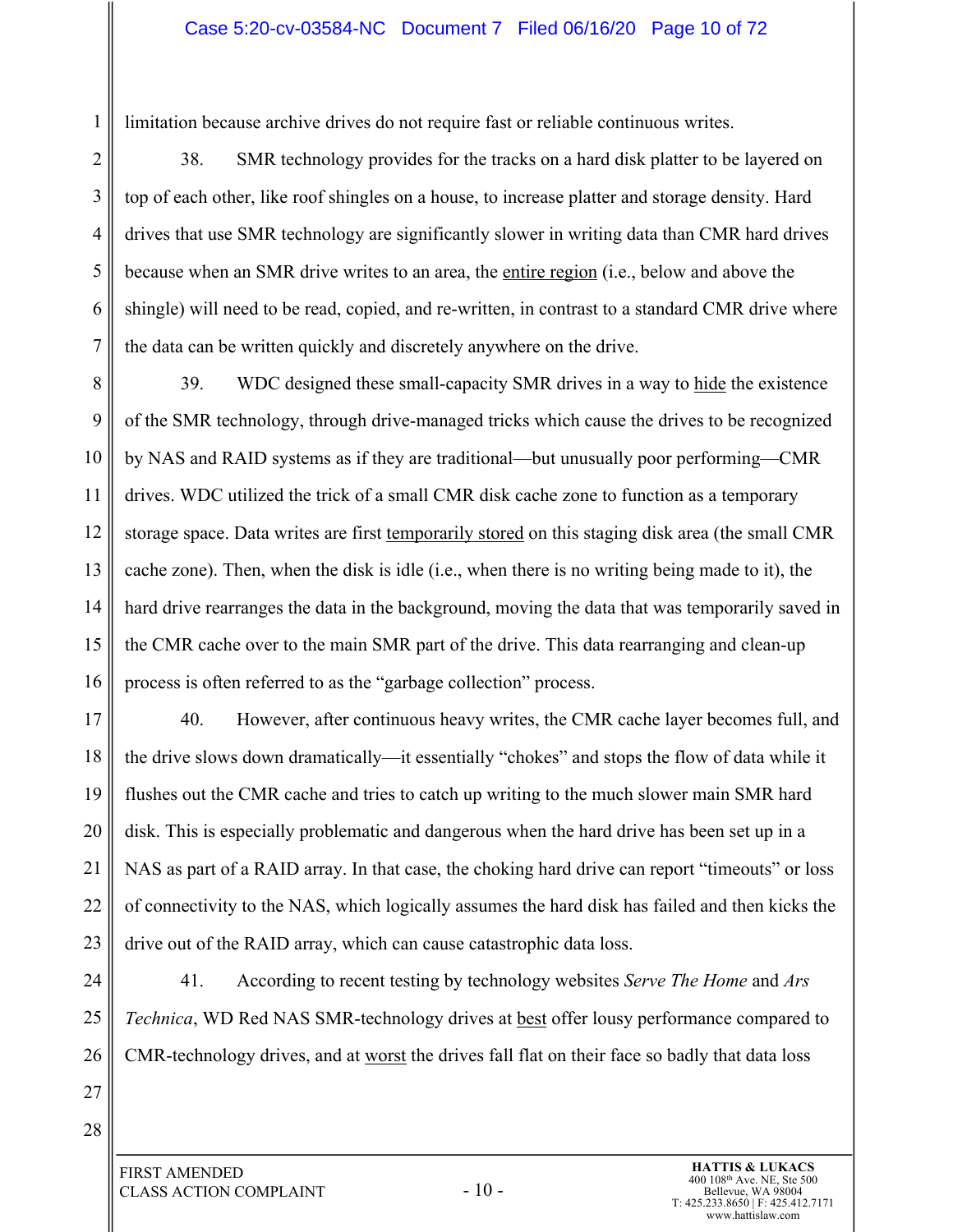limitation because archive drives do not require fast or reliable continuous writes.

2 3 4 5 6 7 38. SMR technology provides for the tracks on a hard disk platter to be layered on top of each other, like roof shingles on a house, to increase platter and storage density. Hard drives that use SMR technology are significantly slower in writing data than CMR hard drives because when an SMR drive writes to an area, the entire region (i.e., below and above the shingle) will need to be read, copied, and re-written, in contrast to a standard CMR drive where the data can be written quickly and discretely anywhere on the drive.

8 9 10 11 12 13 14 15 16 39. WDC designed these small-capacity SMR drives in a way to hide the existence of the SMR technology, through drive-managed tricks which cause the drives to be recognized by NAS and RAID systems as if they are traditional—but unusually poor performing—CMR drives. WDC utilized the trick of a small CMR disk cache zone to function as a temporary storage space. Data writes are first temporarily stored on this staging disk area (the small CMR cache zone). Then, when the disk is idle (i.e., when there is no writing being made to it), the hard drive rearranges the data in the background, moving the data that was temporarily saved in the CMR cache over to the main SMR part of the drive. This data rearranging and clean-up process is often referred to as the "garbage collection" process.

17 18 19 20 21 22 23 40. However, after continuous heavy writes, the CMR cache layer becomes full, and the drive slows down dramatically—it essentially "chokes" and stops the flow of data while it flushes out the CMR cache and tries to catch up writing to the much slower main SMR hard disk. This is especially problematic and dangerous when the hard drive has been set up in a NAS as part of a RAID array. In that case, the choking hard drive can report "timeouts" or loss of connectivity to the NAS, which logically assumes the hard disk has failed and then kicks the drive out of the RAID array, which can cause catastrophic data loss.

- 24 25 26 41. According to recent testing by technology websites *Serve The Home* and *Ars Technica*, WD Red NAS SMR-technology drives at **best** offer lousy performance compared to CMR-technology drives, and at worst the drives fall flat on their face so badly that data loss
- 27 28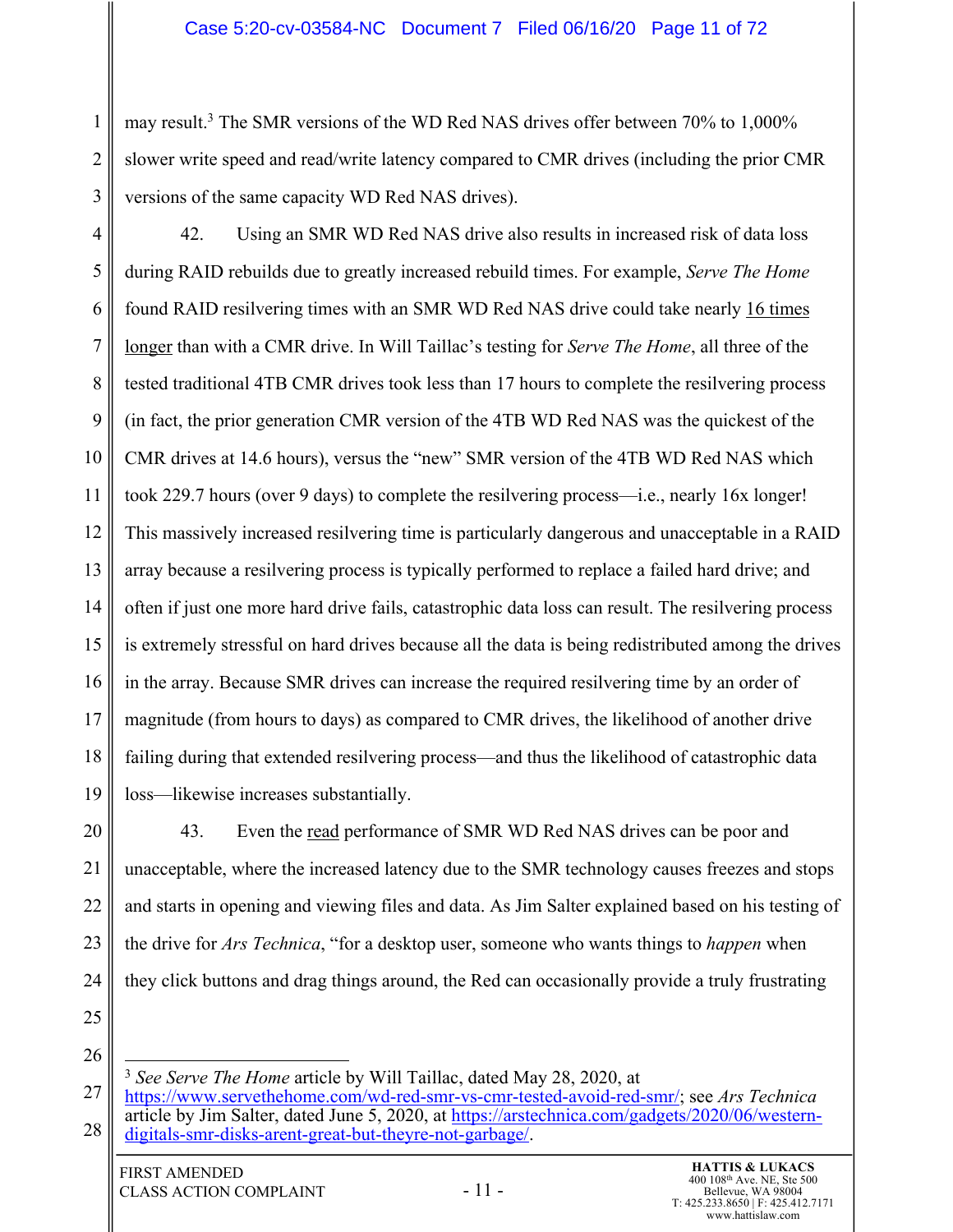## Case 5:20-cv-03584-NC Document 7 Filed 06/16/20 Page 11 of 72

may result.<sup>3</sup> The SMR versions of the WD Red NAS drives offer between 70% to 1,000% slower write speed and read/write latency compared to CMR drives (including the prior CMR versions of the same capacity WD Red NAS drives).

4 5 6 7 8 9 10 11 12 13 14 15 16 17 18 19 42. Using an SMR WD Red NAS drive also results in increased risk of data loss during RAID rebuilds due to greatly increased rebuild times. For example, *Serve The Home* found RAID resilvering times with an SMR WD Red NAS drive could take nearly 16 times longer than with a CMR drive. In Will Taillac's testing for *Serve The Home*, all three of the tested traditional 4TB CMR drives took less than 17 hours to complete the resilvering process (in fact, the prior generation CMR version of the 4TB WD Red NAS was the quickest of the CMR drives at 14.6 hours), versus the "new" SMR version of the 4TB WD Red NAS which took 229.7 hours (over 9 days) to complete the resilvering process—i.e., nearly 16x longer! This massively increased resilvering time is particularly dangerous and unacceptable in a RAID array because a resilvering process is typically performed to replace a failed hard drive; and often if just one more hard drive fails, catastrophic data loss can result. The resilvering process is extremely stressful on hard drives because all the data is being redistributed among the drives in the array. Because SMR drives can increase the required resilvering time by an order of magnitude (from hours to days) as compared to CMR drives, the likelihood of another drive failing during that extended resilvering process—and thus the likelihood of catastrophic data loss—likewise increases substantially.

20 21 22 23 24 43. Even the read performance of SMR WD Red NAS drives can be poor and unacceptable, where the increased latency due to the SMR technology causes freezes and stops and starts in opening and viewing files and data. As Jim Salter explained based on his testing of the drive for *Ars Technica*, "for a desktop user, someone who wants things to *happen* when they click buttons and drag things around, the Red can occasionally provide a truly frustrating

25

26

1

2

<sup>27</sup> <sup>3</sup> *See Serve The Home* article by Will Taillac, dated May 28, 2020, at https://www.servethehome.com/wd-red-smr-vs-cmr-tested-avoid-red-smr/; see *Ars Technica*

<sup>28</sup> article by Jim Salter, dated June 5, 2020, at https://arstechnica.com/gadgets/2020/06/westerndigitals-smr-disks-arent-great-but-theyre-not-garbage/.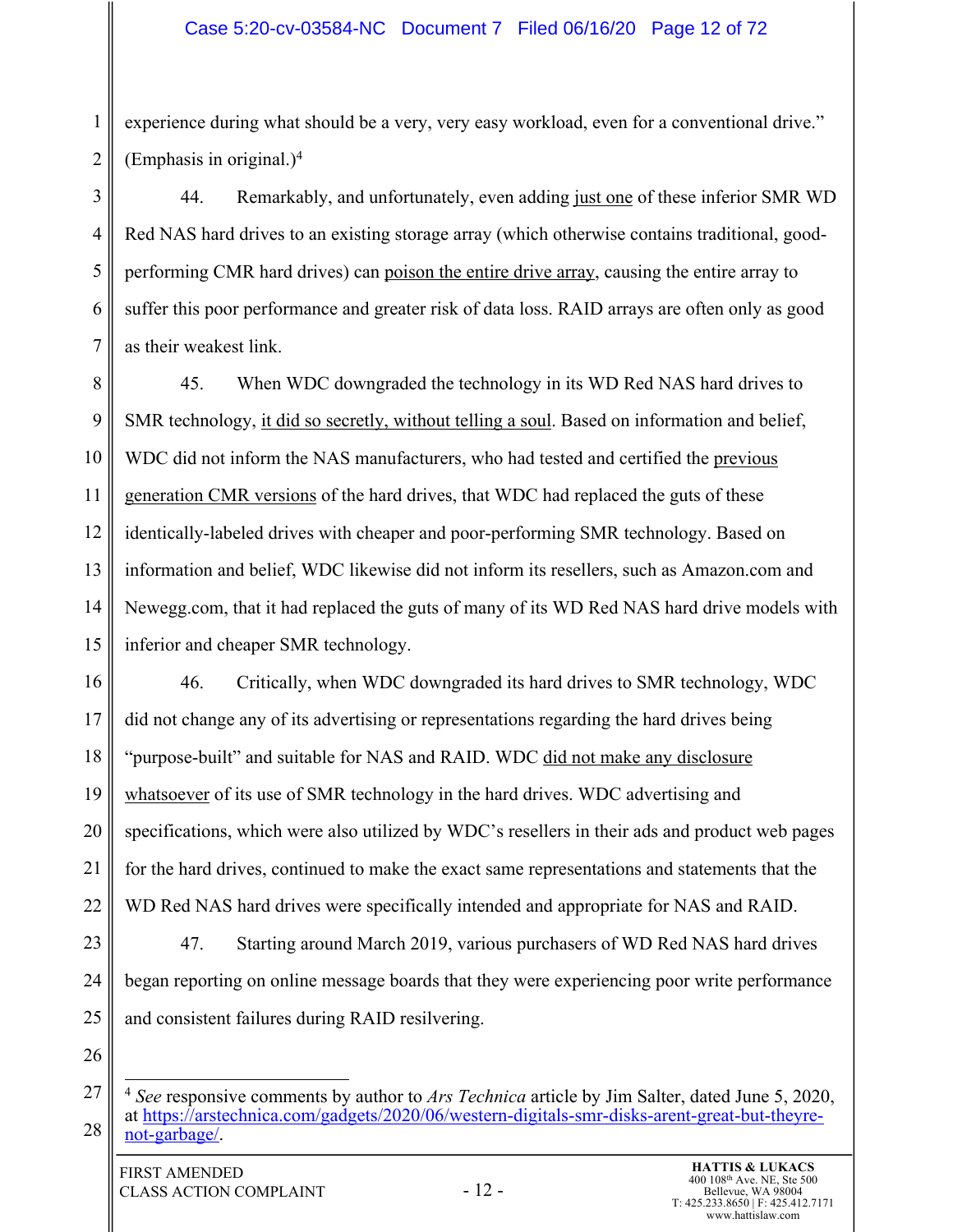1 2 experience during what should be a very, very easy workload, even for a conventional drive." (Emphasis in original.)<sup>4</sup>

3 4 5 6 7 44. Remarkably, and unfortunately, even adding just one of these inferior SMR WD Red NAS hard drives to an existing storage array (which otherwise contains traditional, goodperforming CMR hard drives) can poison the entire drive array, causing the entire array to suffer this poor performance and greater risk of data loss. RAID arrays are often only as good as their weakest link.

8 9 10 11 12 13 14 15 45. When WDC downgraded the technology in its WD Red NAS hard drives to SMR technology, it did so secretly, without telling a soul. Based on information and belief, WDC did not inform the NAS manufacturers, who had tested and certified the previous generation CMR versions of the hard drives, that WDC had replaced the guts of these identically-labeled drives with cheaper and poor-performing SMR technology. Based on information and belief, WDC likewise did not inform its resellers, such as Amazon.com and Newegg.com, that it had replaced the guts of many of its WD Red NAS hard drive models with inferior and cheaper SMR technology.

16 17 18 19 20 21 22 23 24 46. Critically, when WDC downgraded its hard drives to SMR technology, WDC did not change any of its advertising or representations regarding the hard drives being "purpose-built" and suitable for NAS and RAID. WDC did not make any disclosure whatsoever of its use of SMR technology in the hard drives. WDC advertising and specifications, which were also utilized by WDC's resellers in their ads and product web pages for the hard drives, continued to make the exact same representations and statements that the WD Red NAS hard drives were specifically intended and appropriate for NAS and RAID. 47. Starting around March 2019, various purchasers of WD Red NAS hard drives began reporting on online message boards that they were experiencing poor write performance

- 25 and consistent failures during RAID resilvering.
- 26

<sup>27</sup> 28 <sup>4</sup> *See* responsive comments by author to *Ars Technica* article by Jim Salter, dated June 5, 2020, at https://arstechnica.com/gadgets/2020/06/western-digitals-smr-disks-arent-great-but-theyrenot-garbage/.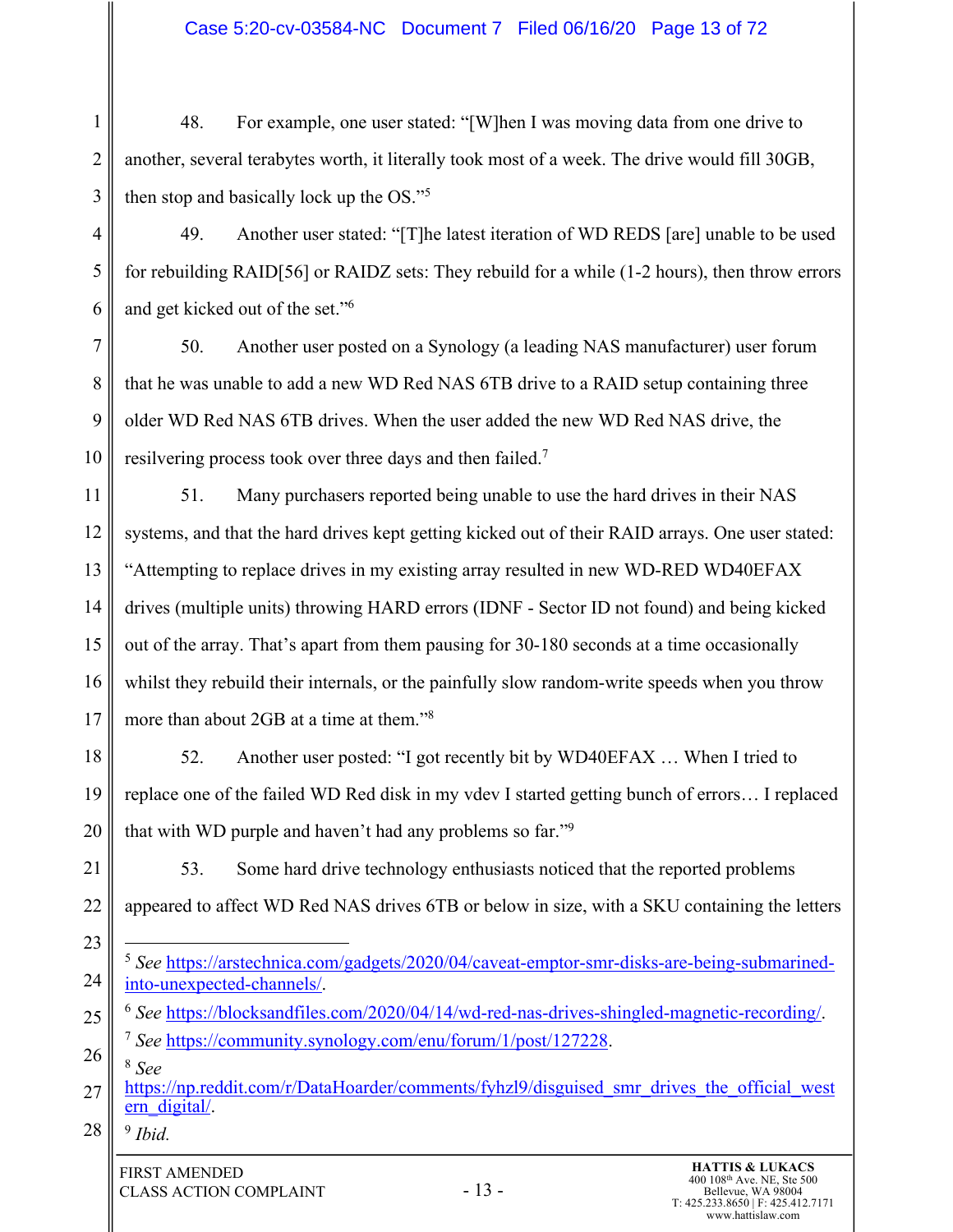# Case 5:20-cv-03584-NC Document 7 Filed 06/16/20 Page 13 of 72

1 2 3 48. For example, one user stated: "[W]hen I was moving data from one drive to another, several terabytes worth, it literally took most of a week. The drive would fill 30GB, then stop and basically lock up the OS."5

4 5 6 49. Another user stated: "[T]he latest iteration of WD REDS [are] unable to be used for rebuilding RAID[56] or RAIDZ sets: They rebuild for a while (1-2 hours), then throw errors and get kicked out of the set."6

7 8 9 10 50. Another user posted on a Synology (a leading NAS manufacturer) user forum that he was unable to add a new WD Red NAS 6TB drive to a RAID setup containing three older WD Red NAS 6TB drives. When the user added the new WD Red NAS drive, the resilvering process took over three days and then failed.7

11 12 13 14 15 16 17 51. Many purchasers reported being unable to use the hard drives in their NAS systems, and that the hard drives kept getting kicked out of their RAID arrays. One user stated: "Attempting to replace drives in my existing array resulted in new WD-RED WD40EFAX drives (multiple units) throwing HARD errors (IDNF - Sector ID not found) and being kicked out of the array. That's apart from them pausing for 30-180 seconds at a time occasionally whilst they rebuild their internals, or the painfully slow random-write speeds when you throw more than about 2GB at a time at them."8

- 18 19 20 52. Another user posted: "I got recently bit by WD40EFAX … When I tried to replace one of the failed WD Red disk in my vdev I started getting bunch of errors… I replaced that with WD purple and haven't had any problems so far."9
- 21 22 53. Some hard drive technology enthusiasts noticed that the reported problems appeared to affect WD Red NAS drives 6TB or below in size, with a SKU containing the letters
- 23 24 <sup>5</sup> *See* https://arstechnica.com/gadgets/2020/04/caveat-emptor-smr-disks-are-being-submarinedinto-unexpected-channels/.
- 25 26 <sup>6</sup> *See* https://blocksandfiles.com/2020/04/14/wd-red-nas-drives-shingled-magnetic-recording/. <sup>7</sup> *See* https://community.synology.com/enu/forum/1/post/127228.
- <sup>8</sup> *See*
- 27 https://np.reddit.com/r/DataHoarder/comments/fyhzl9/disguised\_smr\_drives\_the\_official\_west ern\_digital/.
- 28 <sup>9</sup> *Ibid.*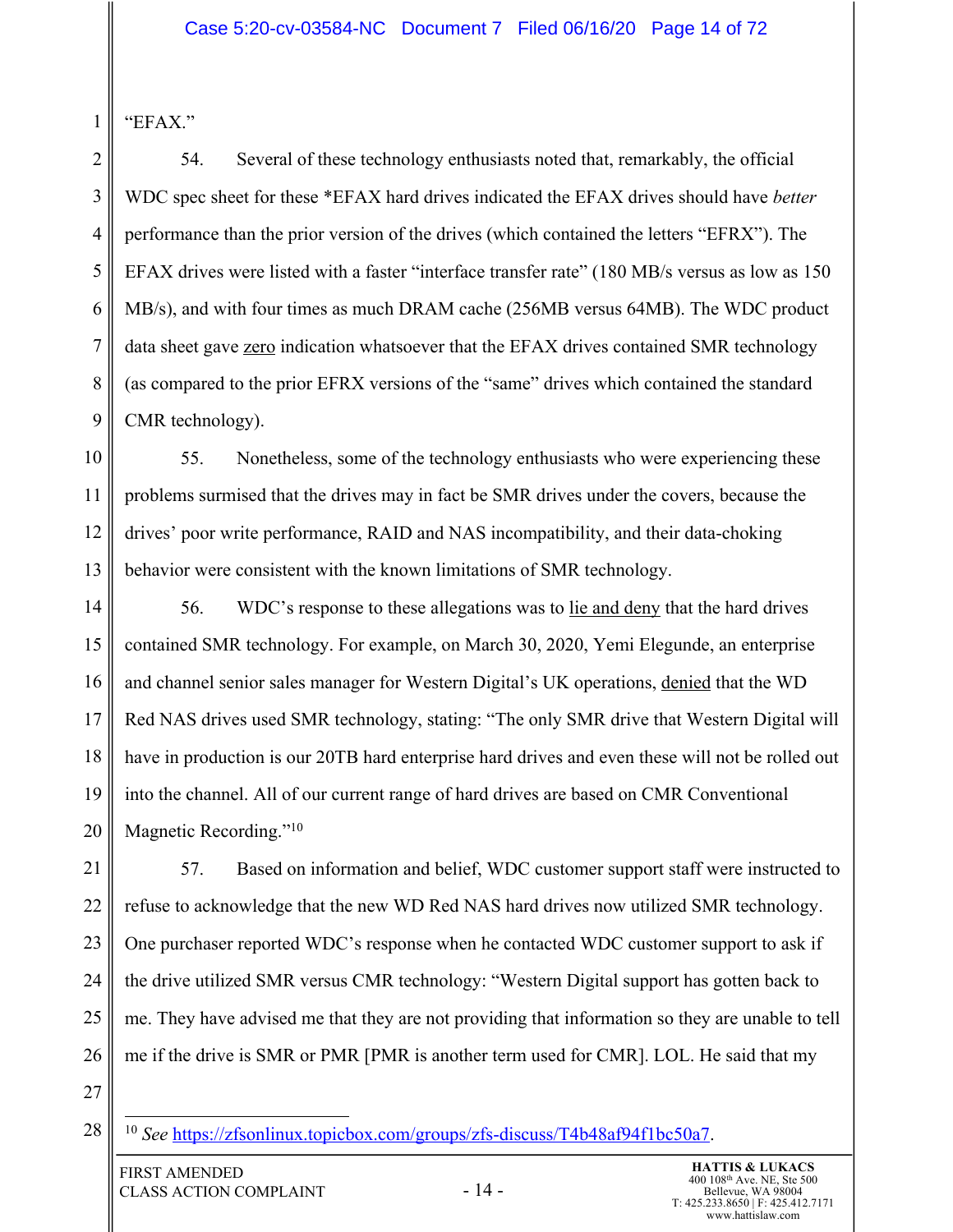"EFAX."

1

2 3 4 5 6 7 8 9 54. Several of these technology enthusiasts noted that, remarkably, the official WDC spec sheet for these \*EFAX hard drives indicated the EFAX drives should have *better* performance than the prior version of the drives (which contained the letters "EFRX"). The EFAX drives were listed with a faster "interface transfer rate" (180 MB/s versus as low as 150 MB/s), and with four times as much DRAM cache (256MB versus 64MB). The WDC product data sheet gave **zero** indication whatsoever that the EFAX drives contained SMR technology (as compared to the prior EFRX versions of the "same" drives which contained the standard CMR technology).

10 11 12 13 55. Nonetheless, some of the technology enthusiasts who were experiencing these problems surmised that the drives may in fact be SMR drives under the covers, because the drives' poor write performance, RAID and NAS incompatibility, and their data-choking behavior were consistent with the known limitations of SMR technology.

14 15 16 17 18 19 20 56. WDC's response to these allegations was to lie and deny that the hard drives contained SMR technology. For example, on March 30, 2020, Yemi Elegunde, an enterprise and channel senior sales manager for Western Digital's UK operations, denied that the WD Red NAS drives used SMR technology, stating: "The only SMR drive that Western Digital will have in production is our 20TB hard enterprise hard drives and even these will not be rolled out into the channel. All of our current range of hard drives are based on CMR Conventional Magnetic Recording."<sup>10</sup>

21 22 23 24 25 26 57. Based on information and belief, WDC customer support staff were instructed to refuse to acknowledge that the new WD Red NAS hard drives now utilized SMR technology. One purchaser reported WDC's response when he contacted WDC customer support to ask if the drive utilized SMR versus CMR technology: "Western Digital support has gotten back to me. They have advised me that they are not providing that information so they are unable to tell me if the drive is SMR or PMR [PMR is another term used for CMR]. LOL. He said that my

- 27
- 28

<sup>10</sup> *See* https://zfsonlinux.topicbox.com/groups/zfs-discuss/T4b48af94f1bc50a7.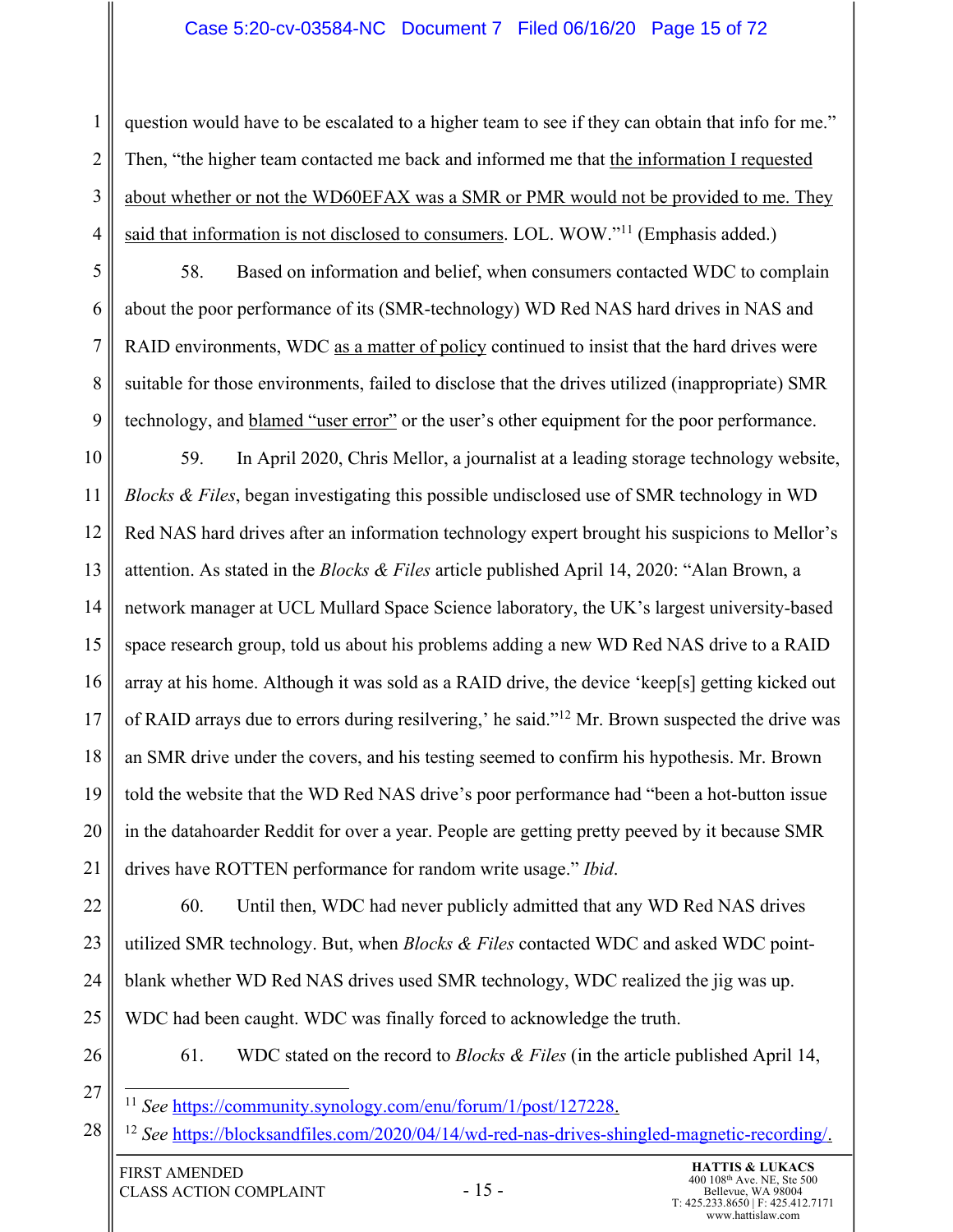## Case 5:20-cv-03584-NC Document 7 Filed 06/16/20 Page 15 of 72

3 4 question would have to be escalated to a higher team to see if they can obtain that info for me." Then, "the higher team contacted me back and informed me that the information I requested about whether or not the WD60EFAX was a SMR or PMR would not be provided to me. They said that information is not disclosed to consumers. LOL. WOW."<sup>11</sup> (Emphasis added.)

5 6 7 8 9 58. Based on information and belief, when consumers contacted WDC to complain about the poor performance of its (SMR-technology) WD Red NAS hard drives in NAS and RAID environments, WDC as a matter of policy continued to insist that the hard drives were suitable for those environments, failed to disclose that the drives utilized (inappropriate) SMR technology, and blamed "user error" or the user's other equipment for the poor performance.

10 11 12 13 14 15 16 17 18 19 20 21 59. In April 2020, Chris Mellor, a journalist at a leading storage technology website, *Blocks & Files*, began investigating this possible undisclosed use of SMR technology in WD Red NAS hard drives after an information technology expert brought his suspicions to Mellor's attention. As stated in the *Blocks & Files* article published April 14, 2020: "Alan Brown, a network manager at UCL Mullard Space Science laboratory, the UK's largest university-based space research group, told us about his problems adding a new WD Red NAS drive to a RAID array at his home. Although it was sold as a RAID drive, the device 'keep[s] getting kicked out of RAID arrays due to errors during resilvering,' he said."12 Mr. Brown suspected the drive was an SMR drive under the covers, and his testing seemed to confirm his hypothesis. Mr. Brown told the website that the WD Red NAS drive's poor performance had "been a hot-button issue in the datahoarder Reddit for over a year. People are getting pretty peeved by it because SMR drives have ROTTEN performance for random write usage." *Ibid*.

22 23 24 25 60. Until then, WDC had never publicly admitted that any WD Red NAS drives utilized SMR technology. But, when *Blocks & Files* contacted WDC and asked WDC pointblank whether WD Red NAS drives used SMR technology, WDC realized the jig was up. WDC had been caught. WDC was finally forced to acknowledge the truth.

26

1

2

61. WDC stated on the record to *Blocks & Files* (in the article published April 14,

27 <sup>11</sup> *See* https://community.synology.com/enu/forum/1/post/127228.

<sup>28</sup> <sup>12</sup> *See* https://blocksandfiles.com/2020/04/14/wd-red-nas-drives-shingled-magnetic-recording/.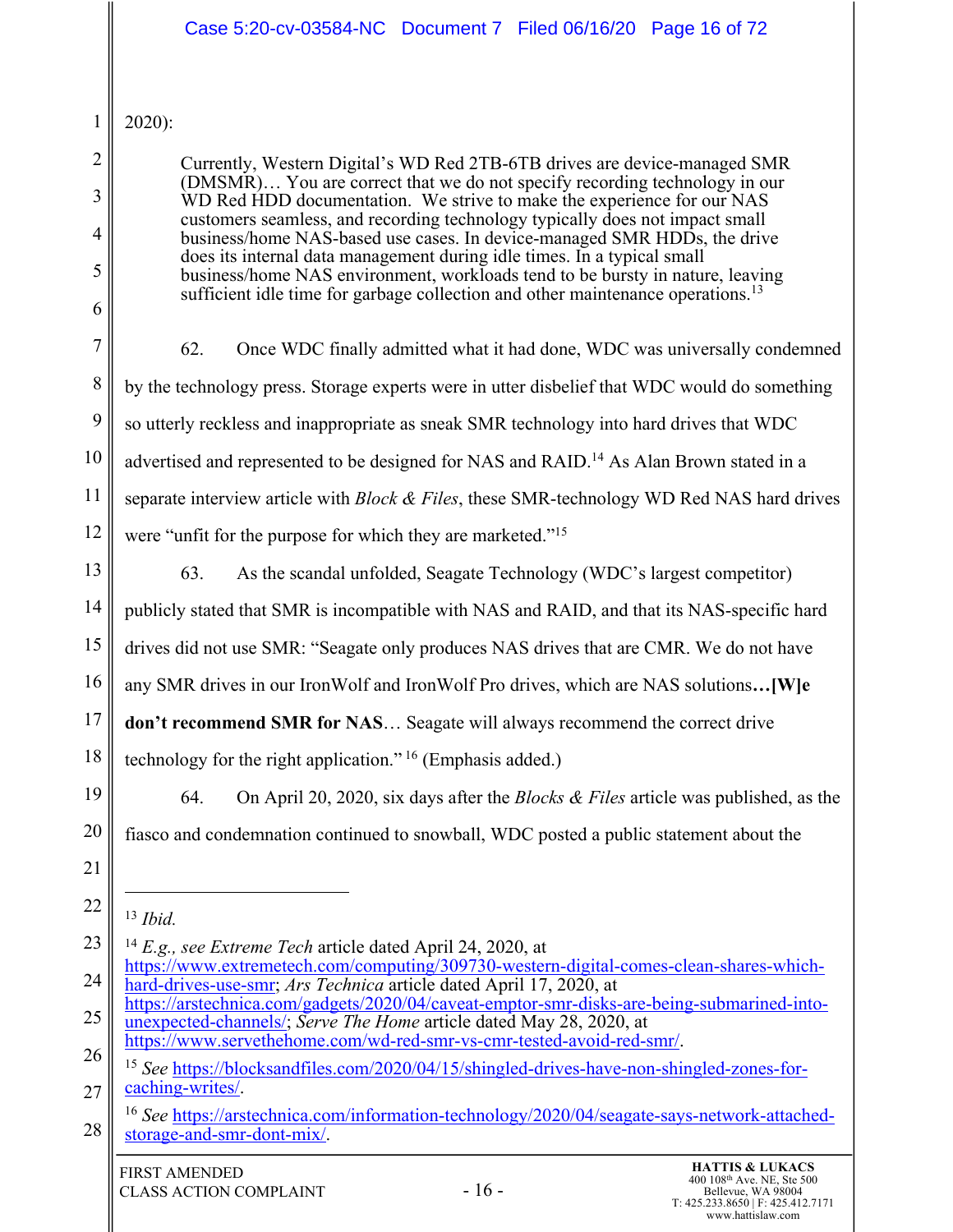|                | Case 5:20-cv-03584-NC Document 7 Filed 06/16/20 Page 16 of 72                                                                                                                                                                              |  |
|----------------|--------------------------------------------------------------------------------------------------------------------------------------------------------------------------------------------------------------------------------------------|--|
| $\mathbf{1}$   | $2020$ :                                                                                                                                                                                                                                   |  |
| $\overline{2}$ | Currently, Western Digital's WD Red 2TB-6TB drives are device-managed SMR                                                                                                                                                                  |  |
| 3              | (DMSMR) You are correct that we do not specify recording technology in our<br>WD Red HDD documentation. We strive to make the experience for our NAS                                                                                       |  |
| 4              | customers seamless, and recording technology typically does not impact small<br>business/home NAS-based use cases. In device-managed SMR HDDs, the drive                                                                                   |  |
| 5              | does its internal data management during idle times. In a typical small<br>business/home NAS environment, workloads tend to be bursty in nature, leaving                                                                                   |  |
| 6              | sufficient idle time for garbage collection and other maintenance operations. <sup>13</sup>                                                                                                                                                |  |
| 7              | 62.<br>Once WDC finally admitted what it had done, WDC was universally condemned                                                                                                                                                           |  |
| 8              | by the technology press. Storage experts were in utter disbelief that WDC would do something                                                                                                                                               |  |
| 9              | so utterly reckless and inappropriate as sneak SMR technology into hard drives that WDC                                                                                                                                                    |  |
| 10             | advertised and represented to be designed for NAS and RAID. <sup>14</sup> As Alan Brown stated in a                                                                                                                                        |  |
| 11             | separate interview article with <i>Block &amp; Files</i> , these SMR-technology WD Red NAS hard drives                                                                                                                                     |  |
| 12             | were "unfit for the purpose for which they are marketed." <sup>15</sup>                                                                                                                                                                    |  |
| 13             | 63.<br>As the scandal unfolded, Seagate Technology (WDC's largest competitor)                                                                                                                                                              |  |
| 14             | publicly stated that SMR is incompatible with NAS and RAID, and that its NAS-specific hard                                                                                                                                                 |  |
| 15             | drives did not use SMR: "Seagate only produces NAS drives that are CMR. We do not have                                                                                                                                                     |  |
| 16             | any SMR drives in our IronWolf and IronWolf Pro drives, which are NAS solutions [W]e                                                                                                                                                       |  |
| 17             | don't recommend SMR for NAS Seagate will always recommend the correct drive                                                                                                                                                                |  |
| 18             | technology for the right application." <sup>16</sup> (Emphasis added.)                                                                                                                                                                     |  |
| 19             | 64.<br>On April 20, 2020, six days after the <i>Blocks &amp; Files</i> article was published, as the                                                                                                                                       |  |
| 20             | fiasco and condemnation continued to snowball, WDC posted a public statement about the                                                                                                                                                     |  |
| 21             |                                                                                                                                                                                                                                            |  |
| 22             | $13$ <i>Ibid.</i>                                                                                                                                                                                                                          |  |
| 23             | <sup>14</sup> E.g., see Extreme Tech article dated April 24, 2020, at                                                                                                                                                                      |  |
| 24             | https://www.extremetech.com/computing/309730-western-digital-comes-clean-shares-which-<br>hard-drives-use-smr; Ars Technica article dated April 17, 2020, at                                                                               |  |
| 25             | https://arstechnica.com/gadgets/2020/04/caveat-emptor-smr-disks-are-being-submarined-into-<br>unexpected-channels/; Serve The Home article dated May 28, 2020, at<br>https://www.servethehome.com/wd-red-smr-vs-cmr-tested-avoid-red-smr/. |  |
| 26             | <sup>15</sup> See https://blocksandfiles.com/2020/04/15/shingled-drives-have-non-shingled-zones-for-                                                                                                                                       |  |
| 27             | caching-writes/.<br><sup>16</sup> See https://arstechnica.com/information-technology/2020/04/seagate-says-network-attached-                                                                                                                |  |
| 28             | storage-and-smr-dont-mix/.                                                                                                                                                                                                                 |  |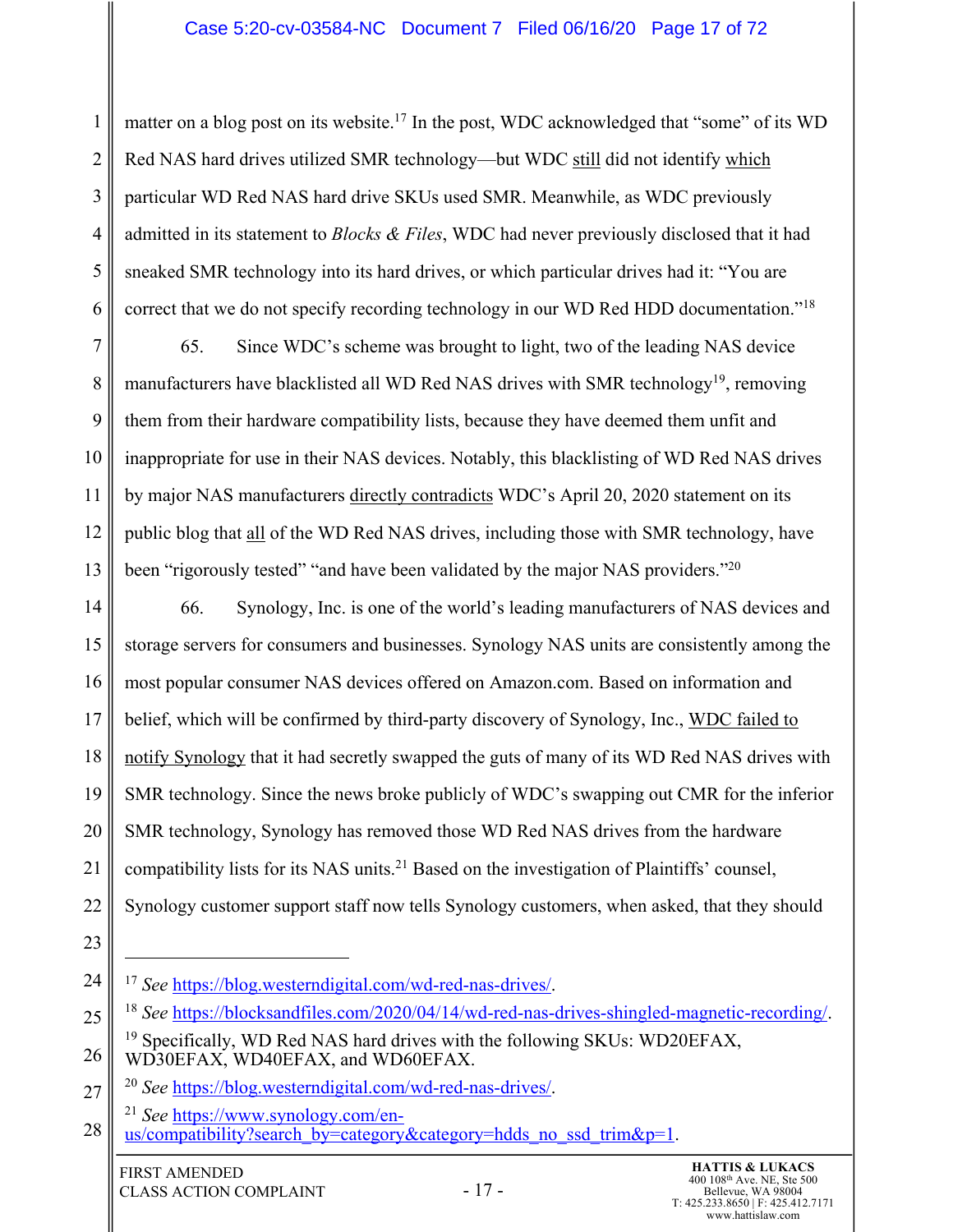## Case 5:20-cv-03584-NC Document 7 Filed 06/16/20 Page 17 of 72

1 2 3 4 5 6 matter on a blog post on its website.<sup>17</sup> In the post, WDC acknowledged that "some" of its WD Red NAS hard drives utilized SMR technology—but WDC still did not identify which particular WD Red NAS hard drive SKUs used SMR. Meanwhile, as WDC previously admitted in its statement to *Blocks & Files*, WDC had never previously disclosed that it had sneaked SMR technology into its hard drives, or which particular drives had it: "You are correct that we do not specify recording technology in our WD Red HDD documentation."<sup>18</sup>

7 8 9 10 11 12 13 65. Since WDC's scheme was brought to light, two of the leading NAS device manufacturers have blacklisted all WD Red NAS drives with SMR technology<sup>19</sup>, removing them from their hardware compatibility lists, because they have deemed them unfit and inappropriate for use in their NAS devices. Notably, this blacklisting of WD Red NAS drives by major NAS manufacturers directly contradicts WDC's April 20, 2020 statement on its public blog that all of the WD Red NAS drives, including those with SMR technology, have been "rigorously tested" "and have been validated by the major NAS providers."<sup>20</sup>

14 15 16 17 18 19 20 21 22 66. Synology, Inc. is one of the world's leading manufacturers of NAS devices and storage servers for consumers and businesses. Synology NAS units are consistently among the most popular consumer NAS devices offered on Amazon.com. Based on information and belief, which will be confirmed by third-party discovery of Synology, Inc., WDC failed to notify Synology that it had secretly swapped the guts of many of its WD Red NAS drives with SMR technology. Since the news broke publicly of WDC's swapping out CMR for the inferior SMR technology, Synology has removed those WD Red NAS drives from the hardware compatibility lists for its NAS units.<sup>21</sup> Based on the investigation of Plaintiffs' counsel, Synology customer support staff now tells Synology customers, when asked, that they should

<sup>24</sup> <sup>17</sup> *See* https://blog.westerndigital.com/wd-red-nas-drives/.

<sup>25</sup> <sup>18</sup> *See* https://blocksandfiles.com/2020/04/14/wd-red-nas-drives-shingled-magnetic-recording/.

<sup>26</sup>  $19$  Specifically, WD Red NAS hard drives with the following SKUs: WD20EFAX, WD30EFAX, WD40EFAX, and WD60EFAX.

<sup>27</sup> <sup>20</sup> *See* https://blog.westerndigital.com/wd-red-nas-drives/.

<sup>21</sup> *See* https://www.synology.com/en-

<sup>28</sup> us/compatibility?search\_by=category&category=hdds\_no\_ssd\_trim&p=1.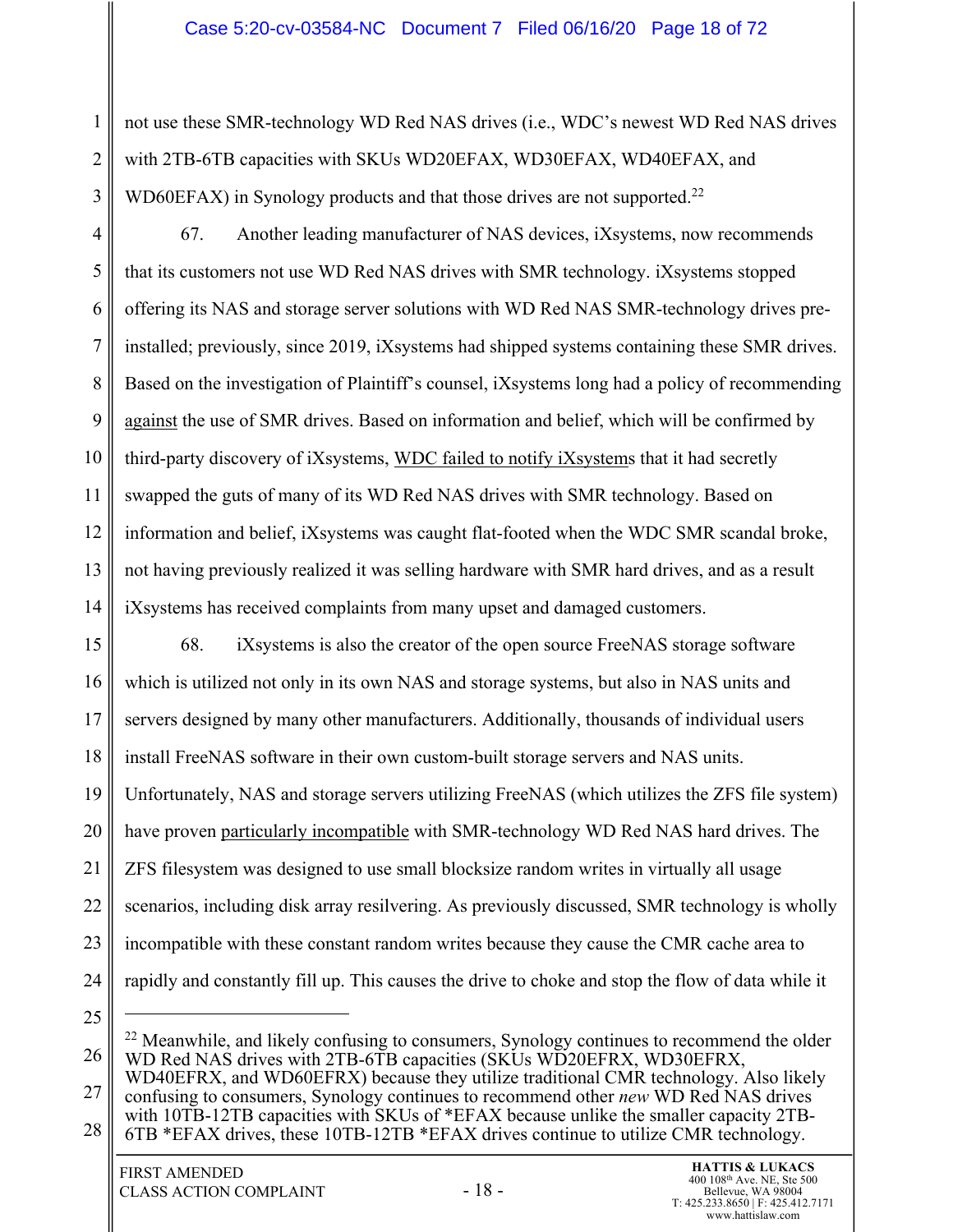not use these SMR-technology WD Red NAS drives (i.e., WDC's newest WD Red NAS drives with 2TB-6TB capacities with SKUs WD20EFAX, WD30EFAX, WD40EFAX, and WD60EFAX) in Synology products and that those drives are not supported.<sup>22</sup>

4 5 6 7 8 9 10 11 12 13 14 67. Another leading manufacturer of NAS devices, iXsystems, now recommends that its customers not use WD Red NAS drives with SMR technology. iXsystems stopped offering its NAS and storage server solutions with WD Red NAS SMR-technology drives preinstalled; previously, since 2019, iXsystems had shipped systems containing these SMR drives. Based on the investigation of Plaintiff's counsel, iXsystems long had a policy of recommending against the use of SMR drives. Based on information and belief, which will be confirmed by third-party discovery of iXsystems, WDC failed to notify iXsystems that it had secretly swapped the guts of many of its WD Red NAS drives with SMR technology. Based on information and belief, iXsystems was caught flat-footed when the WDC SMR scandal broke, not having previously realized it was selling hardware with SMR hard drives, and as a result iXsystems has received complaints from many upset and damaged customers.

15 16 17 18 19 20 21 22 23 24 68. iXsystems is also the creator of the open source FreeNAS storage software which is utilized not only in its own NAS and storage systems, but also in NAS units and servers designed by many other manufacturers. Additionally, thousands of individual users install FreeNAS software in their own custom-built storage servers and NAS units. Unfortunately, NAS and storage servers utilizing FreeNAS (which utilizes the ZFS file system) have proven particularly incompatible with SMR-technology WD Red NAS hard drives. The ZFS filesystem was designed to use small blocksize random writes in virtually all usage scenarios, including disk array resilvering. As previously discussed, SMR technology is wholly incompatible with these constant random writes because they cause the CMR cache area to rapidly and constantly fill up. This causes the drive to choke and stop the flow of data while it

25

1

2

3

26  $22$  Meanwhile, and likely confusing to consumers, Synology continues to recommend the older WD Red NAS drives with 2TB-6TB capacities (SKUs WD20EFRX, WD30EFRX,

27 28 WD40EFRX, and WD60EFRX) because they utilize traditional CMR technology. Also likely confusing to consumers, Synology continues to recommend other *new* WD Red NAS drives with 10TB-12TB capacities with SKUs of \*EFAX because unlike the smaller capacity 2TB-6TB \*EFAX drives, these 10TB-12TB \*EFAX drives continue to utilize CMR technology.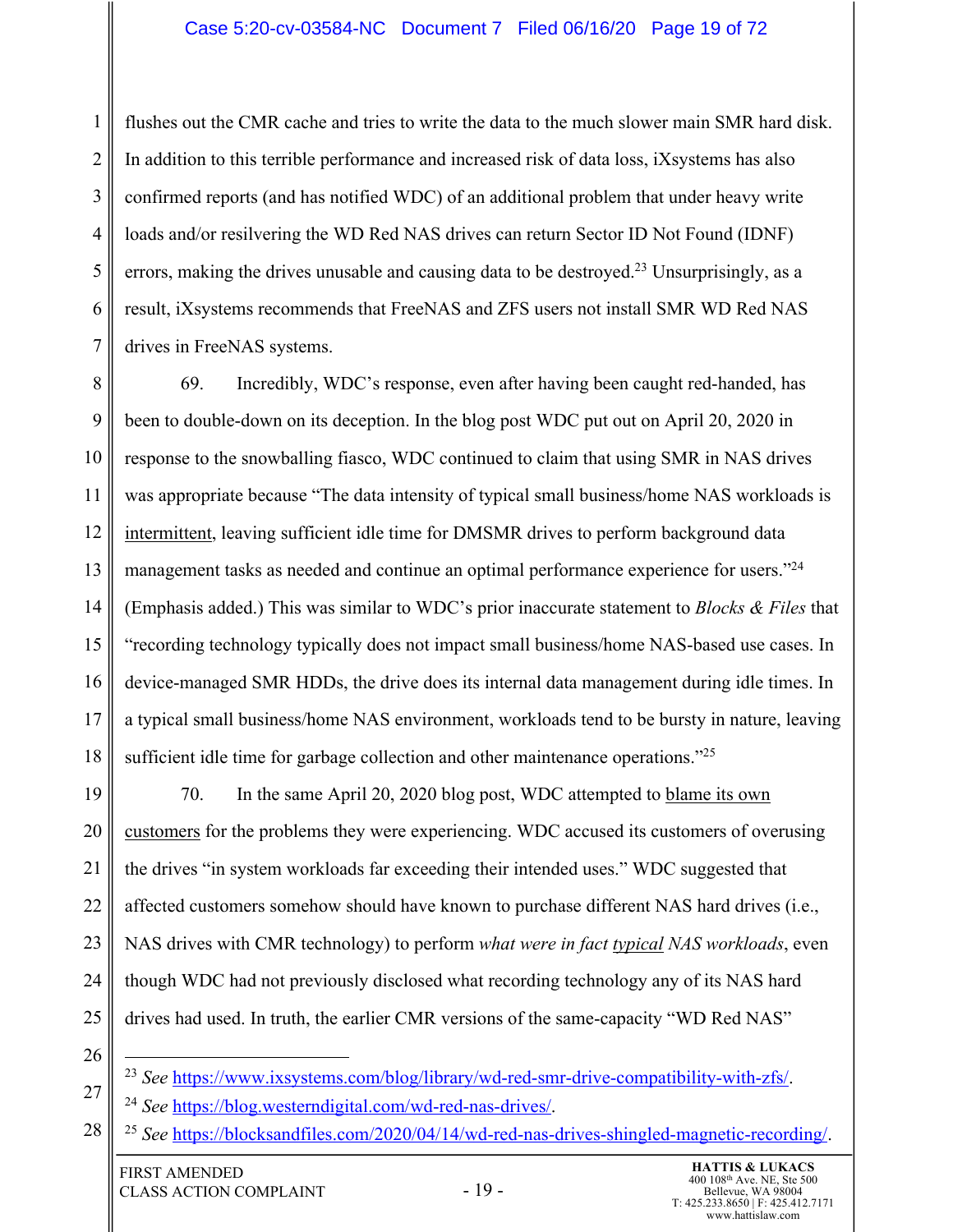## Case 5:20-cv-03584-NC Document 7 Filed 06/16/20 Page 19 of 72

1 2 3 4 5 6 7 flushes out the CMR cache and tries to write the data to the much slower main SMR hard disk. In addition to this terrible performance and increased risk of data loss, iXsystems has also confirmed reports (and has notified WDC) of an additional problem that under heavy write loads and/or resilvering the WD Red NAS drives can return Sector ID Not Found (IDNF) errors, making the drives unusable and causing data to be destroyed.<sup>23</sup> Unsurprisingly, as a result, iXsystems recommends that FreeNAS and ZFS users not install SMR WD Red NAS drives in FreeNAS systems.

8 9 10 11 12 13 14 15 16 17 18 69. Incredibly, WDC's response, even after having been caught red-handed, has been to double-down on its deception. In the blog post WDC put out on April 20, 2020 in response to the snowballing fiasco, WDC continued to claim that using SMR in NAS drives was appropriate because "The data intensity of typical small business/home NAS workloads is intermittent, leaving sufficient idle time for DMSMR drives to perform background data management tasks as needed and continue an optimal performance experience for users."<sup>24</sup> (Emphasis added.) This was similar to WDC's prior inaccurate statement to *Blocks & Files* that "recording technology typically does not impact small business/home NAS-based use cases. In device-managed SMR HDDs, the drive does its internal data management during idle times. In a typical small business/home NAS environment, workloads tend to be bursty in nature, leaving sufficient idle time for garbage collection and other maintenance operations."<sup>25</sup>

19 20 21 22 23 24 25 70. In the same April 20, 2020 blog post, WDC attempted to blame its own customers for the problems they were experiencing. WDC accused its customers of overusing the drives "in system workloads far exceeding their intended uses." WDC suggested that affected customers somehow should have known to purchase different NAS hard drives (i.e., NAS drives with CMR technology) to perform *what were in fact typical NAS workloads*, even though WDC had not previously disclosed what recording technology any of its NAS hard drives had used. In truth, the earlier CMR versions of the same-capacity "WD Red NAS"

<sup>27</sup> <sup>23</sup> *See* https://www.ixsystems.com/blog/library/wd-red-smr-drive-compatibility-with-zfs/.

<sup>24</sup> *See* https://blog.westerndigital.com/wd-red-nas-drives/.

<sup>28</sup> <sup>25</sup> *See* https://blocksandfiles.com/2020/04/14/wd-red-nas-drives-shingled-magnetic-recording/.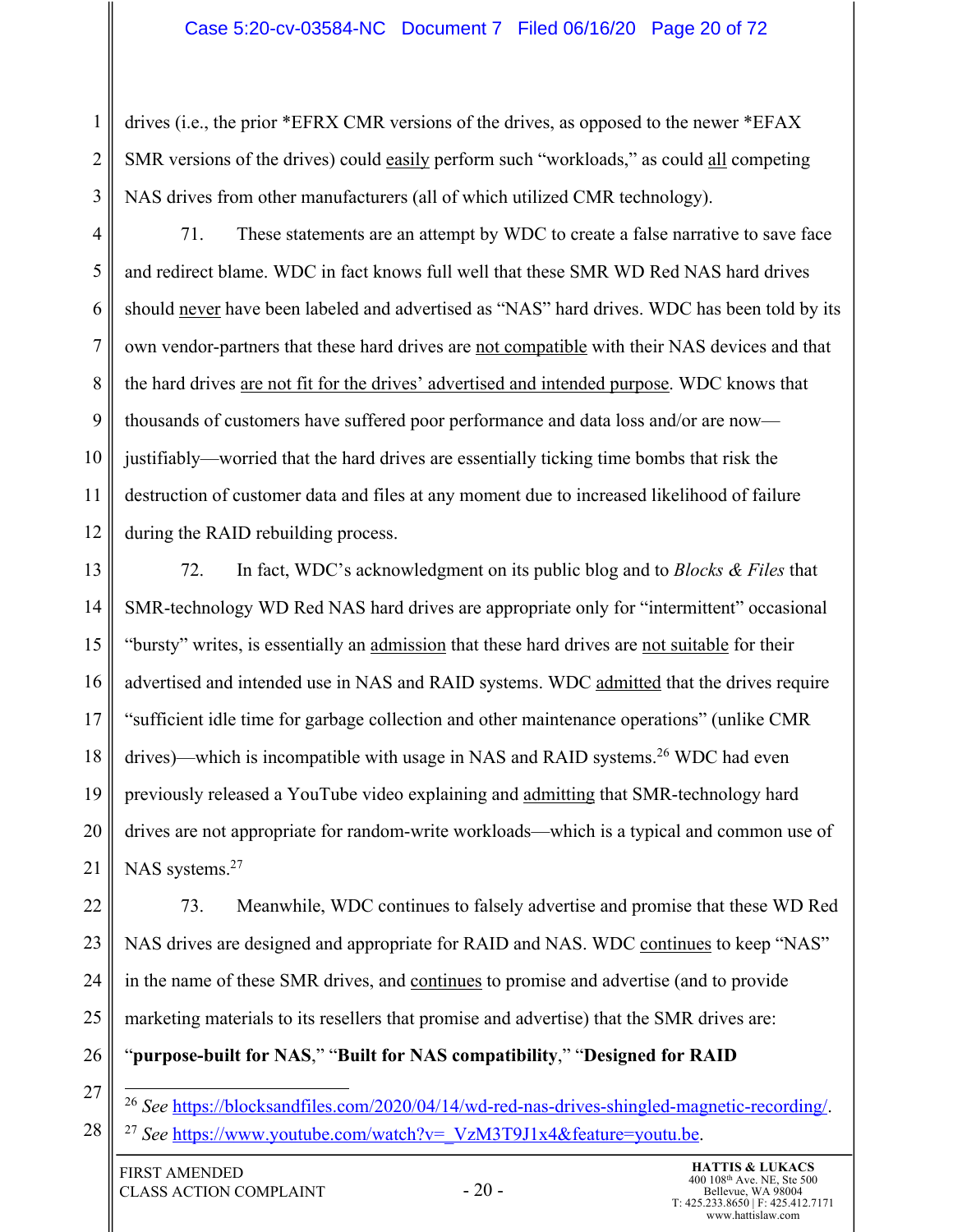## Case 5:20-cv-03584-NC Document 7 Filed 06/16/20 Page 20 of 72

drives (i.e., the prior \*EFRX CMR versions of the drives, as opposed to the newer \*EFAX SMR versions of the drives) could easily perform such "workloads," as could all competing NAS drives from other manufacturers (all of which utilized CMR technology).

4 5 6 7 8 9 10 11 12 71. These statements are an attempt by WDC to create a false narrative to save face and redirect blame. WDC in fact knows full well that these SMR WD Red NAS hard drives should never have been labeled and advertised as "NAS" hard drives. WDC has been told by its own vendor-partners that these hard drives are not compatible with their NAS devices and that the hard drives are not fit for the drives' advertised and intended purpose. WDC knows that thousands of customers have suffered poor performance and data loss and/or are now justifiably—worried that the hard drives are essentially ticking time bombs that risk the destruction of customer data and files at any moment due to increased likelihood of failure during the RAID rebuilding process.

13 14 15 16 17 18 19 20 21 72. In fact, WDC's acknowledgment on its public blog and to *Blocks & Files* that SMR-technology WD Red NAS hard drives are appropriate only for "intermittent" occasional "bursty" writes, is essentially an admission that these hard drives are not suitable for their advertised and intended use in NAS and RAID systems. WDC admitted that the drives require "sufficient idle time for garbage collection and other maintenance operations" (unlike CMR drives)—which is incompatible with usage in NAS and RAID systems. <sup>26</sup> WDC had even previously released a YouTube video explaining and admitting that SMR-technology hard drives are not appropriate for random-write workloads—which is a typical and common use of NAS systems.<sup>27</sup>

22 23 24 25 73. Meanwhile, WDC continues to falsely advertise and promise that these WD Red NAS drives are designed and appropriate for RAID and NAS. WDC continues to keep "NAS" in the name of these SMR drives, and continues to promise and advertise (and to provide marketing materials to its resellers that promise and advertise) that the SMR drives are:

#### 26 "**purpose-built for NAS**," "**Built for NAS compatibility**," "**Designed for RAID**

27

28

1

2

3

<sup>26</sup> *See* https://blocksandfiles.com/2020/04/14/wd-red-nas-drives-shingled-magnetic-recording/. <sup>27</sup> See https://www.youtube.com/watch?v=\_VzM3T9J1x4&feature=youtu.be.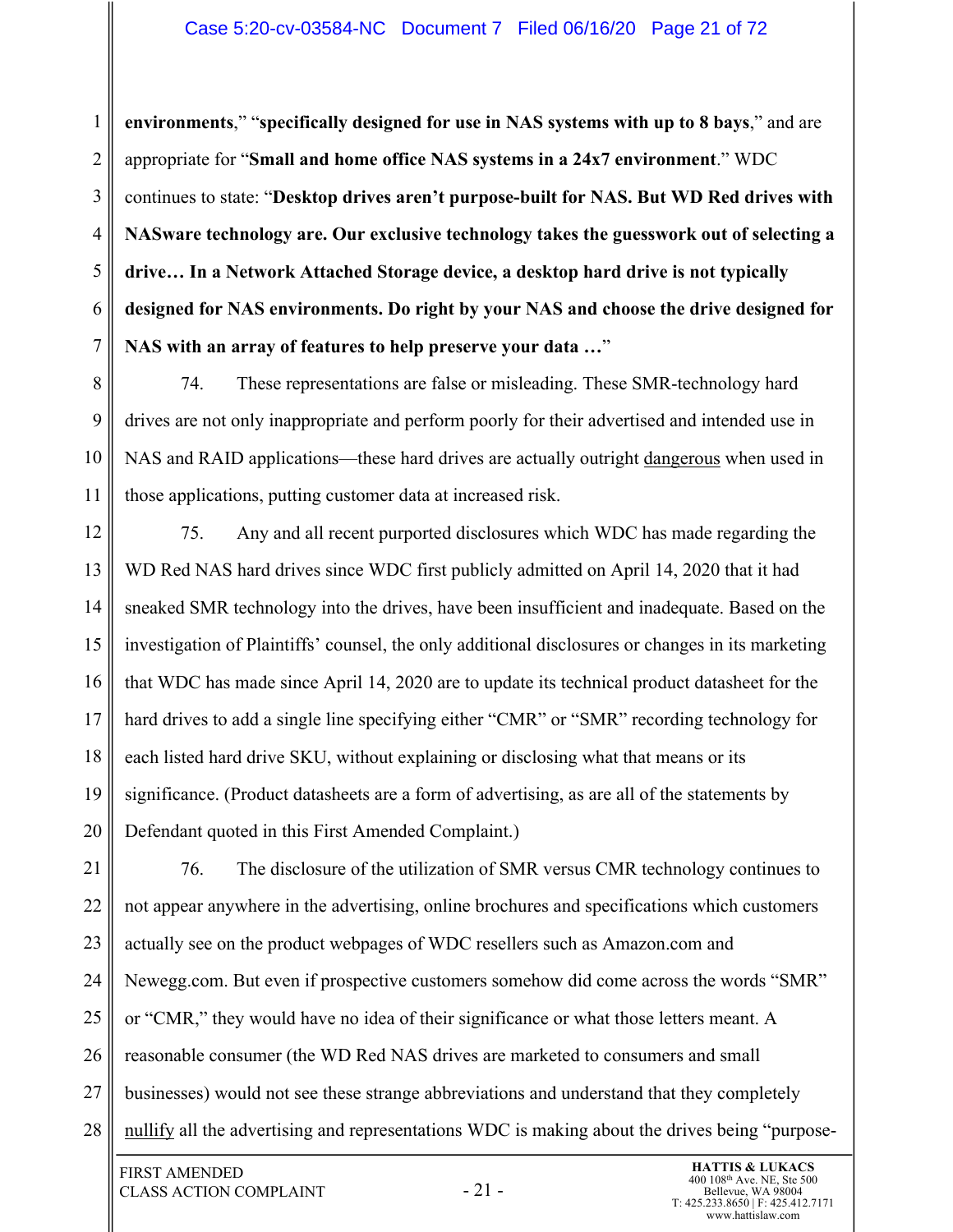1 2 3 4 5 6 7 **environments**," "**specifically designed for use in NAS systems with up to 8 bays**," and are appropriate for "**Small and home office NAS systems in a 24x7 environment**." WDC continues to state: "**Desktop drives aren't purpose-built for NAS. But WD Red drives with NASware technology are. Our exclusive technology takes the guesswork out of selecting a drive… In a Network Attached Storage device, a desktop hard drive is not typically designed for NAS environments. Do right by your NAS and choose the drive designed for NAS with an array of features to help preserve your data …**"

8 9 10 11 74. These representations are false or misleading. These SMR-technology hard drives are not only inappropriate and perform poorly for their advertised and intended use in NAS and RAID applications—these hard drives are actually outright dangerous when used in those applications, putting customer data at increased risk.

12 13 14 15 16 17 18 19 20 75. Any and all recent purported disclosures which WDC has made regarding the WD Red NAS hard drives since WDC first publicly admitted on April 14, 2020 that it had sneaked SMR technology into the drives, have been insufficient and inadequate. Based on the investigation of Plaintiffs' counsel, the only additional disclosures or changes in its marketing that WDC has made since April 14, 2020 are to update its technical product datasheet for the hard drives to add a single line specifying either "CMR" or "SMR" recording technology for each listed hard drive SKU, without explaining or disclosing what that means or its significance. (Product datasheets are a form of advertising, as are all of the statements by Defendant quoted in this First Amended Complaint.)

21 22 23 24 25 26 27 28 76. The disclosure of the utilization of SMR versus CMR technology continues to not appear anywhere in the advertising, online brochures and specifications which customers actually see on the product webpages of WDC resellers such as Amazon.com and Newegg.com. But even if prospective customers somehow did come across the words "SMR" or "CMR," they would have no idea of their significance or what those letters meant. A reasonable consumer (the WD Red NAS drives are marketed to consumers and small businesses) would not see these strange abbreviations and understand that they completely nullify all the advertising and representations WDC is making about the drives being "purpose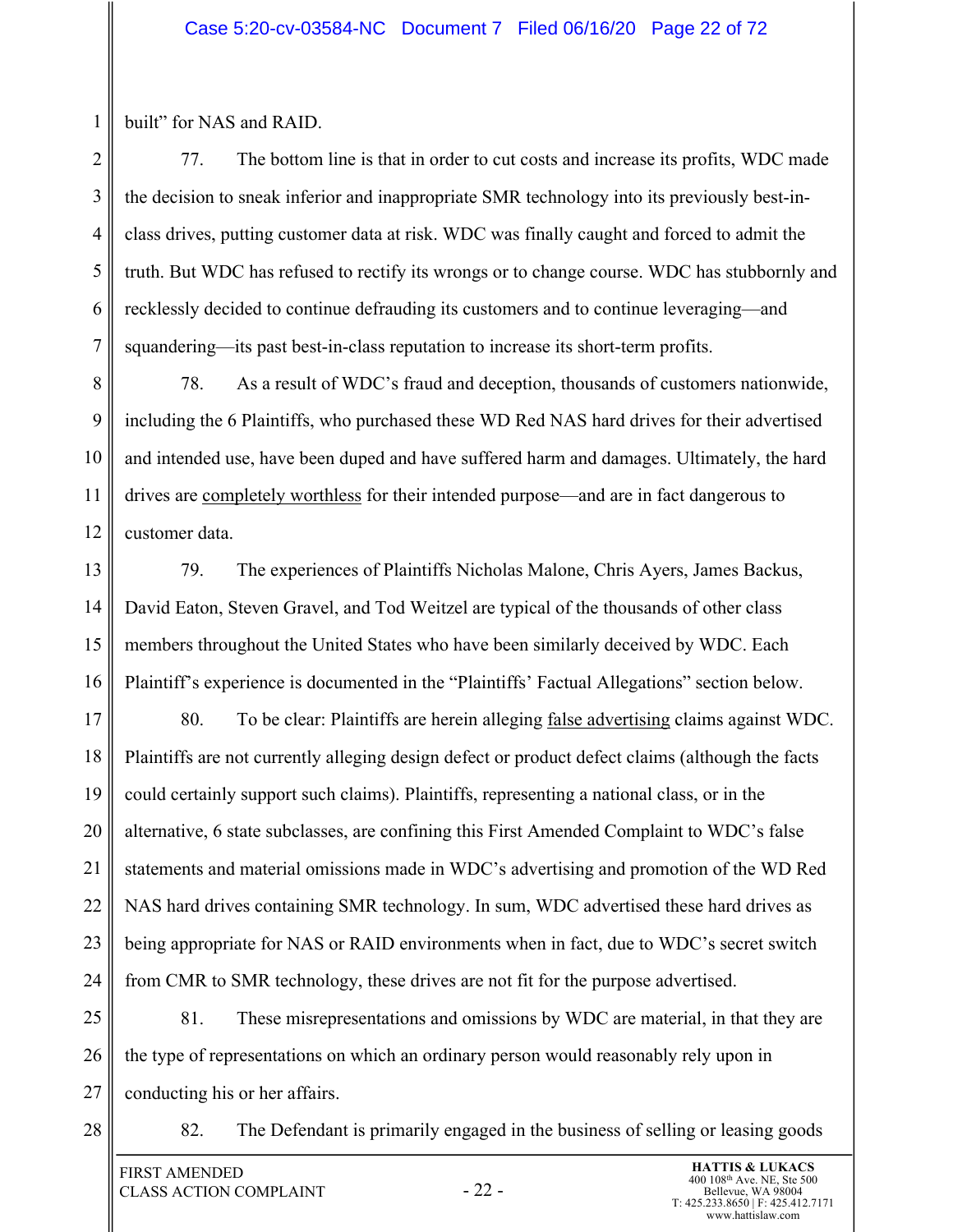built" for NAS and RAID.

1

2 3 4 5 6 7 77. The bottom line is that in order to cut costs and increase its profits, WDC made the decision to sneak inferior and inappropriate SMR technology into its previously best-inclass drives, putting customer data at risk. WDC was finally caught and forced to admit the truth. But WDC has refused to rectify its wrongs or to change course. WDC has stubbornly and recklessly decided to continue defrauding its customers and to continue leveraging—and squandering—its past best-in-class reputation to increase its short-term profits.

8 9 10 11 12 78. As a result of WDC's fraud and deception, thousands of customers nationwide, including the 6 Plaintiffs, who purchased these WD Red NAS hard drives for their advertised and intended use, have been duped and have suffered harm and damages. Ultimately, the hard drives are completely worthless for their intended purpose—and are in fact dangerous to customer data.

13 14 15 16 79. The experiences of Plaintiffs Nicholas Malone, Chris Ayers, James Backus, David Eaton, Steven Gravel, and Tod Weitzel are typical of the thousands of other class members throughout the United States who have been similarly deceived by WDC. Each Plaintiff's experience is documented in the "Plaintiffs' Factual Allegations" section below.

17 18 19 20 21 22 23 24 80. To be clear: Plaintiffs are herein alleging false advertising claims against WDC. Plaintiffs are not currently alleging design defect or product defect claims (although the facts could certainly support such claims). Plaintiffs, representing a national class, or in the alternative, 6 state subclasses, are confining this First Amended Complaint to WDC's false statements and material omissions made in WDC's advertising and promotion of the WD Red NAS hard drives containing SMR technology. In sum, WDC advertised these hard drives as being appropriate for NAS or RAID environments when in fact, due to WDC's secret switch from CMR to SMR technology, these drives are not fit for the purpose advertised.

25 26 27 81. These misrepresentations and omissions by WDC are material, in that they are the type of representations on which an ordinary person would reasonably rely upon in conducting his or her affairs.

28

82. The Defendant is primarily engaged in the business of selling or leasing goods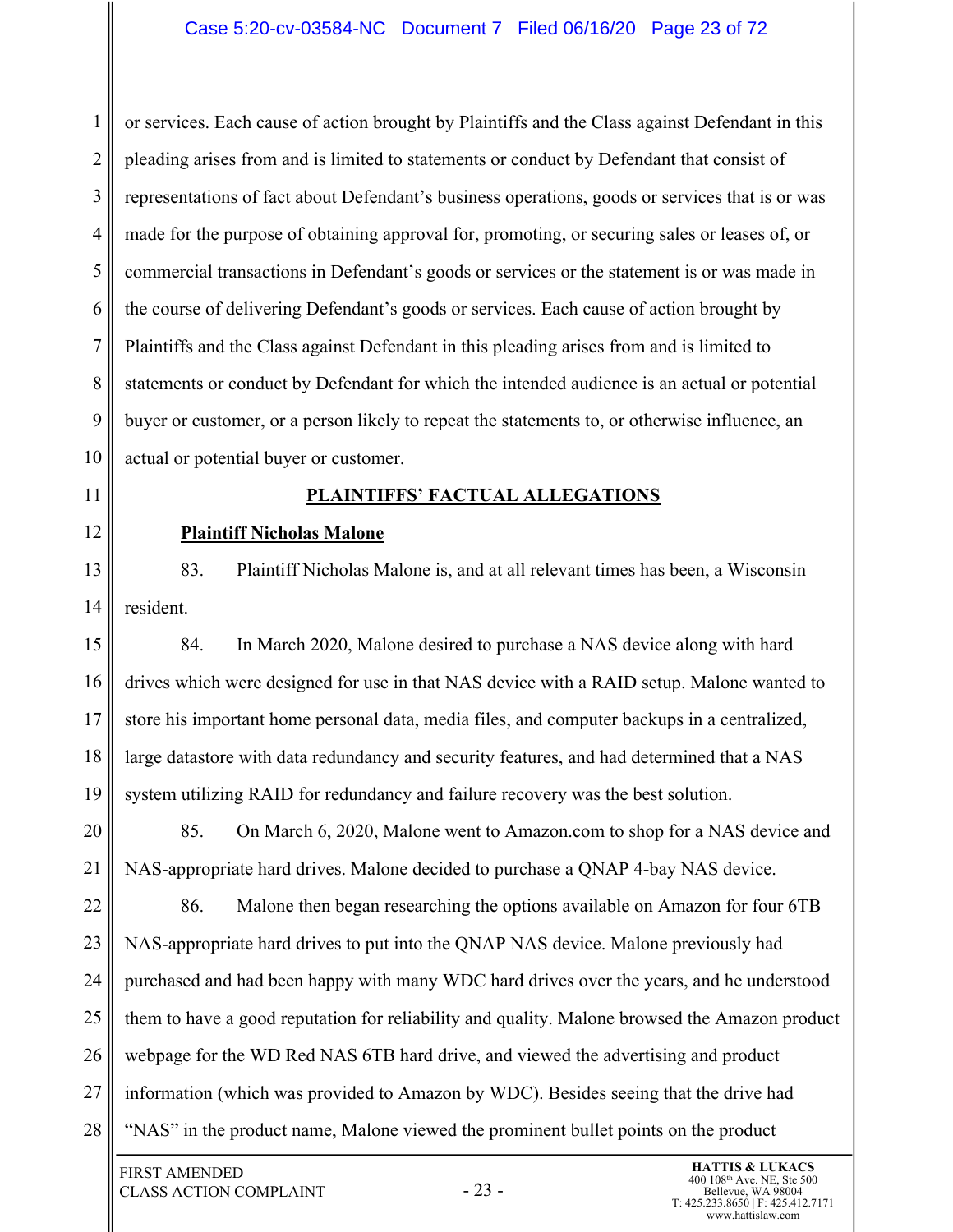## Case 5:20-cv-03584-NC Document 7 Filed 06/16/20 Page 23 of 72

1 2 3 4 5 6 7 8 9 10 or services. Each cause of action brought by Plaintiffs and the Class against Defendant in this pleading arises from and is limited to statements or conduct by Defendant that consist of representations of fact about Defendant's business operations, goods or services that is or was made for the purpose of obtaining approval for, promoting, or securing sales or leases of, or commercial transactions in Defendant's goods or services or the statement is or was made in the course of delivering Defendant's goods or services. Each cause of action brought by Plaintiffs and the Class against Defendant in this pleading arises from and is limited to statements or conduct by Defendant for which the intended audience is an actual or potential buyer or customer, or a person likely to repeat the statements to, or otherwise influence, an actual or potential buyer or customer.

# **PLAINTIFFS' FACTUAL ALLEGATIONS**

# **Plaintiff Nicholas Malone**

11

12

13 14 83. Plaintiff Nicholas Malone is, and at all relevant times has been, a Wisconsin resident.

15 16 17 18 19 84. In March 2020, Malone desired to purchase a NAS device along with hard drives which were designed for use in that NAS device with a RAID setup. Malone wanted to store his important home personal data, media files, and computer backups in a centralized, large datastore with data redundancy and security features, and had determined that a NAS system utilizing RAID for redundancy and failure recovery was the best solution.

20 21 85. On March 6, 2020, Malone went to Amazon.com to shop for a NAS device and NAS-appropriate hard drives. Malone decided to purchase a QNAP 4-bay NAS device.

22 23 24 25 26 27 28 86. Malone then began researching the options available on Amazon for four 6TB NAS-appropriate hard drives to put into the QNAP NAS device. Malone previously had purchased and had been happy with many WDC hard drives over the years, and he understood them to have a good reputation for reliability and quality. Malone browsed the Amazon product webpage for the WD Red NAS 6TB hard drive, and viewed the advertising and product information (which was provided to Amazon by WDC). Besides seeing that the drive had "NAS" in the product name, Malone viewed the prominent bullet points on the product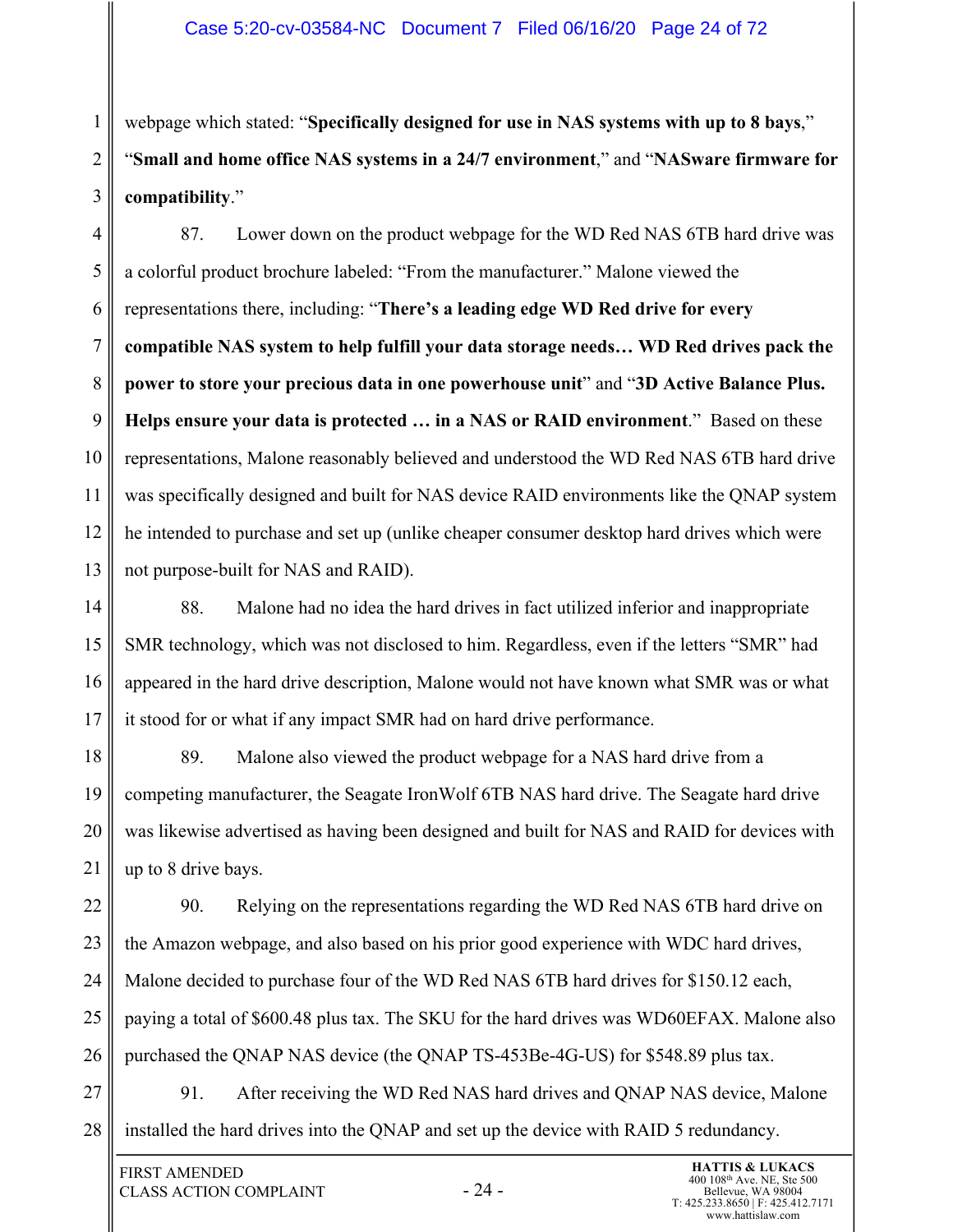webpage which stated: "**Specifically designed for use in NAS systems with up to 8 bays**," "**Small and home office NAS systems in a 24/7 environment**," and "**NASware firmware for compatibility**."

4 5 6 7 8 9 10 11 12 13 87. Lower down on the product webpage for the WD Red NAS 6TB hard drive was a colorful product brochure labeled: "From the manufacturer." Malone viewed the representations there, including: "**There's a leading edge WD Red drive for every compatible NAS system to help fulfill your data storage needs… WD Red drives pack the power to store your precious data in one powerhouse unit**" and "**3D Active Balance Plus. Helps ensure your data is protected … in a NAS or RAID environment**." Based on these representations, Malone reasonably believed and understood the WD Red NAS 6TB hard drive was specifically designed and built for NAS device RAID environments like the QNAP system he intended to purchase and set up (unlike cheaper consumer desktop hard drives which were not purpose-built for NAS and RAID).

14 15 16 17 88. Malone had no idea the hard drives in fact utilized inferior and inappropriate SMR technology, which was not disclosed to him. Regardless, even if the letters "SMR" had appeared in the hard drive description, Malone would not have known what SMR was or what it stood for or what if any impact SMR had on hard drive performance.

18 19 20 21 89. Malone also viewed the product webpage for a NAS hard drive from a competing manufacturer, the Seagate IronWolf 6TB NAS hard drive. The Seagate hard drive was likewise advertised as having been designed and built for NAS and RAID for devices with up to 8 drive bays.

22 23 24 25 26 90. Relying on the representations regarding the WD Red NAS 6TB hard drive on the Amazon webpage, and also based on his prior good experience with WDC hard drives, Malone decided to purchase four of the WD Red NAS 6TB hard drives for \$150.12 each, paying a total of \$600.48 plus tax. The SKU for the hard drives was WD60EFAX. Malone also purchased the QNAP NAS device (the QNAP TS-453Be-4G-US) for \$548.89 plus tax.

27 28 91. After receiving the WD Red NAS hard drives and QNAP NAS device, Malone installed the hard drives into the QNAP and set up the device with RAID 5 redundancy.

1

2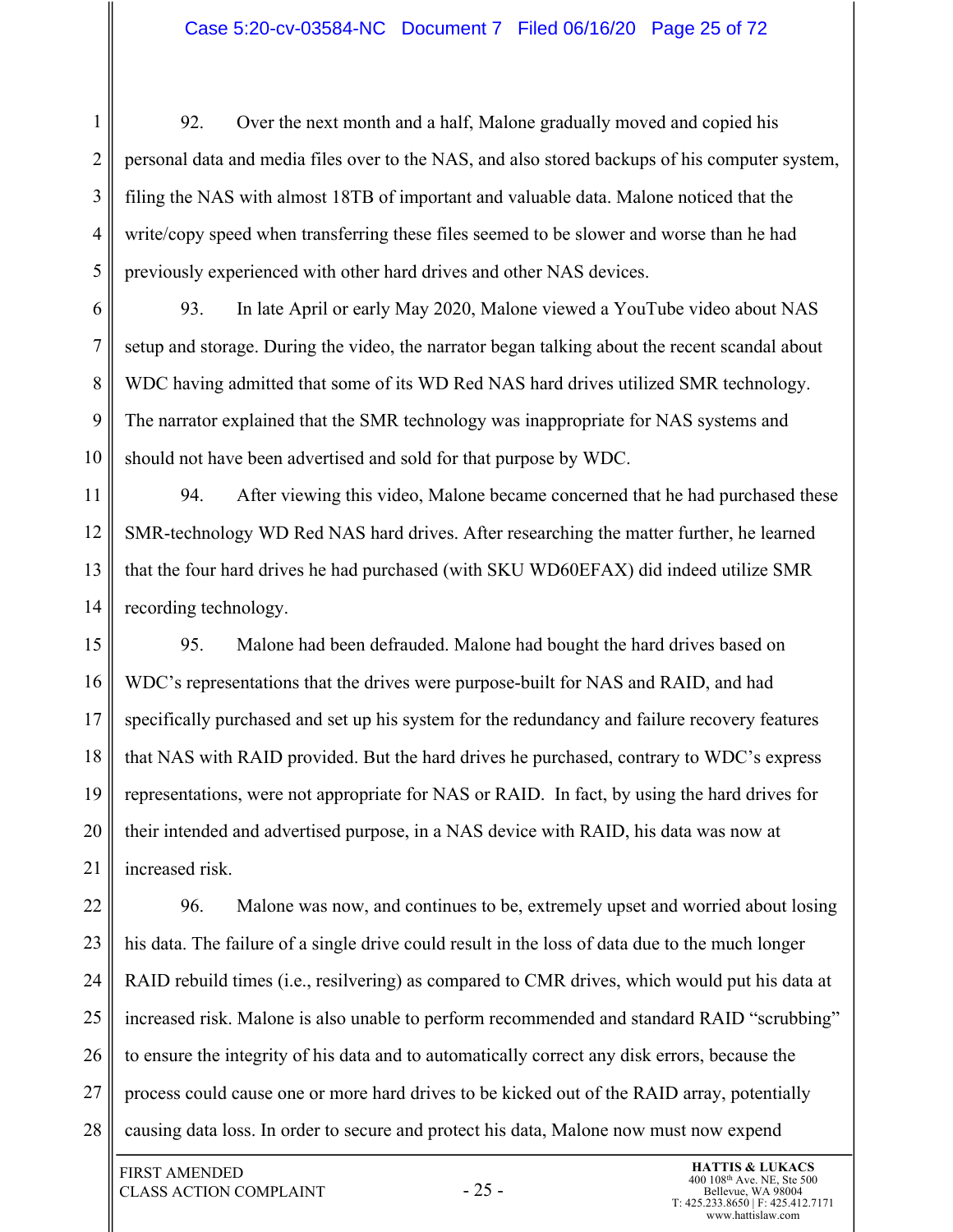#### Case 5:20-cv-03584-NC Document 7 Filed 06/16/20 Page 25 of 72

1 2 3 4 5 92. Over the next month and a half, Malone gradually moved and copied his personal data and media files over to the NAS, and also stored backups of his computer system, filing the NAS with almost 18TB of important and valuable data. Malone noticed that the write/copy speed when transferring these files seemed to be slower and worse than he had previously experienced with other hard drives and other NAS devices.

6 7 8 9 10 93. In late April or early May 2020, Malone viewed a YouTube video about NAS setup and storage. During the video, the narrator began talking about the recent scandal about WDC having admitted that some of its WD Red NAS hard drives utilized SMR technology. The narrator explained that the SMR technology was inappropriate for NAS systems and should not have been advertised and sold for that purpose by WDC.

11 12 13 14 94. After viewing this video, Malone became concerned that he had purchased these SMR-technology WD Red NAS hard drives. After researching the matter further, he learned that the four hard drives he had purchased (with SKU WD60EFAX) did indeed utilize SMR recording technology.

15 16 17 18 19 20 21 95. Malone had been defrauded. Malone had bought the hard drives based on WDC's representations that the drives were purpose-built for NAS and RAID, and had specifically purchased and set up his system for the redundancy and failure recovery features that NAS with RAID provided. But the hard drives he purchased, contrary to WDC's express representations, were not appropriate for NAS or RAID. In fact, by using the hard drives for their intended and advertised purpose, in a NAS device with RAID, his data was now at increased risk.

22 23 24 25 26 27 28 96. Malone was now, and continues to be, extremely upset and worried about losing his data. The failure of a single drive could result in the loss of data due to the much longer RAID rebuild times (i.e., resilvering) as compared to CMR drives, which would put his data at increased risk. Malone is also unable to perform recommended and standard RAID "scrubbing" to ensure the integrity of his data and to automatically correct any disk errors, because the process could cause one or more hard drives to be kicked out of the RAID array, potentially causing data loss. In order to secure and protect his data, Malone now must now expend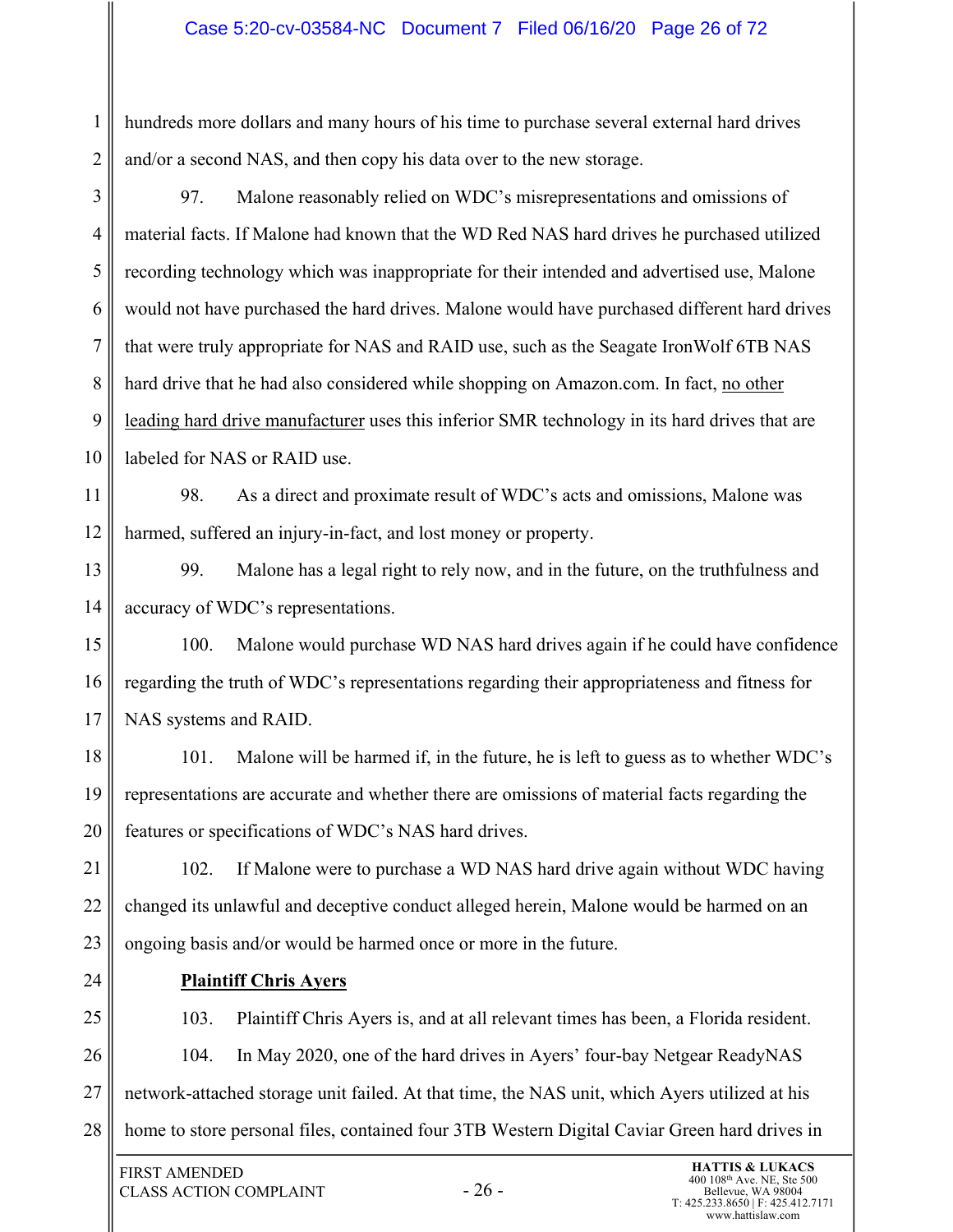## Case 5:20-cv-03584-NC Document 7 Filed 06/16/20 Page 26 of 72

1 2 hundreds more dollars and many hours of his time to purchase several external hard drives and/or a second NAS, and then copy his data over to the new storage.

3 4 5 6 7 8 9 10 97. Malone reasonably relied on WDC's misrepresentations and omissions of material facts. If Malone had known that the WD Red NAS hard drives he purchased utilized recording technology which was inappropriate for their intended and advertised use, Malone would not have purchased the hard drives. Malone would have purchased different hard drives that were truly appropriate for NAS and RAID use, such as the Seagate IronWolf 6TB NAS hard drive that he had also considered while shopping on Amazon.com. In fact, no other leading hard drive manufacturer uses this inferior SMR technology in its hard drives that are labeled for NAS or RAID use.

11 12 98. As a direct and proximate result of WDC's acts and omissions, Malone was harmed, suffered an injury-in-fact, and lost money or property.

13 14 99. Malone has a legal right to rely now, and in the future, on the truthfulness and accuracy of WDC's representations.

15 16 17 100. Malone would purchase WD NAS hard drives again if he could have confidence regarding the truth of WDC's representations regarding their appropriateness and fitness for NAS systems and RAID.

18 19 20 101. Malone will be harmed if, in the future, he is left to guess as to whether WDC's representations are accurate and whether there are omissions of material facts regarding the features or specifications of WDC's NAS hard drives.

21 22 23 102. If Malone were to purchase a WD NAS hard drive again without WDC having changed its unlawful and deceptive conduct alleged herein, Malone would be harmed on an ongoing basis and/or would be harmed once or more in the future.

24

## **Plaintiff Chris Ayers**

25 26 27 28 103. Plaintiff Chris Ayers is, and at all relevant times has been, a Florida resident. 104. In May 2020, one of the hard drives in Ayers' four-bay Netgear ReadyNAS network-attached storage unit failed. At that time, the NAS unit, which Ayers utilized at his home to store personal files, contained four 3TB Western Digital Caviar Green hard drives in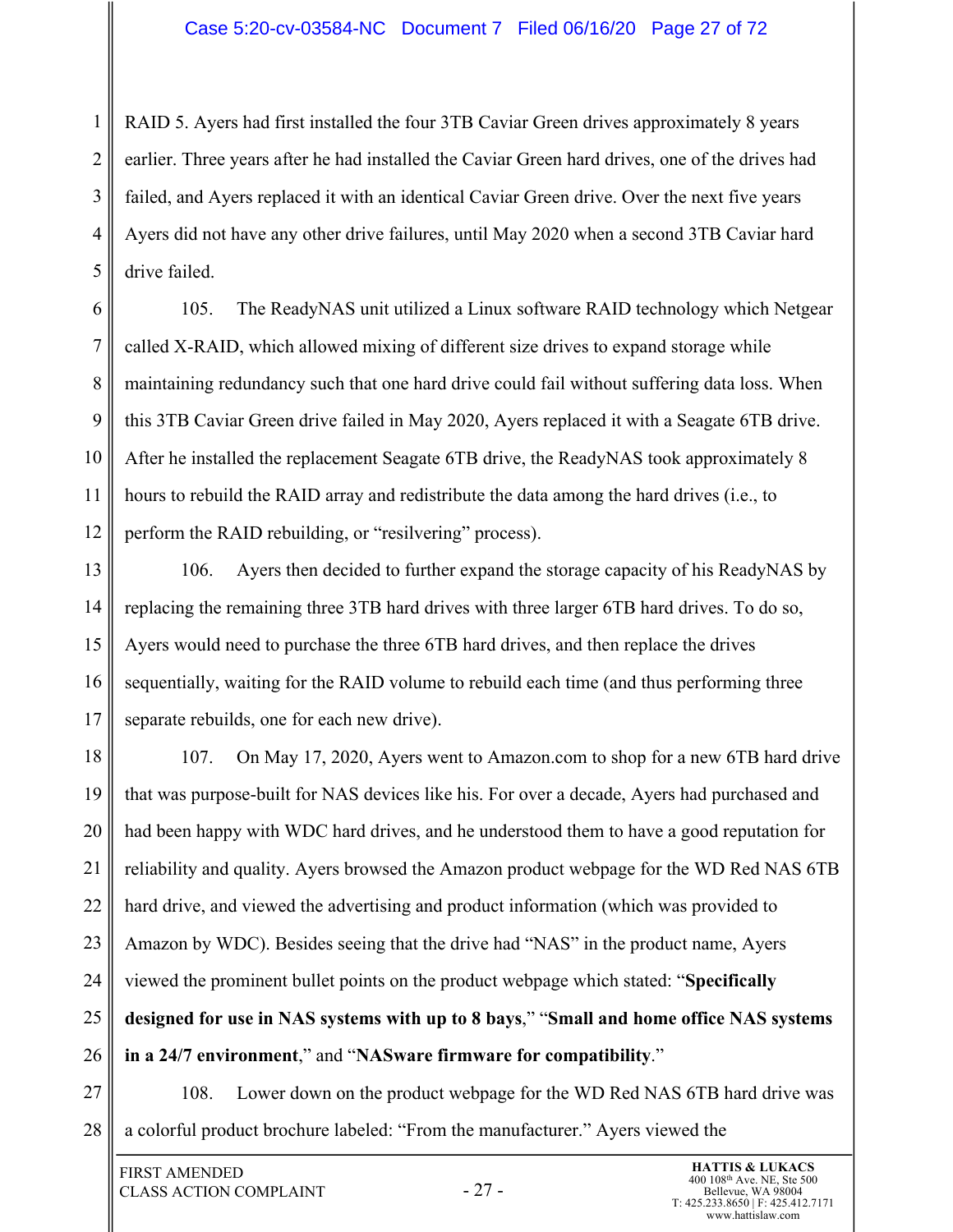2 3 4 5 RAID 5. Ayers had first installed the four 3TB Caviar Green drives approximately 8 years earlier. Three years after he had installed the Caviar Green hard drives, one of the drives had failed, and Ayers replaced it with an identical Caviar Green drive. Over the next five years Ayers did not have any other drive failures, until May 2020 when a second 3TB Caviar hard drive failed.

6 7 8 9 10 11 12 105. The ReadyNAS unit utilized a Linux software RAID technology which Netgear called X-RAID, which allowed mixing of different size drives to expand storage while maintaining redundancy such that one hard drive could fail without suffering data loss. When this 3TB Caviar Green drive failed in May 2020, Ayers replaced it with a Seagate 6TB drive. After he installed the replacement Seagate 6TB drive, the ReadyNAS took approximately 8 hours to rebuild the RAID array and redistribute the data among the hard drives (i.e., to perform the RAID rebuilding, or "resilvering" process).

13 14 15 16 17 106. Ayers then decided to further expand the storage capacity of his ReadyNAS by replacing the remaining three 3TB hard drives with three larger 6TB hard drives. To do so, Ayers would need to purchase the three 6TB hard drives, and then replace the drives sequentially, waiting for the RAID volume to rebuild each time (and thus performing three separate rebuilds, one for each new drive).

18 19 20 21 22 23 24 25 26 107. On May 17, 2020, Ayers went to Amazon.com to shop for a new 6TB hard drive that was purpose-built for NAS devices like his. For over a decade, Ayers had purchased and had been happy with WDC hard drives, and he understood them to have a good reputation for reliability and quality. Ayers browsed the Amazon product webpage for the WD Red NAS 6TB hard drive, and viewed the advertising and product information (which was provided to Amazon by WDC). Besides seeing that the drive had "NAS" in the product name, Ayers viewed the prominent bullet points on the product webpage which stated: "**Specifically designed for use in NAS systems with up to 8 bays**," "**Small and home office NAS systems in a 24/7 environment**," and "**NASware firmware for compatibility**."

27

28

1

108. Lower down on the product webpage for the WD Red NAS 6TB hard drive was a colorful product brochure labeled: "From the manufacturer." Ayers viewed the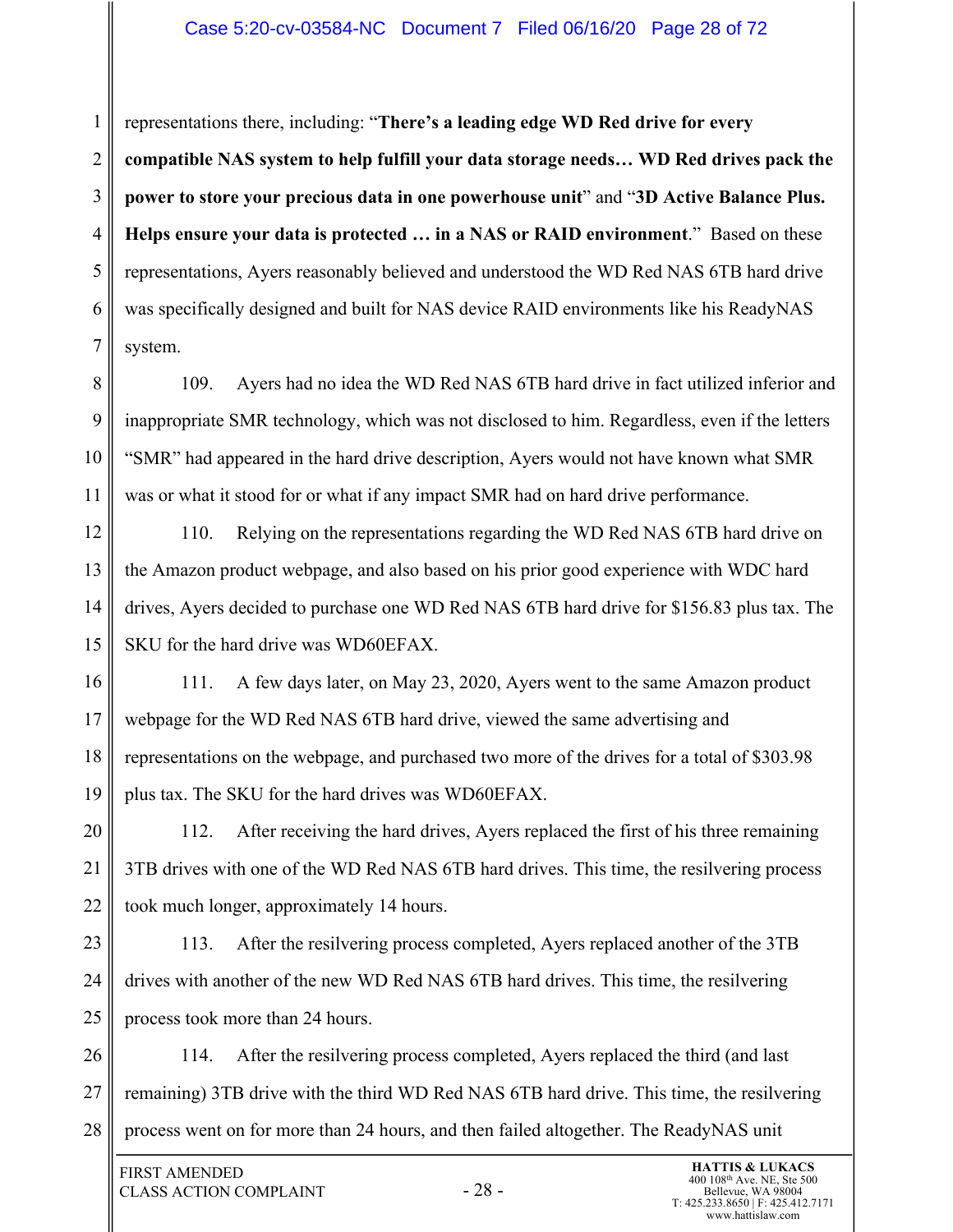#### Case 5:20-cv-03584-NC Document 7 Filed 06/16/20 Page 28 of 72

1 2 3 4 5 6 7 representations there, including: "**There's a leading edge WD Red drive for every compatible NAS system to help fulfill your data storage needs… WD Red drives pack the power to store your precious data in one powerhouse unit**" and "**3D Active Balance Plus. Helps ensure your data is protected … in a NAS or RAID environment**." Based on these representations, Ayers reasonably believed and understood the WD Red NAS 6TB hard drive was specifically designed and built for NAS device RAID environments like his ReadyNAS system.

8 9 10 11 109. Ayers had no idea the WD Red NAS 6TB hard drive in fact utilized inferior and inappropriate SMR technology, which was not disclosed to him. Regardless, even if the letters "SMR" had appeared in the hard drive description, Ayers would not have known what SMR was or what it stood for or what if any impact SMR had on hard drive performance.

12 13 14 15 110. Relying on the representations regarding the WD Red NAS 6TB hard drive on the Amazon product webpage, and also based on his prior good experience with WDC hard drives, Ayers decided to purchase one WD Red NAS 6TB hard drive for \$156.83 plus tax. The SKU for the hard drive was WD60EFAX.

16 17 18 19 111. A few days later, on May 23, 2020, Ayers went to the same Amazon product webpage for the WD Red NAS 6TB hard drive, viewed the same advertising and representations on the webpage, and purchased two more of the drives for a total of \$303.98 plus tax. The SKU for the hard drives was WD60EFAX.

20 21 22 112. After receiving the hard drives, Ayers replaced the first of his three remaining 3TB drives with one of the WD Red NAS 6TB hard drives. This time, the resilvering process took much longer, approximately 14 hours.

23 24 25 113. After the resilvering process completed, Ayers replaced another of the 3TB drives with another of the new WD Red NAS 6TB hard drives. This time, the resilvering process took more than 24 hours.

26 27 28 114. After the resilvering process completed, Ayers replaced the third (and last remaining) 3TB drive with the third WD Red NAS 6TB hard drive. This time, the resilvering process went on for more than 24 hours, and then failed altogether. The ReadyNAS unit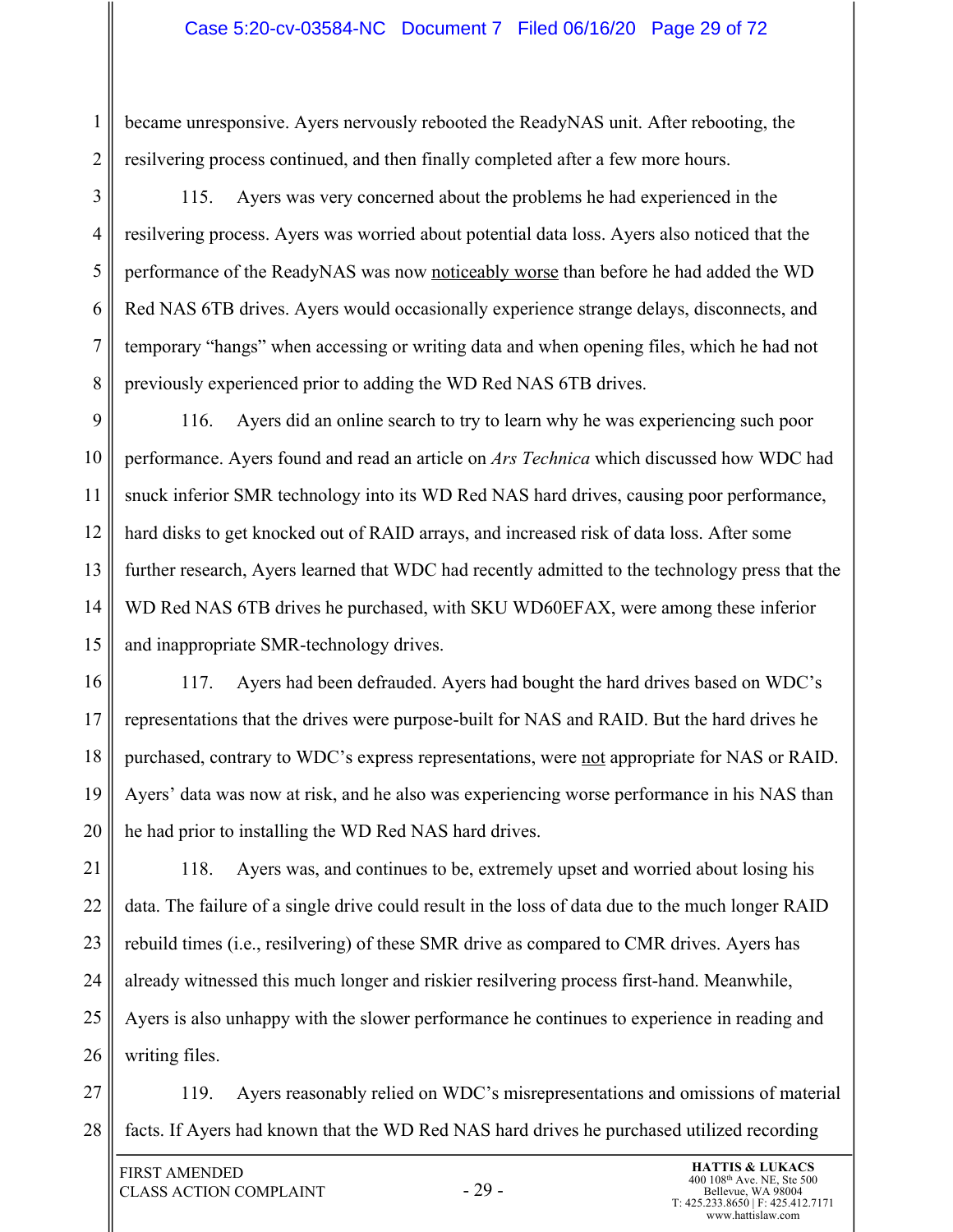#### Case 5:20-cv-03584-NC Document 7 Filed 06/16/20 Page 29 of 72

2 became unresponsive. Ayers nervously rebooted the ReadyNAS unit. After rebooting, the resilvering process continued, and then finally completed after a few more hours.

3 4 5 6 7 8 115. Ayers was very concerned about the problems he had experienced in the resilvering process. Ayers was worried about potential data loss. Ayers also noticed that the performance of the ReadyNAS was now noticeably worse than before he had added the WD Red NAS 6TB drives. Ayers would occasionally experience strange delays, disconnects, and temporary "hangs" when accessing or writing data and when opening files, which he had not previously experienced prior to adding the WD Red NAS 6TB drives.

9 10 11 12 13 14 15 116. Ayers did an online search to try to learn why he was experiencing such poor performance. Ayers found and read an article on *Ars Technica* which discussed how WDC had snuck inferior SMR technology into its WD Red NAS hard drives, causing poor performance, hard disks to get knocked out of RAID arrays, and increased risk of data loss. After some further research, Ayers learned that WDC had recently admitted to the technology press that the WD Red NAS 6TB drives he purchased, with SKU WD60EFAX, were among these inferior and inappropriate SMR-technology drives.

16 17 18 19 20 117. Ayers had been defrauded. Ayers had bought the hard drives based on WDC's representations that the drives were purpose-built for NAS and RAID. But the hard drives he purchased, contrary to WDC's express representations, were not appropriate for NAS or RAID. Ayers' data was now at risk, and he also was experiencing worse performance in his NAS than he had prior to installing the WD Red NAS hard drives.

21 22 23 24 25 26 118. Ayers was, and continues to be, extremely upset and worried about losing his data. The failure of a single drive could result in the loss of data due to the much longer RAID rebuild times (i.e., resilvering) of these SMR drive as compared to CMR drives. Ayers has already witnessed this much longer and riskier resilvering process first-hand. Meanwhile, Ayers is also unhappy with the slower performance he continues to experience in reading and writing files.

27 28 119. Ayers reasonably relied on WDC's misrepresentations and omissions of material facts. If Ayers had known that the WD Red NAS hard drives he purchased utilized recording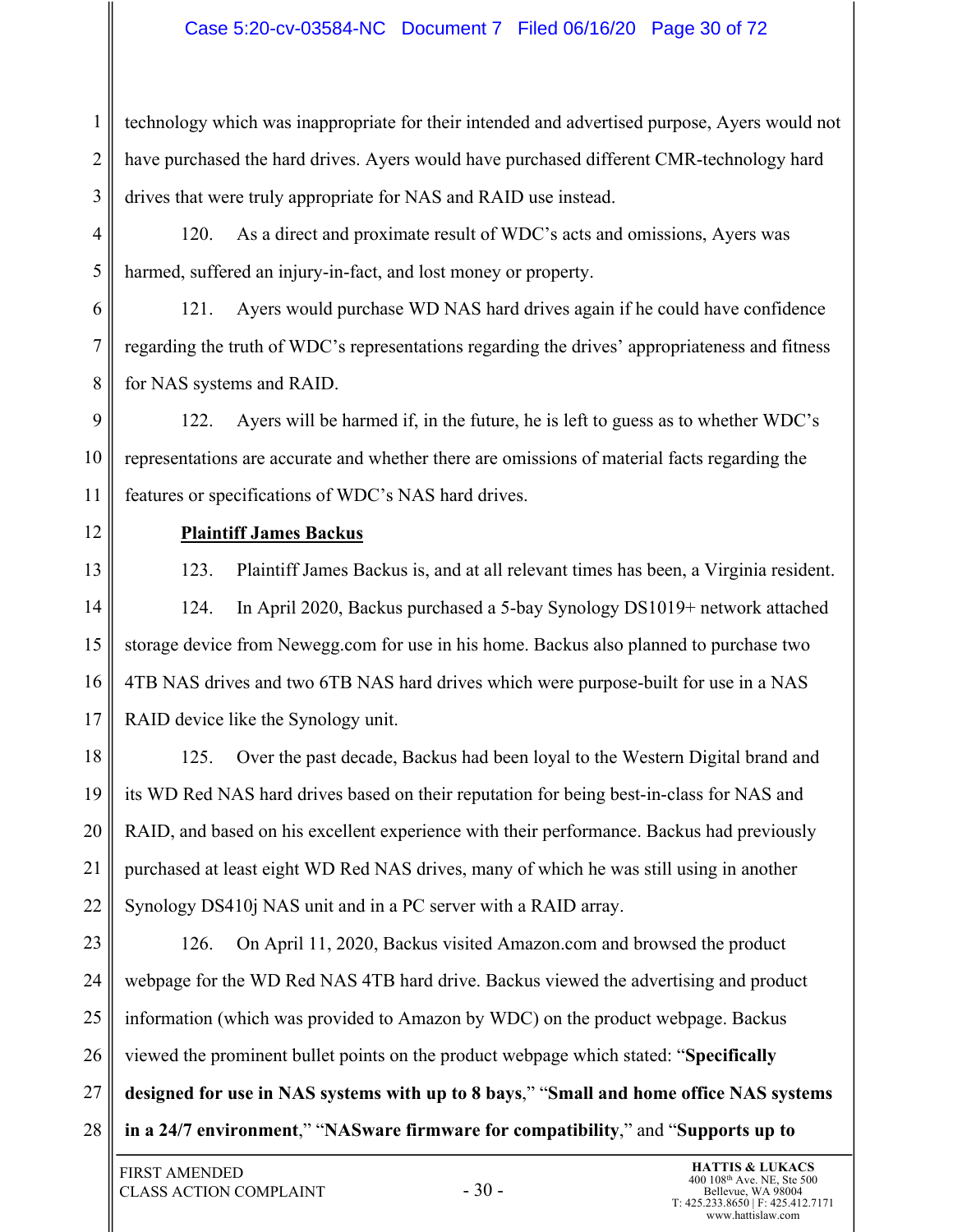## Case 5:20-cv-03584-NC Document 7 Filed 06/16/20 Page 30 of 72

1 2 3 technology which was inappropriate for their intended and advertised purpose, Ayers would not have purchased the hard drives. Ayers would have purchased different CMR-technology hard drives that were truly appropriate for NAS and RAID use instead.

4 5 120. As a direct and proximate result of WDC's acts and omissions, Ayers was harmed, suffered an injury-in-fact, and lost money or property.

6 7 8 121. Ayers would purchase WD NAS hard drives again if he could have confidence regarding the truth of WDC's representations regarding the drives' appropriateness and fitness for NAS systems and RAID.

9 10 11 122. Ayers will be harmed if, in the future, he is left to guess as to whether WDC's representations are accurate and whether there are omissions of material facts regarding the features or specifications of WDC's NAS hard drives.

12

# **Plaintiff James Backus**

13 14 15 16 17 123. Plaintiff James Backus is, and at all relevant times has been, a Virginia resident. 124. In April 2020, Backus purchased a 5-bay Synology DS1019+ network attached storage device from Newegg.com for use in his home. Backus also planned to purchase two 4TB NAS drives and two 6TB NAS hard drives which were purpose-built for use in a NAS RAID device like the Synology unit.

18 19 20 21 22 125. Over the past decade, Backus had been loyal to the Western Digital brand and its WD Red NAS hard drives based on their reputation for being best-in-class for NAS and RAID, and based on his excellent experience with their performance. Backus had previously purchased at least eight WD Red NAS drives, many of which he was still using in another Synology DS410j NAS unit and in a PC server with a RAID array.

23 24 25 26 27 28 126. On April 11, 2020, Backus visited Amazon.com and browsed the product webpage for the WD Red NAS 4TB hard drive. Backus viewed the advertising and product information (which was provided to Amazon by WDC) on the product webpage. Backus viewed the prominent bullet points on the product webpage which stated: "**Specifically designed for use in NAS systems with up to 8 bays**," "**Small and home office NAS systems in a 24/7 environment**," "**NASware firmware for compatibility**," and "**Supports up to**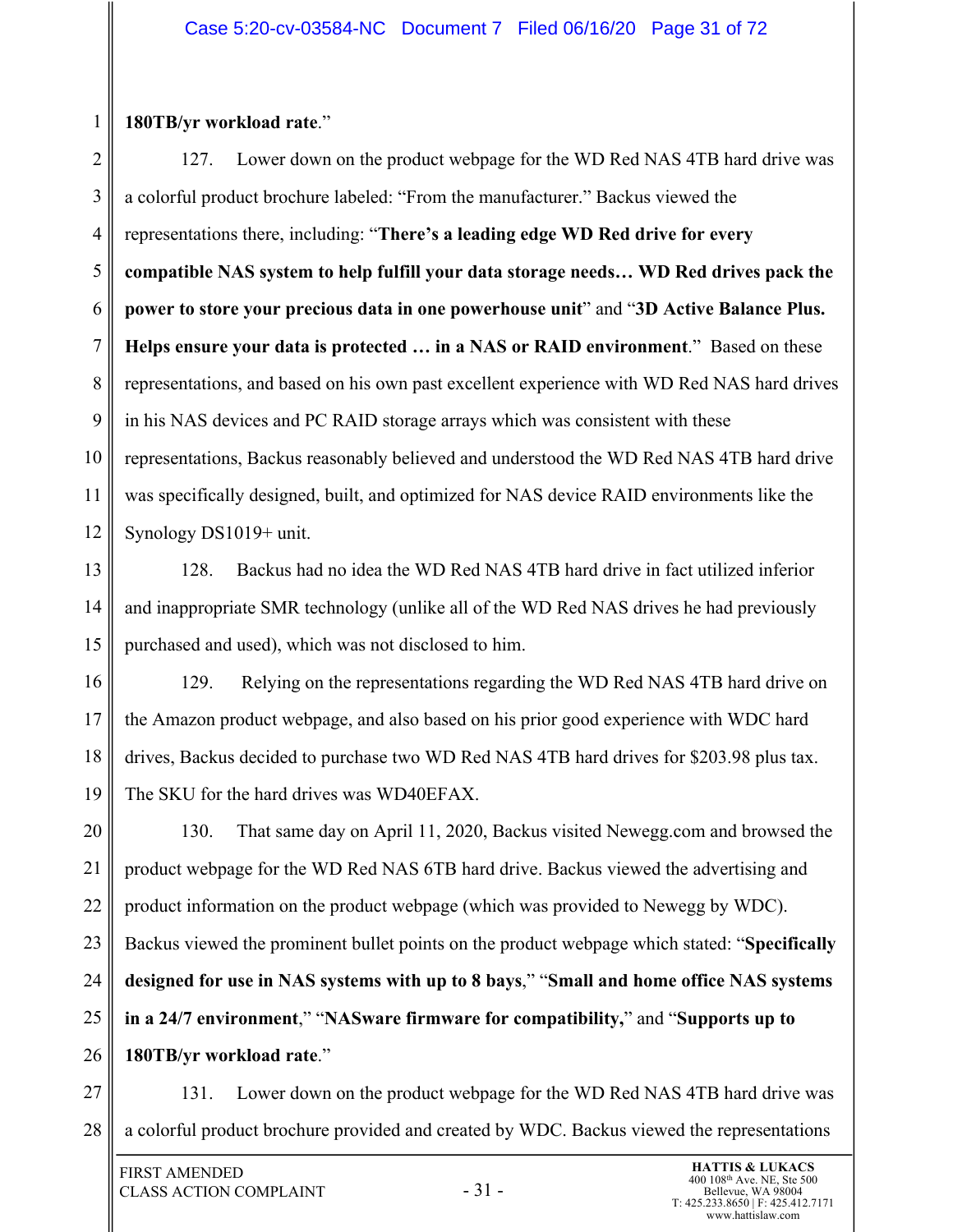## **180TB/yr workload rate**."

1

2 3 4 5 6 7 8 9 10 11 12 127. Lower down on the product webpage for the WD Red NAS 4TB hard drive was a colorful product brochure labeled: "From the manufacturer." Backus viewed the representations there, including: "**There's a leading edge WD Red drive for every compatible NAS system to help fulfill your data storage needs… WD Red drives pack the power to store your precious data in one powerhouse unit**" and "**3D Active Balance Plus. Helps ensure your data is protected … in a NAS or RAID environment**." Based on these representations, and based on his own past excellent experience with WD Red NAS hard drives in his NAS devices and PC RAID storage arrays which was consistent with these representations, Backus reasonably believed and understood the WD Red NAS 4TB hard drive was specifically designed, built, and optimized for NAS device RAID environments like the Synology DS1019+ unit.

13 14 15 128. Backus had no idea the WD Red NAS 4TB hard drive in fact utilized inferior and inappropriate SMR technology (unlike all of the WD Red NAS drives he had previously purchased and used), which was not disclosed to him.

16 17 18 19 129. Relying on the representations regarding the WD Red NAS 4TB hard drive on the Amazon product webpage, and also based on his prior good experience with WDC hard drives, Backus decided to purchase two WD Red NAS 4TB hard drives for \$203.98 plus tax. The SKU for the hard drives was WD40EFAX.

20 21 22 23 24 25 26 130. That same day on April 11, 2020, Backus visited Newegg.com and browsed the product webpage for the WD Red NAS 6TB hard drive. Backus viewed the advertising and product information on the product webpage (which was provided to Newegg by WDC). Backus viewed the prominent bullet points on the product webpage which stated: "**Specifically designed for use in NAS systems with up to 8 bays**," "**Small and home office NAS systems in a 24/7 environment**," "**NASware firmware for compatibility,**" and "**Supports up to 180TB/yr workload rate**."

27 28 131. Lower down on the product webpage for the WD Red NAS 4TB hard drive was a colorful product brochure provided and created by WDC. Backus viewed the representations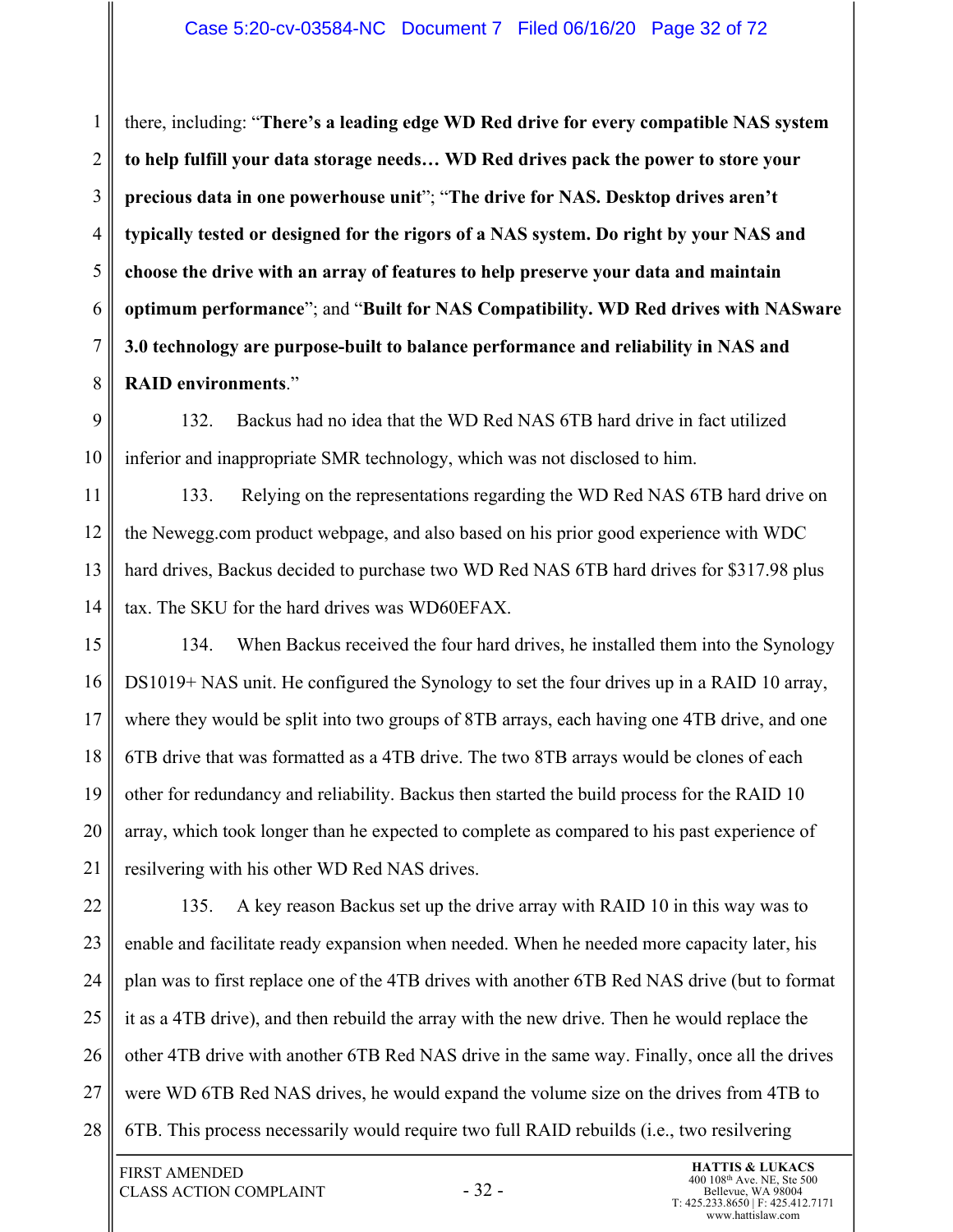3 4 6 7 8 there, including: "**There's a leading edge WD Red drive for every compatible NAS system to help fulfill your data storage needs… WD Red drives pack the power to store your precious data in one powerhouse unit**"; "**The drive for NAS. Desktop drives aren't typically tested or designed for the rigors of a NAS system. Do right by your NAS and choose the drive with an array of features to help preserve your data and maintain optimum performance**"; and "**Built for NAS Compatibility. WD Red drives with NASware 3.0 technology are purpose-built to balance performance and reliability in NAS and RAID environments**."

9 10 132. Backus had no idea that the WD Red NAS 6TB hard drive in fact utilized inferior and inappropriate SMR technology, which was not disclosed to him.

11 12 13 14 133. Relying on the representations regarding the WD Red NAS 6TB hard drive on the Newegg.com product webpage, and also based on his prior good experience with WDC hard drives, Backus decided to purchase two WD Red NAS 6TB hard drives for \$317.98 plus tax. The SKU for the hard drives was WD60EFAX.

15 16 17 18 19 20 21 134. When Backus received the four hard drives, he installed them into the Synology DS1019+ NAS unit. He configured the Synology to set the four drives up in a RAID 10 array, where they would be split into two groups of 8TB arrays, each having one 4TB drive, and one 6TB drive that was formatted as a 4TB drive. The two 8TB arrays would be clones of each other for redundancy and reliability. Backus then started the build process for the RAID 10 array, which took longer than he expected to complete as compared to his past experience of resilvering with his other WD Red NAS drives.

22 23 24 25 26 27 28 135. A key reason Backus set up the drive array with RAID 10 in this way was to enable and facilitate ready expansion when needed. When he needed more capacity later, his plan was to first replace one of the 4TB drives with another 6TB Red NAS drive (but to format it as a 4TB drive), and then rebuild the array with the new drive. Then he would replace the other 4TB drive with another 6TB Red NAS drive in the same way. Finally, once all the drives were WD 6TB Red NAS drives, he would expand the volume size on the drives from 4TB to 6TB. This process necessarily would require two full RAID rebuilds (i.e., two resilvering

1

2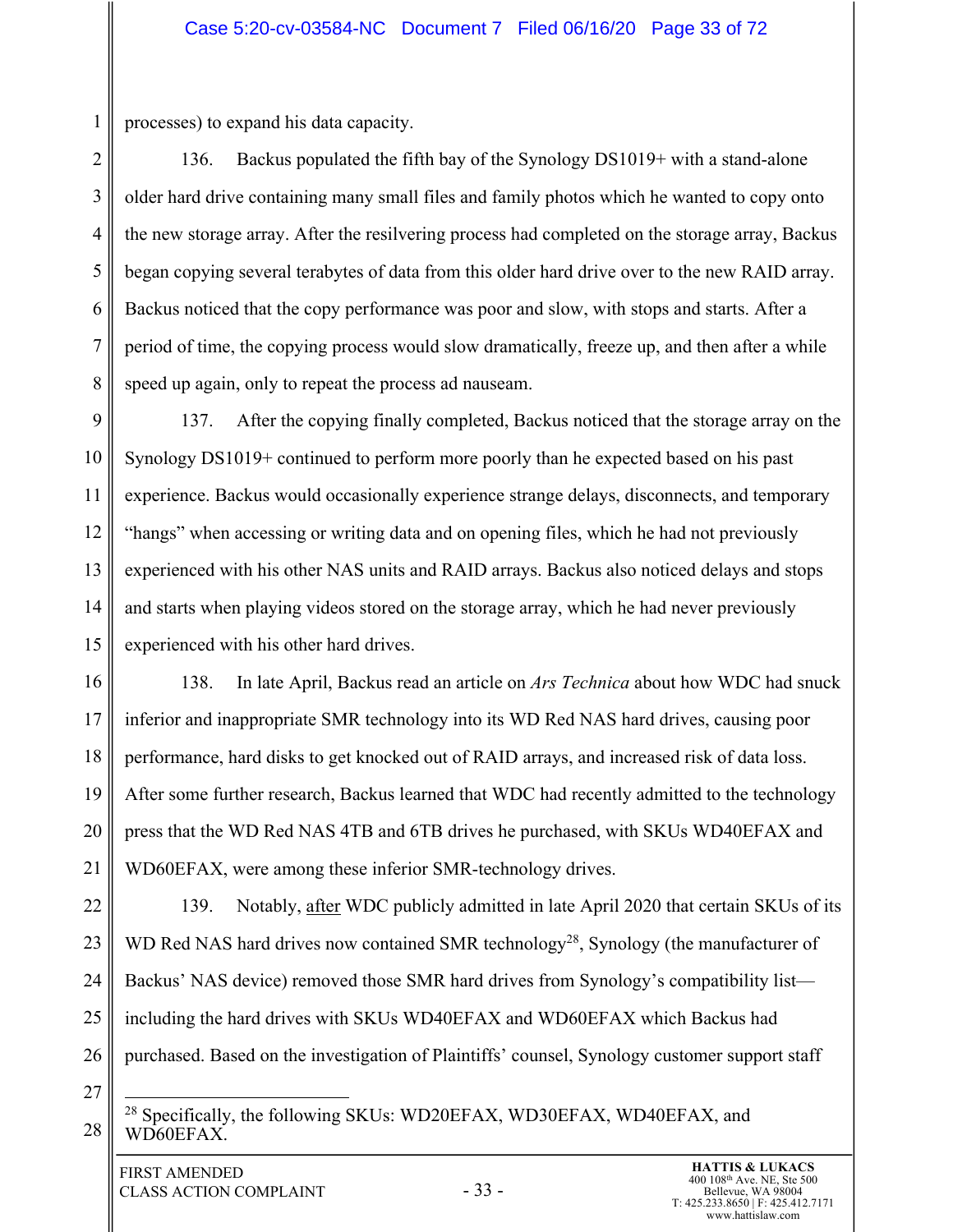processes) to expand his data capacity.

1

2 3 4 5 6 7 8 136. Backus populated the fifth bay of the Synology DS1019+ with a stand-alone older hard drive containing many small files and family photos which he wanted to copy onto the new storage array. After the resilvering process had completed on the storage array, Backus began copying several terabytes of data from this older hard drive over to the new RAID array. Backus noticed that the copy performance was poor and slow, with stops and starts. After a period of time, the copying process would slow dramatically, freeze up, and then after a while speed up again, only to repeat the process ad nauseam.

9 10 11 12 13 14 15 137. After the copying finally completed, Backus noticed that the storage array on the Synology DS1019+ continued to perform more poorly than he expected based on his past experience. Backus would occasionally experience strange delays, disconnects, and temporary "hangs" when accessing or writing data and on opening files, which he had not previously experienced with his other NAS units and RAID arrays. Backus also noticed delays and stops and starts when playing videos stored on the storage array, which he had never previously experienced with his other hard drives.

16 17 18 19 20 21 138. In late April, Backus read an article on *Ars Technica* about how WDC had snuck inferior and inappropriate SMR technology into its WD Red NAS hard drives, causing poor performance, hard disks to get knocked out of RAID arrays, and increased risk of data loss. After some further research, Backus learned that WDC had recently admitted to the technology press that the WD Red NAS 4TB and 6TB drives he purchased, with SKUs WD40EFAX and WD60EFAX, were among these inferior SMR-technology drives.

22 23 24 25 26 139. Notably, after WDC publicly admitted in late April 2020 that certain SKUs of its WD Red NAS hard drives now contained SMR technology<sup>28</sup>, Synology (the manufacturer of Backus' NAS device) removed those SMR hard drives from Synology's compatibility list including the hard drives with SKUs WD40EFAX and WD60EFAX which Backus had purchased. Based on the investigation of Plaintiffs' counsel, Synology customer support staff

27

28

<sup>28</sup> Specifically, the following SKUs: WD20EFAX, WD30EFAX, WD40EFAX, and WD60EFAX.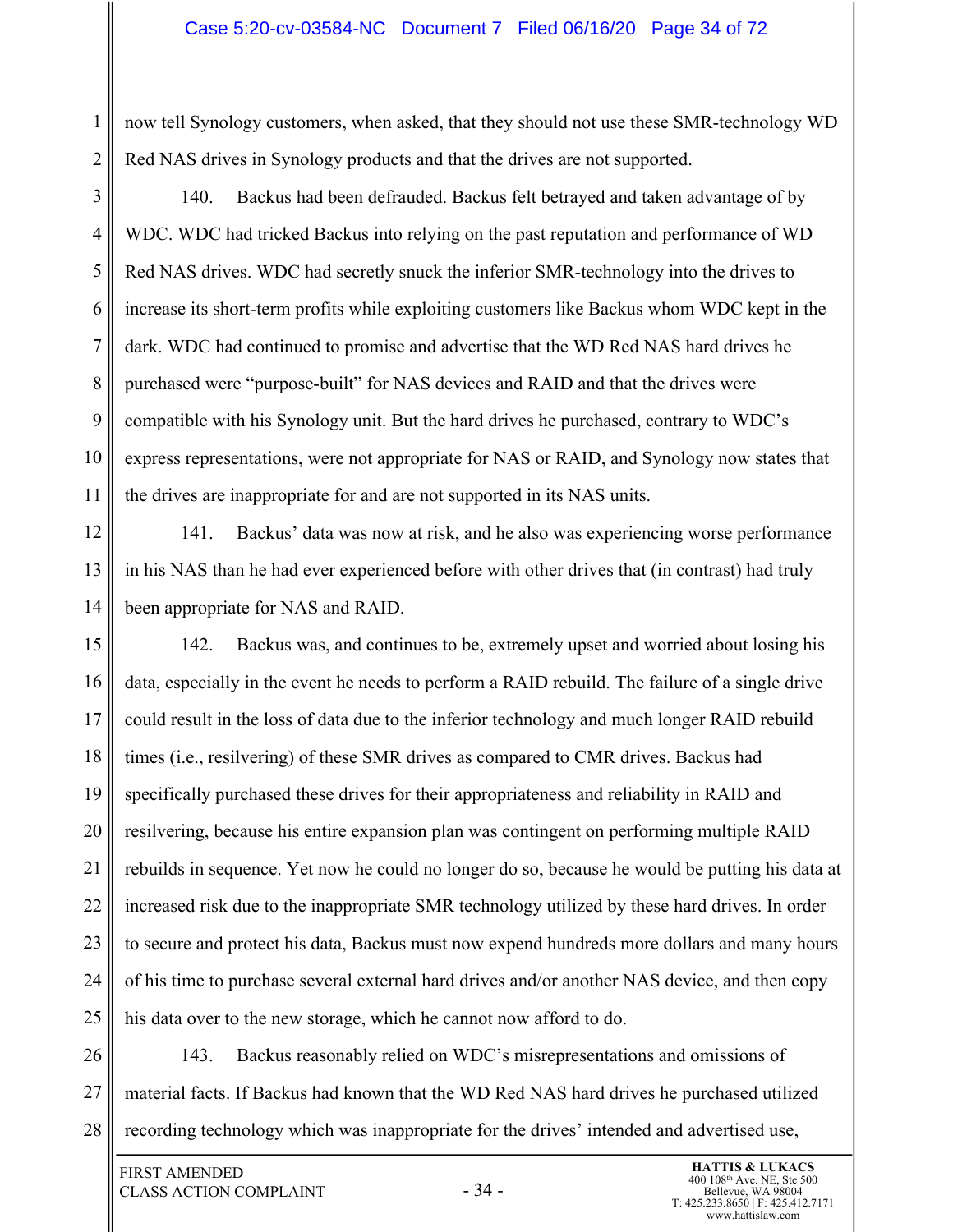#### Case 5:20-cv-03584-NC Document 7 Filed 06/16/20 Page 34 of 72

now tell Synology customers, when asked, that they should not use these SMR-technology WD Red NAS drives in Synology products and that the drives are not supported.

3 4 5 6 7 8 9 10 11 140. Backus had been defrauded. Backus felt betrayed and taken advantage of by WDC. WDC had tricked Backus into relying on the past reputation and performance of WD Red NAS drives. WDC had secretly snuck the inferior SMR-technology into the drives to increase its short-term profits while exploiting customers like Backus whom WDC kept in the dark. WDC had continued to promise and advertise that the WD Red NAS hard drives he purchased were "purpose-built" for NAS devices and RAID and that the drives were compatible with his Synology unit. But the hard drives he purchased, contrary to WDC's express representations, were not appropriate for NAS or RAID, and Synology now states that the drives are inappropriate for and are not supported in its NAS units.

12 13 14 141. Backus' data was now at risk, and he also was experiencing worse performance in his NAS than he had ever experienced before with other drives that (in contrast) had truly been appropriate for NAS and RAID.

15 16 17 18 19 20 21 22 23 24 25 142. Backus was, and continues to be, extremely upset and worried about losing his data, especially in the event he needs to perform a RAID rebuild. The failure of a single drive could result in the loss of data due to the inferior technology and much longer RAID rebuild times (i.e., resilvering) of these SMR drives as compared to CMR drives. Backus had specifically purchased these drives for their appropriateness and reliability in RAID and resilvering, because his entire expansion plan was contingent on performing multiple RAID rebuilds in sequence. Yet now he could no longer do so, because he would be putting his data at increased risk due to the inappropriate SMR technology utilized by these hard drives. In order to secure and protect his data, Backus must now expend hundreds more dollars and many hours of his time to purchase several external hard drives and/or another NAS device, and then copy his data over to the new storage, which he cannot now afford to do.

26 27 28 143. Backus reasonably relied on WDC's misrepresentations and omissions of material facts. If Backus had known that the WD Red NAS hard drives he purchased utilized recording technology which was inappropriate for the drives' intended and advertised use,

1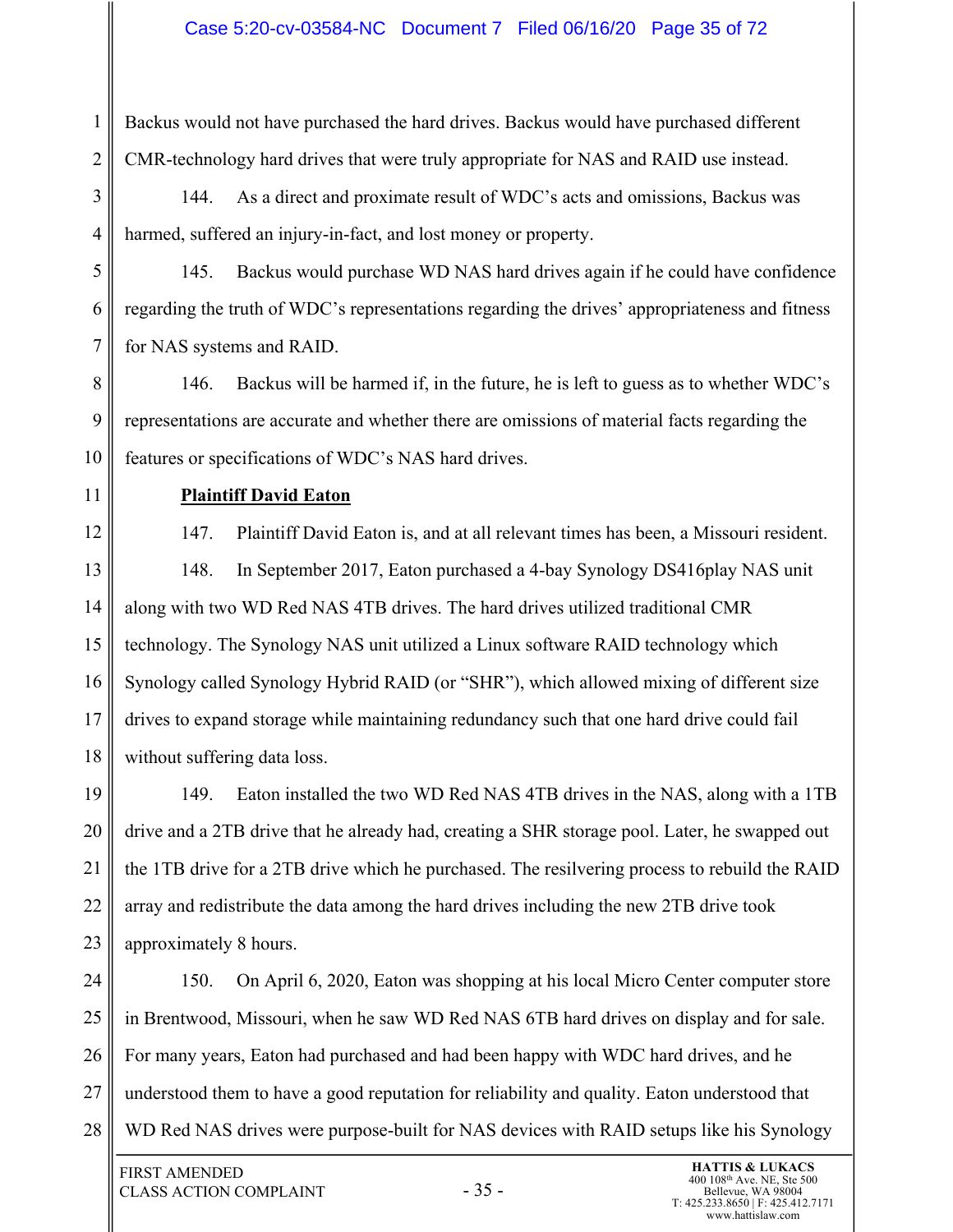Backus would not have purchased the hard drives. Backus would have purchased different CMR-technology hard drives that were truly appropriate for NAS and RAID use instead.

3 4 144. As a direct and proximate result of WDC's acts and omissions, Backus was harmed, suffered an injury-in-fact, and lost money or property.

5 6 7 145. Backus would purchase WD NAS hard drives again if he could have confidence regarding the truth of WDC's representations regarding the drives' appropriateness and fitness for NAS systems and RAID.

8 9 10 146. Backus will be harmed if, in the future, he is left to guess as to whether WDC's representations are accurate and whether there are omissions of material facts regarding the features or specifications of WDC's NAS hard drives.

11

1

2

# **Plaintiff David Eaton**

12 13

14

15

16

17

18

147. Plaintiff David Eaton is, and at all relevant times has been, a Missouri resident. 148. In September 2017, Eaton purchased a 4-bay Synology DS416play NAS unit along with two WD Red NAS 4TB drives. The hard drives utilized traditional CMR technology. The Synology NAS unit utilized a Linux software RAID technology which Synology called Synology Hybrid RAID (or "SHR"), which allowed mixing of different size drives to expand storage while maintaining redundancy such that one hard drive could fail without suffering data loss.

19 20 21 22 23 149. Eaton installed the two WD Red NAS 4TB drives in the NAS, along with a 1TB drive and a 2TB drive that he already had, creating a SHR storage pool. Later, he swapped out the 1TB drive for a 2TB drive which he purchased. The resilvering process to rebuild the RAID array and redistribute the data among the hard drives including the new 2TB drive took approximately 8 hours.

24 25 26 27 28 150. On April 6, 2020, Eaton was shopping at his local Micro Center computer store in Brentwood, Missouri, when he saw WD Red NAS 6TB hard drives on display and for sale. For many years, Eaton had purchased and had been happy with WDC hard drives, and he understood them to have a good reputation for reliability and quality. Eaton understood that WD Red NAS drives were purpose-built for NAS devices with RAID setups like his Synology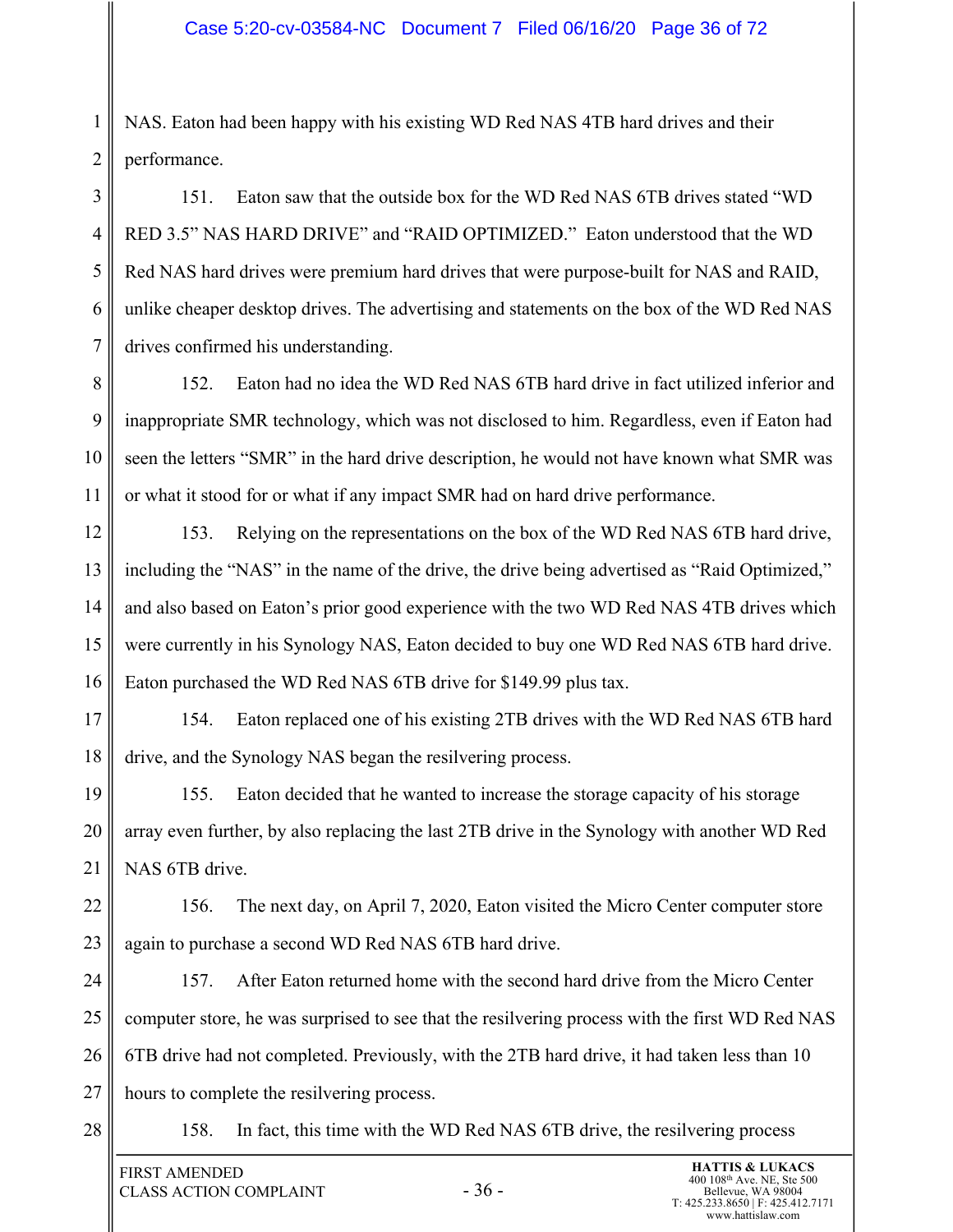1 2 NAS. Eaton had been happy with his existing WD Red NAS 4TB hard drives and their performance.

3 4 5 6 7 151. Eaton saw that the outside box for the WD Red NAS 6TB drives stated "WD RED 3.5" NAS HARD DRIVE" and "RAID OPTIMIZED." Eaton understood that the WD Red NAS hard drives were premium hard drives that were purpose-built for NAS and RAID, unlike cheaper desktop drives. The advertising and statements on the box of the WD Red NAS drives confirmed his understanding.

8 9 10 11 152. Eaton had no idea the WD Red NAS 6TB hard drive in fact utilized inferior and inappropriate SMR technology, which was not disclosed to him. Regardless, even if Eaton had seen the letters "SMR" in the hard drive description, he would not have known what SMR was or what it stood for or what if any impact SMR had on hard drive performance.

12 13 14 15 16 153. Relying on the representations on the box of the WD Red NAS 6TB hard drive, including the "NAS" in the name of the drive, the drive being advertised as "Raid Optimized," and also based on Eaton's prior good experience with the two WD Red NAS 4TB drives which were currently in his Synology NAS, Eaton decided to buy one WD Red NAS 6TB hard drive. Eaton purchased the WD Red NAS 6TB drive for \$149.99 plus tax.

17 18 154. Eaton replaced one of his existing 2TB drives with the WD Red NAS 6TB hard drive, and the Synology NAS began the resilvering process.

19 20 21 155. Eaton decided that he wanted to increase the storage capacity of his storage array even further, by also replacing the last 2TB drive in the Synology with another WD Red NAS 6TB drive.

22 23 156. The next day, on April 7, 2020, Eaton visited the Micro Center computer store again to purchase a second WD Red NAS 6TB hard drive.

24 25 26 27 157. After Eaton returned home with the second hard drive from the Micro Center computer store, he was surprised to see that the resilvering process with the first WD Red NAS 6TB drive had not completed. Previously, with the 2TB hard drive, it had taken less than 10 hours to complete the resilvering process.

28

158. In fact, this time with the WD Red NAS 6TB drive, the resilvering process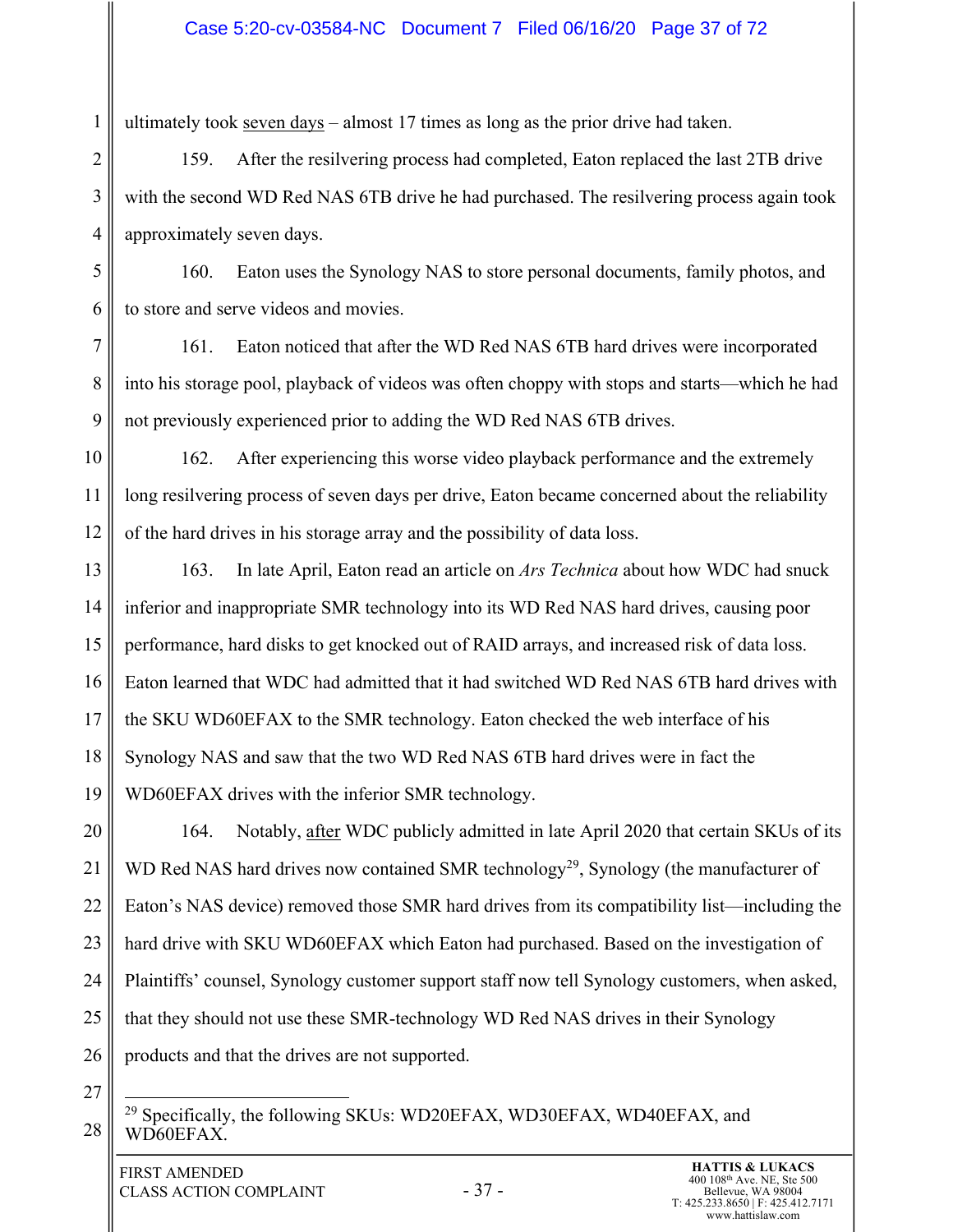#### Case 5:20-cv-03584-NC Document 7 Filed 06/16/20 Page 37 of 72

ultimately took seven days – almost 17 times as long as the prior drive had taken.

2 3 4 159. After the resilvering process had completed, Eaton replaced the last 2TB drive with the second WD Red NAS 6TB drive he had purchased. The resilvering process again took approximately seven days.

5 6 160. Eaton uses the Synology NAS to store personal documents, family photos, and to store and serve videos and movies.

7 8 9 161. Eaton noticed that after the WD Red NAS 6TB hard drives were incorporated into his storage pool, playback of videos was often choppy with stops and starts—which he had not previously experienced prior to adding the WD Red NAS 6TB drives.

10 11 12 162. After experiencing this worse video playback performance and the extremely long resilvering process of seven days per drive, Eaton became concerned about the reliability of the hard drives in his storage array and the possibility of data loss.

13 14 15 16 17 18 19 163. In late April, Eaton read an article on *Ars Technica* about how WDC had snuck inferior and inappropriate SMR technology into its WD Red NAS hard drives, causing poor performance, hard disks to get knocked out of RAID arrays, and increased risk of data loss. Eaton learned that WDC had admitted that it had switched WD Red NAS 6TB hard drives with the SKU WD60EFAX to the SMR technology. Eaton checked the web interface of his Synology NAS and saw that the two WD Red NAS 6TB hard drives were in fact the WD60EFAX drives with the inferior SMR technology.

20 21 22 23 24 25 26 164. Notably, after WDC publicly admitted in late April 2020 that certain SKUs of its WD Red NAS hard drives now contained SMR technology<sup>29</sup>, Synology (the manufacturer of Eaton's NAS device) removed those SMR hard drives from its compatibility list—including the hard drive with SKU WD60EFAX which Eaton had purchased. Based on the investigation of Plaintiffs' counsel, Synology customer support staff now tell Synology customers, when asked, that they should not use these SMR-technology WD Red NAS drives in their Synology products and that the drives are not supported.

27

28

1

<sup>29</sup> Specifically, the following SKUs: WD20EFAX, WD30EFAX, WD40EFAX, and WD60EFAX.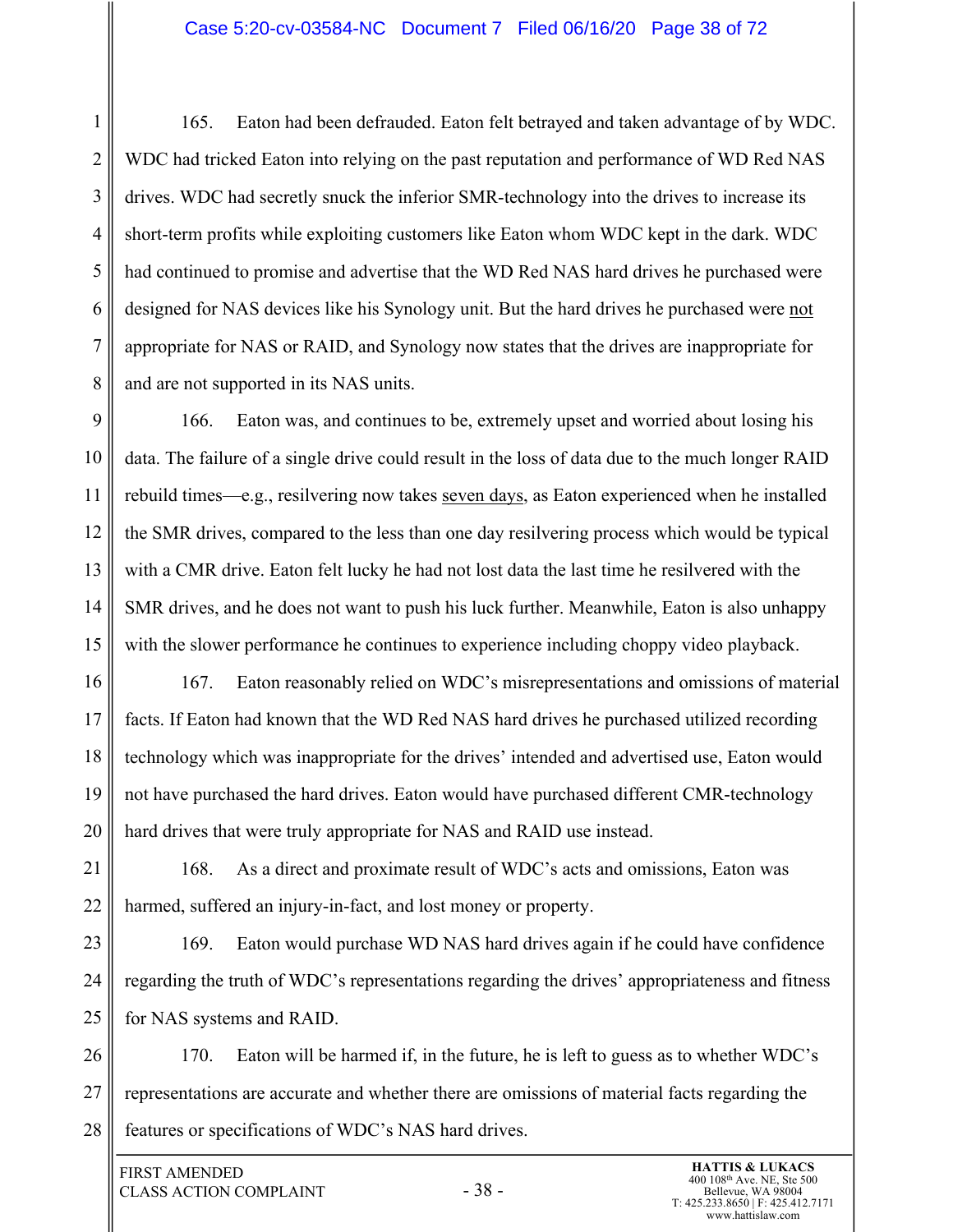#### Case 5:20-cv-03584-NC Document 7 Filed 06/16/20 Page 38 of 72

1 2 3 4 5 6 7 8 165. Eaton had been defrauded. Eaton felt betrayed and taken advantage of by WDC. WDC had tricked Eaton into relying on the past reputation and performance of WD Red NAS drives. WDC had secretly snuck the inferior SMR-technology into the drives to increase its short-term profits while exploiting customers like Eaton whom WDC kept in the dark. WDC had continued to promise and advertise that the WD Red NAS hard drives he purchased were designed for NAS devices like his Synology unit. But the hard drives he purchased were not appropriate for NAS or RAID, and Synology now states that the drives are inappropriate for and are not supported in its NAS units.

9 10 11 12 13 14 15 166. Eaton was, and continues to be, extremely upset and worried about losing his data. The failure of a single drive could result in the loss of data due to the much longer RAID rebuild times—e.g., resilvering now takes seven days, as Eaton experienced when he installed the SMR drives, compared to the less than one day resilvering process which would be typical with a CMR drive. Eaton felt lucky he had not lost data the last time he resilvered with the SMR drives, and he does not want to push his luck further. Meanwhile, Eaton is also unhappy with the slower performance he continues to experience including choppy video playback.

16 17 18 19 20 167. Eaton reasonably relied on WDC's misrepresentations and omissions of material facts. If Eaton had known that the WD Red NAS hard drives he purchased utilized recording technology which was inappropriate for the drives' intended and advertised use, Eaton would not have purchased the hard drives. Eaton would have purchased different CMR-technology hard drives that were truly appropriate for NAS and RAID use instead.

21 22 168. As a direct and proximate result of WDC's acts and omissions, Eaton was harmed, suffered an injury-in-fact, and lost money or property.

23 24 25 169. Eaton would purchase WD NAS hard drives again if he could have confidence regarding the truth of WDC's representations regarding the drives' appropriateness and fitness for NAS systems and RAID.

26 27 28 170. Eaton will be harmed if, in the future, he is left to guess as to whether WDC's representations are accurate and whether there are omissions of material facts regarding the features or specifications of WDC's NAS hard drives.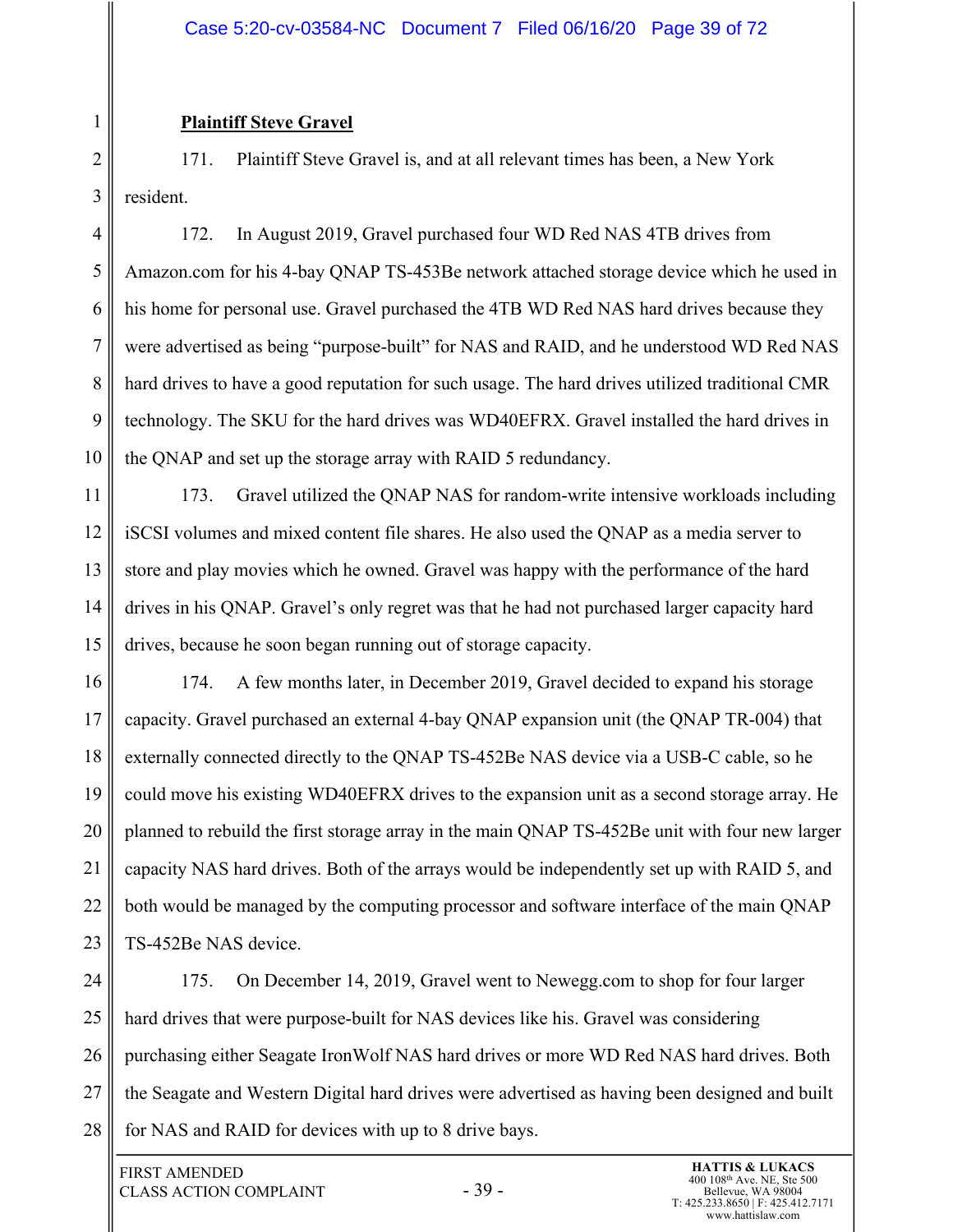#### **Plaintiff Steve Gravel**

1

2 3 171. Plaintiff Steve Gravel is, and at all relevant times has been, a New York resident.

4 5 6 7 8 9 10 172. In August 2019, Gravel purchased four WD Red NAS 4TB drives from Amazon.com for his 4-bay QNAP TS-453Be network attached storage device which he used in his home for personal use. Gravel purchased the 4TB WD Red NAS hard drives because they were advertised as being "purpose-built" for NAS and RAID, and he understood WD Red NAS hard drives to have a good reputation for such usage. The hard drives utilized traditional CMR technology. The SKU for the hard drives was WD40EFRX. Gravel installed the hard drives in the QNAP and set up the storage array with RAID 5 redundancy.

11 12 13 14 15 173. Gravel utilized the QNAP NAS for random-write intensive workloads including iSCSI volumes and mixed content file shares. He also used the QNAP as a media server to store and play movies which he owned. Gravel was happy with the performance of the hard drives in his QNAP. Gravel's only regret was that he had not purchased larger capacity hard drives, because he soon began running out of storage capacity.

16 17 18 19 20 21 22 23 174. A few months later, in December 2019, Gravel decided to expand his storage capacity. Gravel purchased an external 4-bay QNAP expansion unit (the QNAP TR-004) that externally connected directly to the QNAP TS-452Be NAS device via a USB-C cable, so he could move his existing WD40EFRX drives to the expansion unit as a second storage array. He planned to rebuild the first storage array in the main QNAP TS-452Be unit with four new larger capacity NAS hard drives. Both of the arrays would be independently set up with RAID 5, and both would be managed by the computing processor and software interface of the main QNAP TS-452Be NAS device.

24 25 26 27 28 175. On December 14, 2019, Gravel went to Newegg.com to shop for four larger hard drives that were purpose-built for NAS devices like his. Gravel was considering purchasing either Seagate IronWolf NAS hard drives or more WD Red NAS hard drives. Both the Seagate and Western Digital hard drives were advertised as having been designed and built for NAS and RAID for devices with up to 8 drive bays.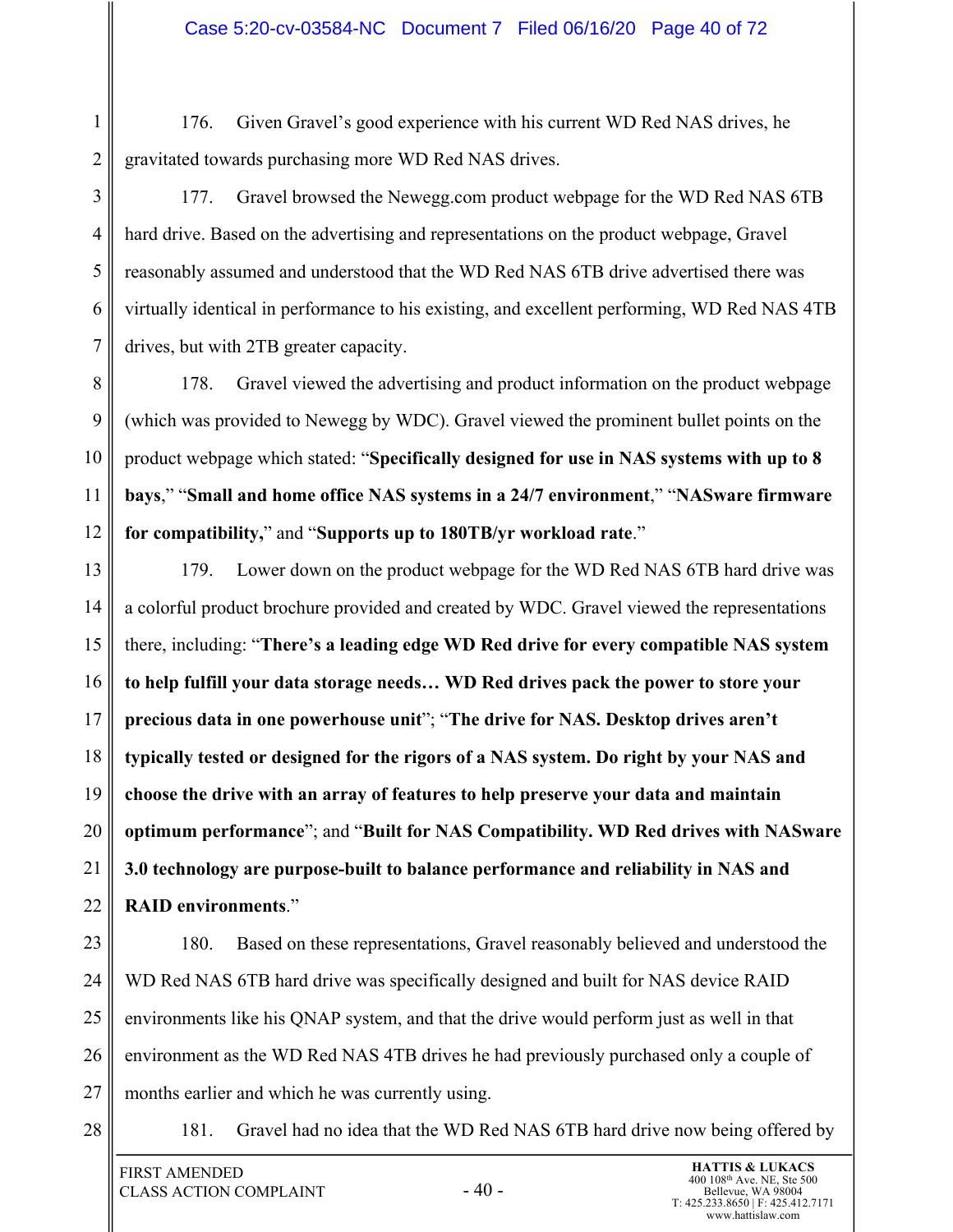1 2 176. Given Gravel's good experience with his current WD Red NAS drives, he gravitated towards purchasing more WD Red NAS drives.

3

5

4 6 7 177. Gravel browsed the Newegg.com product webpage for the WD Red NAS 6TB hard drive. Based on the advertising and representations on the product webpage, Gravel reasonably assumed and understood that the WD Red NAS 6TB drive advertised there was virtually identical in performance to his existing, and excellent performing, WD Red NAS 4TB drives, but with 2TB greater capacity.

8 9 10 11 12 178. Gravel viewed the advertising and product information on the product webpage (which was provided to Newegg by WDC). Gravel viewed the prominent bullet points on the product webpage which stated: "**Specifically designed for use in NAS systems with up to 8 bays**," "**Small and home office NAS systems in a 24/7 environment**," "**NASware firmware for compatibility,**" and "**Supports up to 180TB/yr workload rate**."

13 14 15 16 17 18 19 20 21 22 179. Lower down on the product webpage for the WD Red NAS 6TB hard drive was a colorful product brochure provided and created by WDC. Gravel viewed the representations there, including: "**There's a leading edge WD Red drive for every compatible NAS system to help fulfill your data storage needs… WD Red drives pack the power to store your precious data in one powerhouse unit**"; "**The drive for NAS. Desktop drives aren't typically tested or designed for the rigors of a NAS system. Do right by your NAS and choose the drive with an array of features to help preserve your data and maintain optimum performance**"; and "**Built for NAS Compatibility. WD Red drives with NASware 3.0 technology are purpose-built to balance performance and reliability in NAS and RAID environments**."

23

24

25

26

27

180. Based on these representations, Gravel reasonably believed and understood the WD Red NAS 6TB hard drive was specifically designed and built for NAS device RAID environments like his QNAP system, and that the drive would perform just as well in that environment as the WD Red NAS 4TB drives he had previously purchased only a couple of months earlier and which he was currently using.

28

181. Gravel had no idea that the WD Red NAS 6TB hard drive now being offered by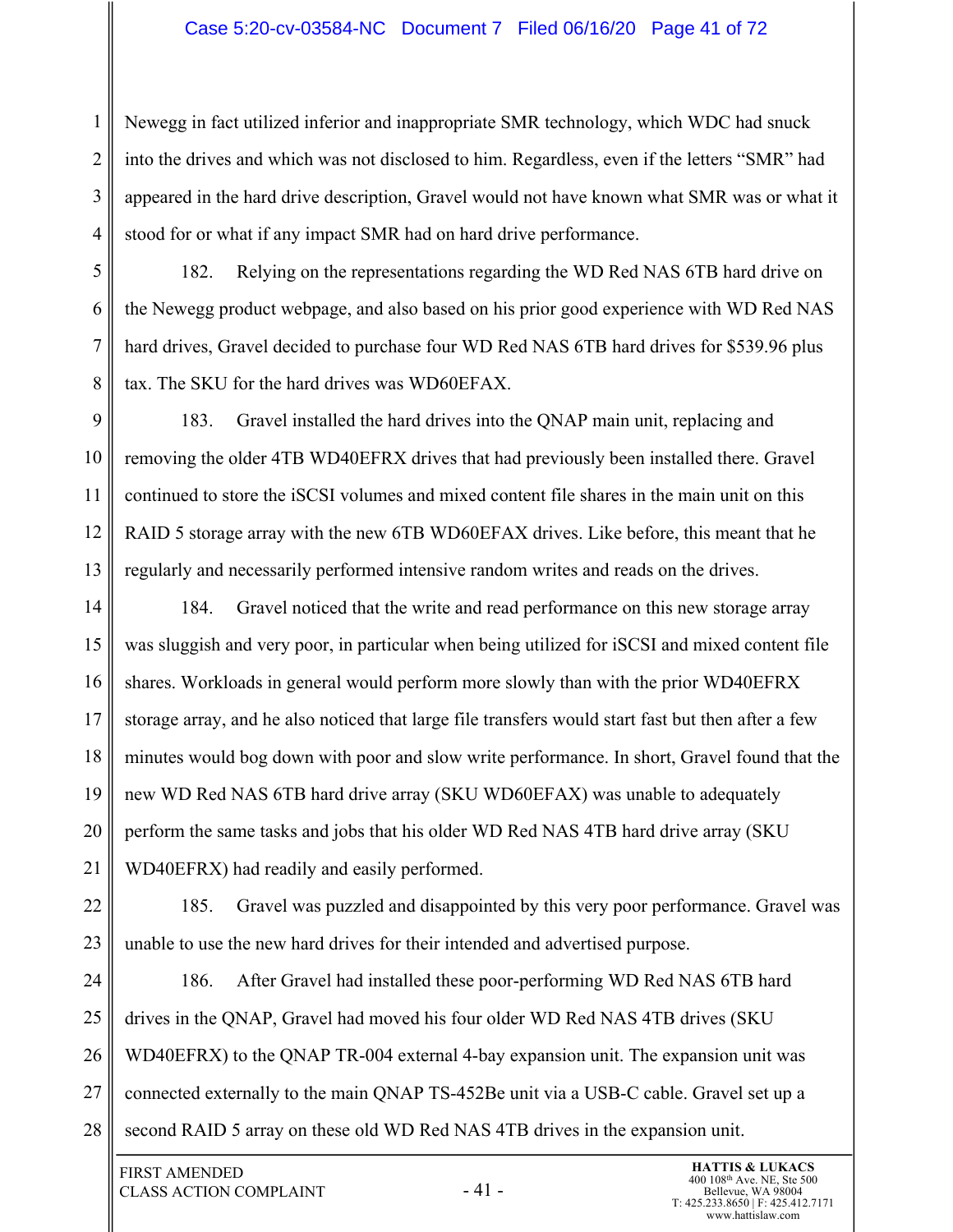#### Case 5:20-cv-03584-NC Document 7 Filed 06/16/20 Page 41 of 72

Newegg in fact utilized inferior and inappropriate SMR technology, which WDC had snuck into the drives and which was not disclosed to him. Regardless, even if the letters "SMR" had appeared in the hard drive description, Gravel would not have known what SMR was or what it stood for or what if any impact SMR had on hard drive performance.

182. Relying on the representations regarding the WD Red NAS 6TB hard drive on the Newegg product webpage, and also based on his prior good experience with WD Red NAS hard drives, Gravel decided to purchase four WD Red NAS 6TB hard drives for \$539.96 plus tax. The SKU for the hard drives was WD60EFAX.

9 10 11 12 13 183. Gravel installed the hard drives into the QNAP main unit, replacing and removing the older 4TB WD40EFRX drives that had previously been installed there. Gravel continued to store the iSCSI volumes and mixed content file shares in the main unit on this RAID 5 storage array with the new 6TB WD60EFAX drives. Like before, this meant that he regularly and necessarily performed intensive random writes and reads on the drives.

14 15 16 17 18 19 20 21 184. Gravel noticed that the write and read performance on this new storage array was sluggish and very poor, in particular when being utilized for iSCSI and mixed content file shares. Workloads in general would perform more slowly than with the prior WD40EFRX storage array, and he also noticed that large file transfers would start fast but then after a few minutes would bog down with poor and slow write performance. In short, Gravel found that the new WD Red NAS 6TB hard drive array (SKU WD60EFAX) was unable to adequately perform the same tasks and jobs that his older WD Red NAS 4TB hard drive array (SKU WD40EFRX) had readily and easily performed.

22 23 185. Gravel was puzzled and disappointed by this very poor performance. Gravel was unable to use the new hard drives for their intended and advertised purpose.

24 25 26 27 28 186. After Gravel had installed these poor-performing WD Red NAS 6TB hard drives in the QNAP, Gravel had moved his four older WD Red NAS 4TB drives (SKU WD40EFRX) to the QNAP TR-004 external 4-bay expansion unit. The expansion unit was connected externally to the main QNAP TS-452Be unit via a USB-C cable. Gravel set up a second RAID 5 array on these old WD Red NAS 4TB drives in the expansion unit.

1

2

3

4

5

6

7

8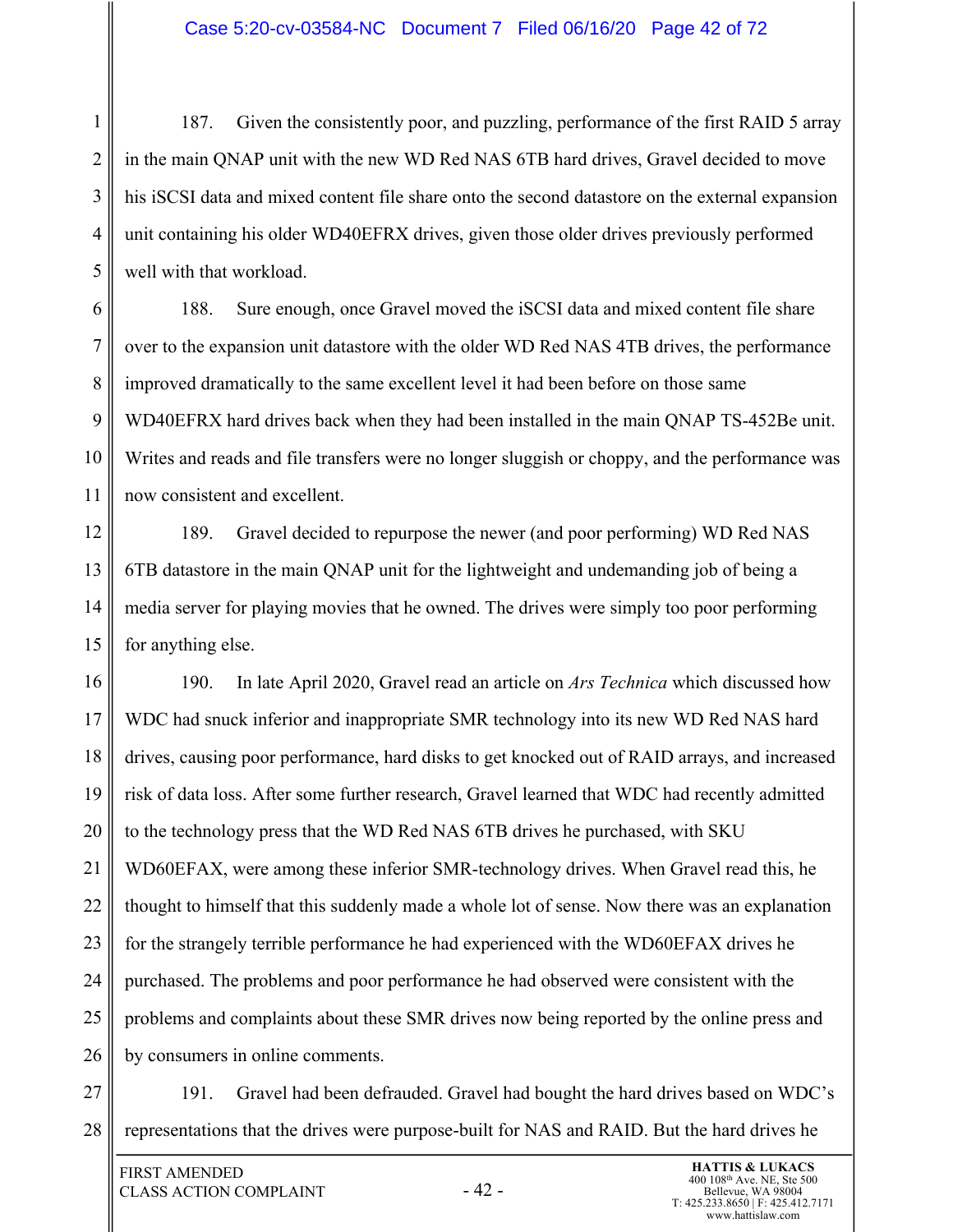#### Case 5:20-cv-03584-NC Document 7 Filed 06/16/20 Page 42 of 72

1 2 3 4 5 187. Given the consistently poor, and puzzling, performance of the first RAID 5 array in the main QNAP unit with the new WD Red NAS 6TB hard drives, Gravel decided to move his iSCSI data and mixed content file share onto the second datastore on the external expansion unit containing his older WD40EFRX drives, given those older drives previously performed well with that workload.

6 7 8 9 10 11 188. Sure enough, once Gravel moved the iSCSI data and mixed content file share over to the expansion unit datastore with the older WD Red NAS 4TB drives, the performance improved dramatically to the same excellent level it had been before on those same WD40EFRX hard drives back when they had been installed in the main QNAP TS-452Be unit. Writes and reads and file transfers were no longer sluggish or choppy, and the performance was now consistent and excellent.

12 13 14 15 189. Gravel decided to repurpose the newer (and poor performing) WD Red NAS 6TB datastore in the main QNAP unit for the lightweight and undemanding job of being a media server for playing movies that he owned. The drives were simply too poor performing for anything else.

16 17 18 19 20 21 22 23 24 25 26 190. In late April 2020, Gravel read an article on *Ars Technica* which discussed how WDC had snuck inferior and inappropriate SMR technology into its new WD Red NAS hard drives, causing poor performance, hard disks to get knocked out of RAID arrays, and increased risk of data loss. After some further research, Gravel learned that WDC had recently admitted to the technology press that the WD Red NAS 6TB drives he purchased, with SKU WD60EFAX, were among these inferior SMR-technology drives. When Gravel read this, he thought to himself that this suddenly made a whole lot of sense. Now there was an explanation for the strangely terrible performance he had experienced with the WD60EFAX drives he purchased. The problems and poor performance he had observed were consistent with the problems and complaints about these SMR drives now being reported by the online press and by consumers in online comments.

27 28 191. Gravel had been defrauded. Gravel had bought the hard drives based on WDC's representations that the drives were purpose-built for NAS and RAID. But the hard drives he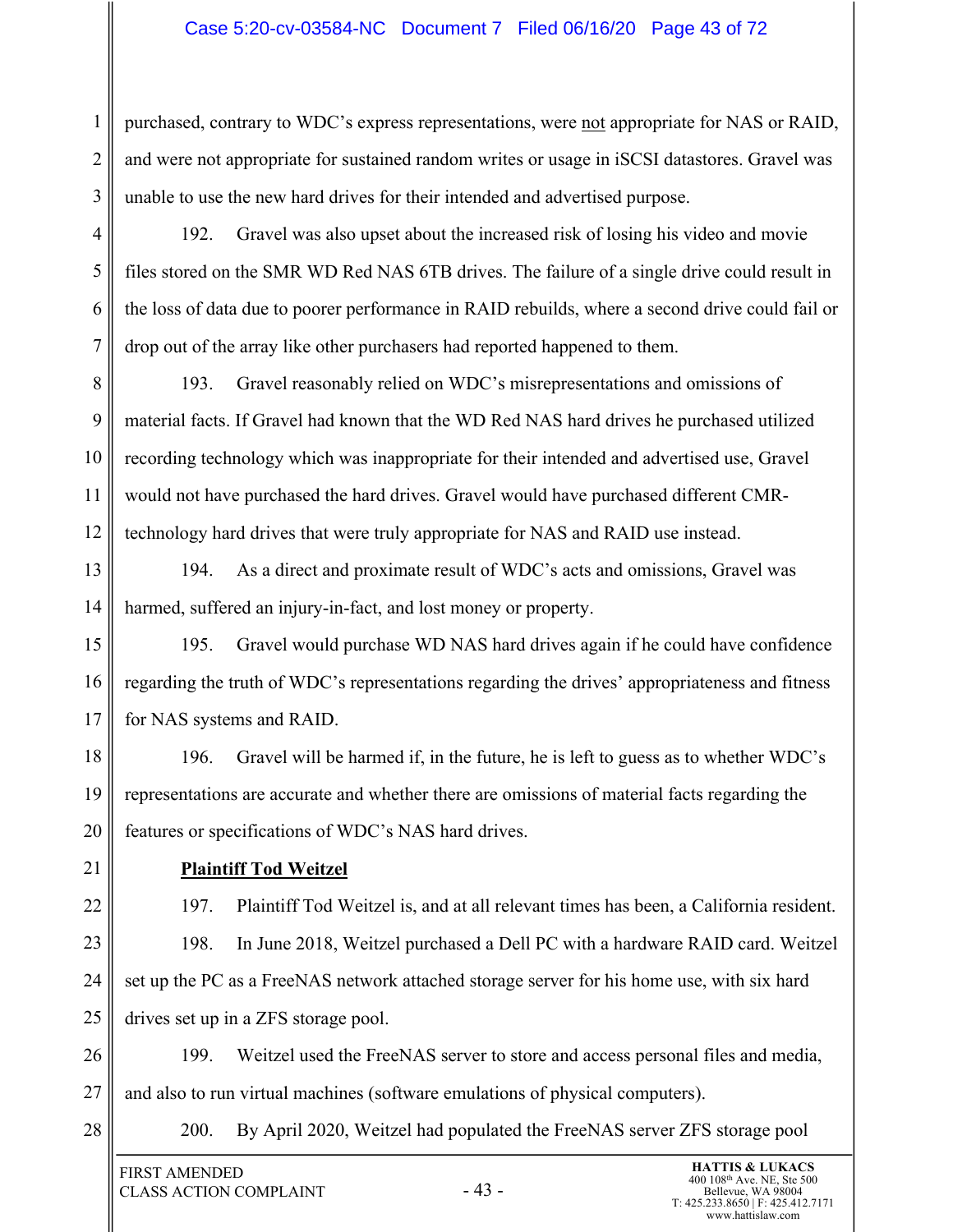#### Case 5:20-cv-03584-NC Document 7 Filed 06/16/20 Page 43 of 72

2 3 purchased, contrary to WDC's express representations, were not appropriate for NAS or RAID, and were not appropriate for sustained random writes or usage in iSCSI datastores. Gravel was unable to use the new hard drives for their intended and advertised purpose.

4 5 6 7 192. Gravel was also upset about the increased risk of losing his video and movie files stored on the SMR WD Red NAS 6TB drives. The failure of a single drive could result in the loss of data due to poorer performance in RAID rebuilds, where a second drive could fail or drop out of the array like other purchasers had reported happened to them.

8 9 10 11 12 193. Gravel reasonably relied on WDC's misrepresentations and omissions of material facts. If Gravel had known that the WD Red NAS hard drives he purchased utilized recording technology which was inappropriate for their intended and advertised use, Gravel would not have purchased the hard drives. Gravel would have purchased different CMRtechnology hard drives that were truly appropriate for NAS and RAID use instead.

13 14 194. As a direct and proximate result of WDC's acts and omissions, Gravel was harmed, suffered an injury-in-fact, and lost money or property.

15 16 17 195. Gravel would purchase WD NAS hard drives again if he could have confidence regarding the truth of WDC's representations regarding the drives' appropriateness and fitness for NAS systems and RAID.

18 19 20 196. Gravel will be harmed if, in the future, he is left to guess as to whether WDC's representations are accurate and whether there are omissions of material facts regarding the features or specifications of WDC's NAS hard drives.

21

22

23

24

25

1

## **Plaintiff Tod Weitzel**

197. Plaintiff Tod Weitzel is, and at all relevant times has been, a California resident. 198. In June 2018, Weitzel purchased a Dell PC with a hardware RAID card. Weitzel set up the PC as a FreeNAS network attached storage server for his home use, with six hard drives set up in a ZFS storage pool.

26 27 199. Weitzel used the FreeNAS server to store and access personal files and media, and also to run virtual machines (software emulations of physical computers).

28

200. By April 2020, Weitzel had populated the FreeNAS server ZFS storage pool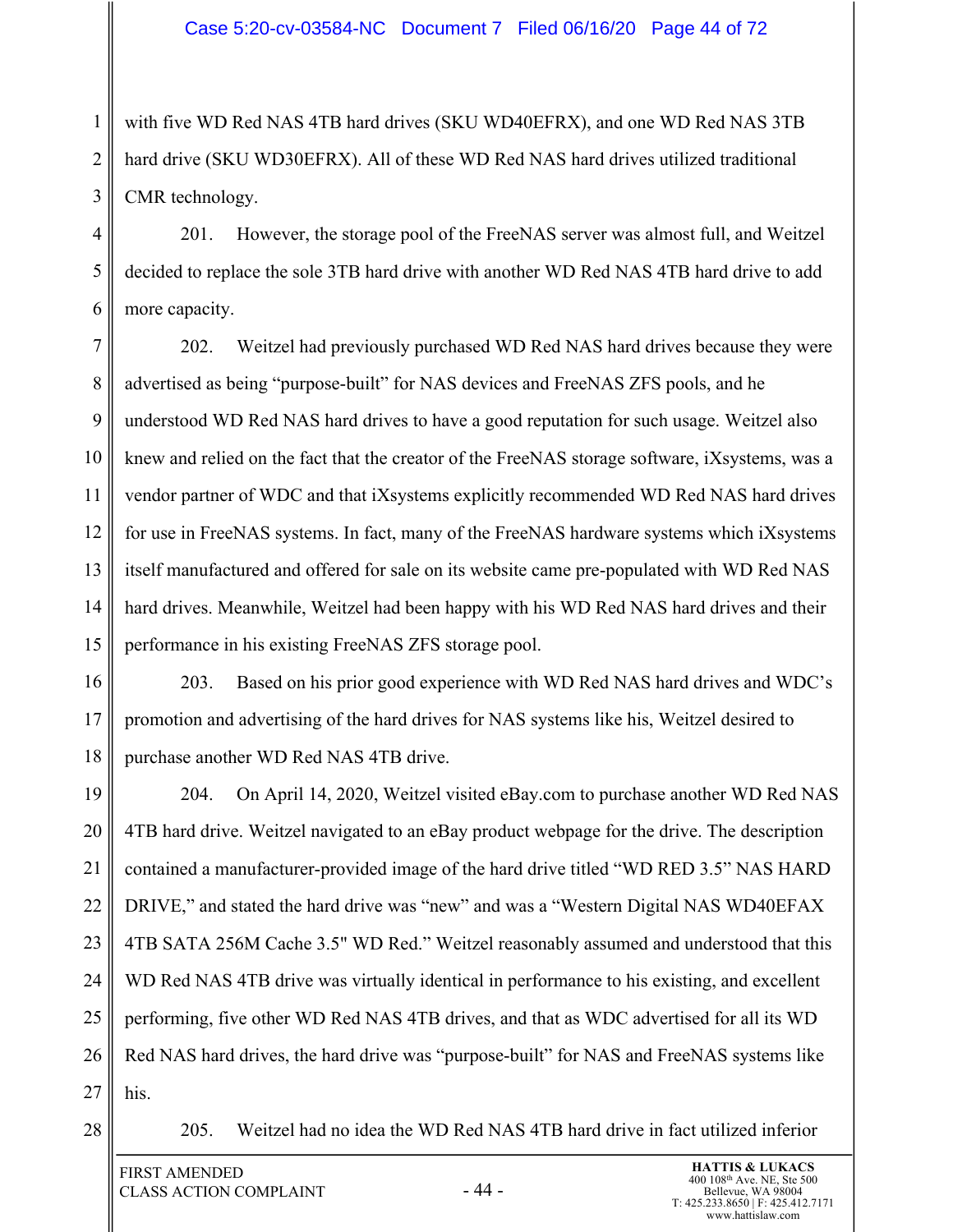1 2 3 with five WD Red NAS 4TB hard drives (SKU WD40EFRX), and one WD Red NAS 3TB hard drive (SKU WD30EFRX). All of these WD Red NAS hard drives utilized traditional CMR technology.

4 5 6 201. However, the storage pool of the FreeNAS server was almost full, and Weitzel decided to replace the sole 3TB hard drive with another WD Red NAS 4TB hard drive to add more capacity.

7 8 9 10 11 12 13 14 15 202. Weitzel had previously purchased WD Red NAS hard drives because they were advertised as being "purpose-built" for NAS devices and FreeNAS ZFS pools, and he understood WD Red NAS hard drives to have a good reputation for such usage. Weitzel also knew and relied on the fact that the creator of the FreeNAS storage software, iXsystems, was a vendor partner of WDC and that iXsystems explicitly recommended WD Red NAS hard drives for use in FreeNAS systems. In fact, many of the FreeNAS hardware systems which iXsystems itself manufactured and offered for sale on its website came pre-populated with WD Red NAS hard drives. Meanwhile, Weitzel had been happy with his WD Red NAS hard drives and their performance in his existing FreeNAS ZFS storage pool.

16 17 18 203. Based on his prior good experience with WD Red NAS hard drives and WDC's promotion and advertising of the hard drives for NAS systems like his, Weitzel desired to purchase another WD Red NAS 4TB drive.

19 20 21 22 23 24 25 26 27 204. On April 14, 2020, Weitzel visited eBay.com to purchase another WD Red NAS 4TB hard drive. Weitzel navigated to an eBay product webpage for the drive. The description contained a manufacturer-provided image of the hard drive titled "WD RED 3.5" NAS HARD DRIVE," and stated the hard drive was "new" and was a "Western Digital NAS WD40EFAX 4TB SATA 256M Cache 3.5" WD Red." Weitzel reasonably assumed and understood that this WD Red NAS 4TB drive was virtually identical in performance to his existing, and excellent performing, five other WD Red NAS 4TB drives, and that as WDC advertised for all its WD Red NAS hard drives, the hard drive was "purpose-built" for NAS and FreeNAS systems like his.

28

205. Weitzel had no idea the WD Red NAS 4TB hard drive in fact utilized inferior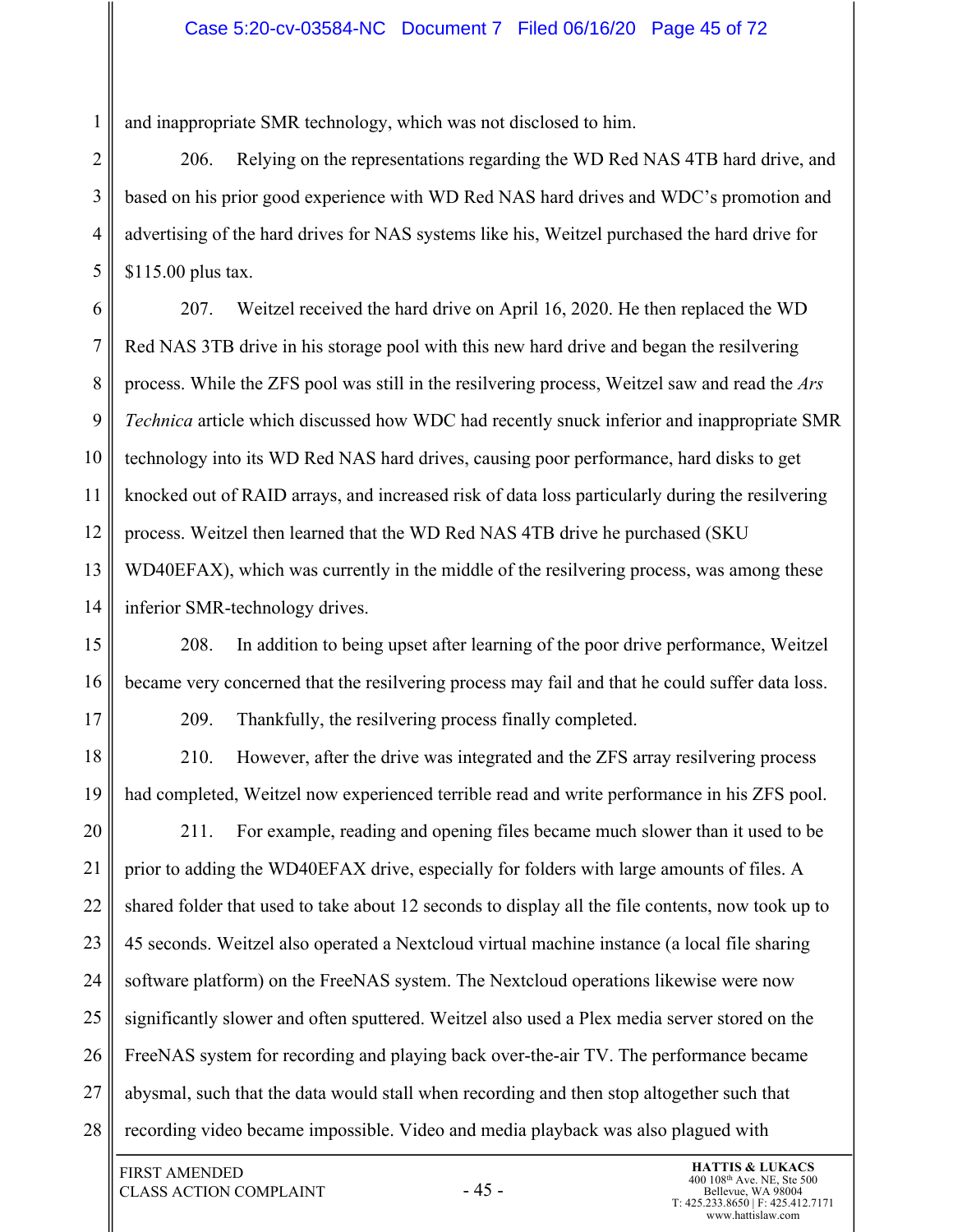and inappropriate SMR technology, which was not disclosed to him.

2 3 4 5 206. Relying on the representations regarding the WD Red NAS 4TB hard drive, and based on his prior good experience with WD Red NAS hard drives and WDC's promotion and advertising of the hard drives for NAS systems like his, Weitzel purchased the hard drive for \$115.00 plus tax.

6 7 8 9 10 11 12 13 14 207. Weitzel received the hard drive on April 16, 2020. He then replaced the WD Red NAS 3TB drive in his storage pool with this new hard drive and began the resilvering process. While the ZFS pool was still in the resilvering process, Weitzel saw and read the *Ars Technica* article which discussed how WDC had recently snuck inferior and inappropriate SMR technology into its WD Red NAS hard drives, causing poor performance, hard disks to get knocked out of RAID arrays, and increased risk of data loss particularly during the resilvering process. Weitzel then learned that the WD Red NAS 4TB drive he purchased (SKU WD40EFAX), which was currently in the middle of the resilvering process, was among these inferior SMR-technology drives.

15 16 208. In addition to being upset after learning of the poor drive performance, Weitzel became very concerned that the resilvering process may fail and that he could suffer data loss.

17

1

209. Thankfully, the resilvering process finally completed.

18 19 210. However, after the drive was integrated and the ZFS array resilvering process had completed, Weitzel now experienced terrible read and write performance in his ZFS pool.

20 21 22 23 24 25 26 27 28 211. For example, reading and opening files became much slower than it used to be prior to adding the WD40EFAX drive, especially for folders with large amounts of files. A shared folder that used to take about 12 seconds to display all the file contents, now took up to 45 seconds. Weitzel also operated a Nextcloud virtual machine instance (a local file sharing software platform) on the FreeNAS system. The Nextcloud operations likewise were now significantly slower and often sputtered. Weitzel also used a Plex media server stored on the FreeNAS system for recording and playing back over-the-air TV. The performance became abysmal, such that the data would stall when recording and then stop altogether such that recording video became impossible. Video and media playback was also plagued with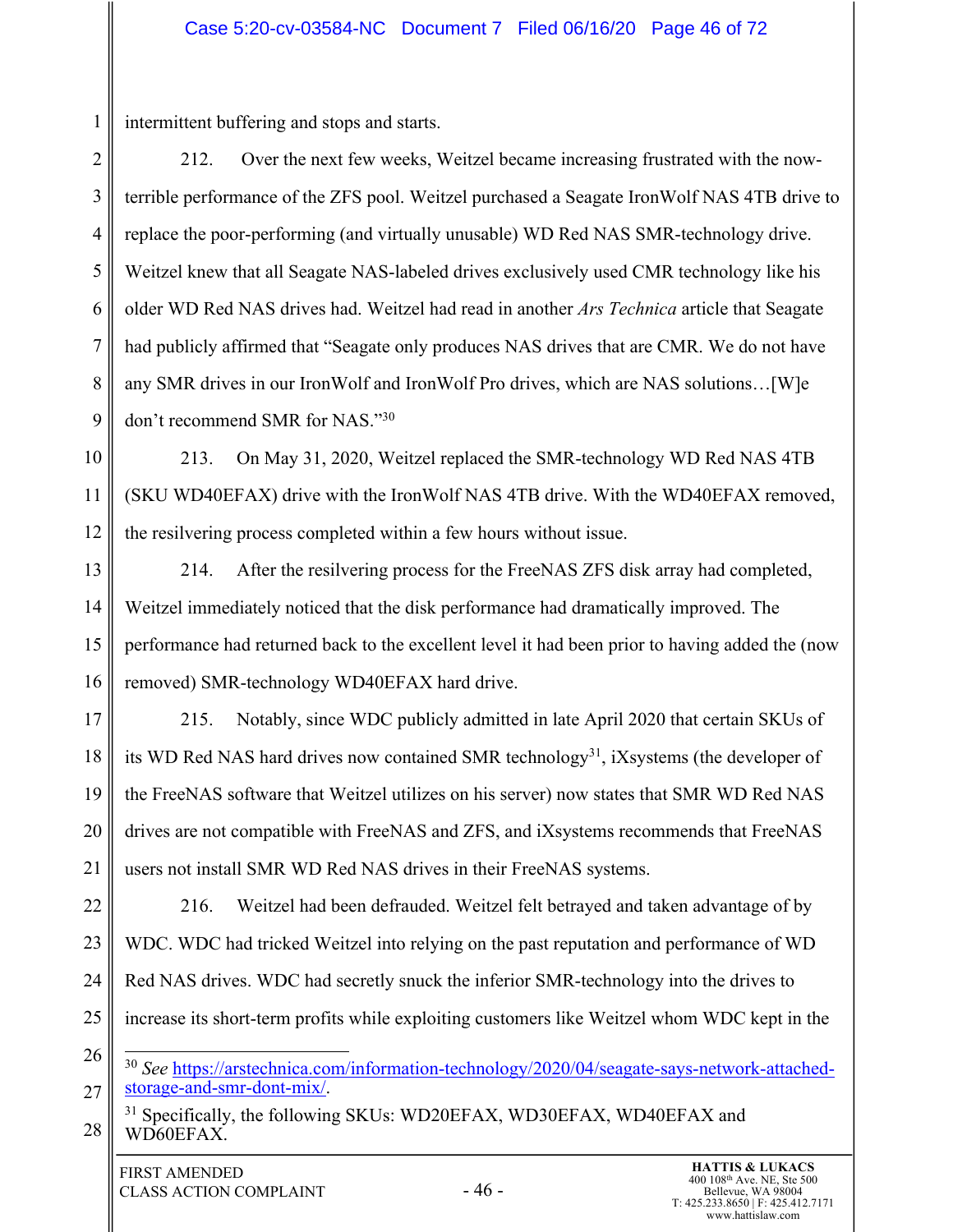intermittent buffering and stops and starts.

1

2 3 4 5 6 7 8 9 212. Over the next few weeks, Weitzel became increasing frustrated with the nowterrible performance of the ZFS pool. Weitzel purchased a Seagate IronWolf NAS 4TB drive to replace the poor-performing (and virtually unusable) WD Red NAS SMR-technology drive. Weitzel knew that all Seagate NAS-labeled drives exclusively used CMR technology like his older WD Red NAS drives had. Weitzel had read in another *Ars Technica* article that Seagate had publicly affirmed that "Seagate only produces NAS drives that are CMR. We do not have any SMR drives in our IronWolf and IronWolf Pro drives, which are NAS solutions…[W]e don't recommend SMR for NAS."30

10 11 12 213. On May 31, 2020, Weitzel replaced the SMR-technology WD Red NAS 4TB (SKU WD40EFAX) drive with the IronWolf NAS 4TB drive. With the WD40EFAX removed, the resilvering process completed within a few hours without issue.

13 14 15 16 214. After the resilvering process for the FreeNAS ZFS disk array had completed, Weitzel immediately noticed that the disk performance had dramatically improved. The performance had returned back to the excellent level it had been prior to having added the (now removed) SMR-technology WD40EFAX hard drive.

17 18 19 20 21 215. Notably, since WDC publicly admitted in late April 2020 that certain SKUs of its WD Red NAS hard drives now contained SMR technology<sup>31</sup>, iXsystems (the developer of the FreeNAS software that Weitzel utilizes on his server) now states that SMR WD Red NAS drives are not compatible with FreeNAS and ZFS, and iXsystems recommends that FreeNAS users not install SMR WD Red NAS drives in their FreeNAS systems.

22 23 24 25 216. Weitzel had been defrauded. Weitzel felt betrayed and taken advantage of by WDC. WDC had tricked Weitzel into relying on the past reputation and performance of WD Red NAS drives. WDC had secretly snuck the inferior SMR-technology into the drives to increase its short-term profits while exploiting customers like Weitzel whom WDC kept in the

26 27 <sup>30</sup> *See* https://arstechnica.com/information-technology/2020/04/seagate-says-network-attachedstorage-and-smr-dont-mix/.

<sup>28</sup> <sup>31</sup> Specifically, the following SKUs: WD20EFAX, WD30EFAX, WD40EFAX and WD60EFAX.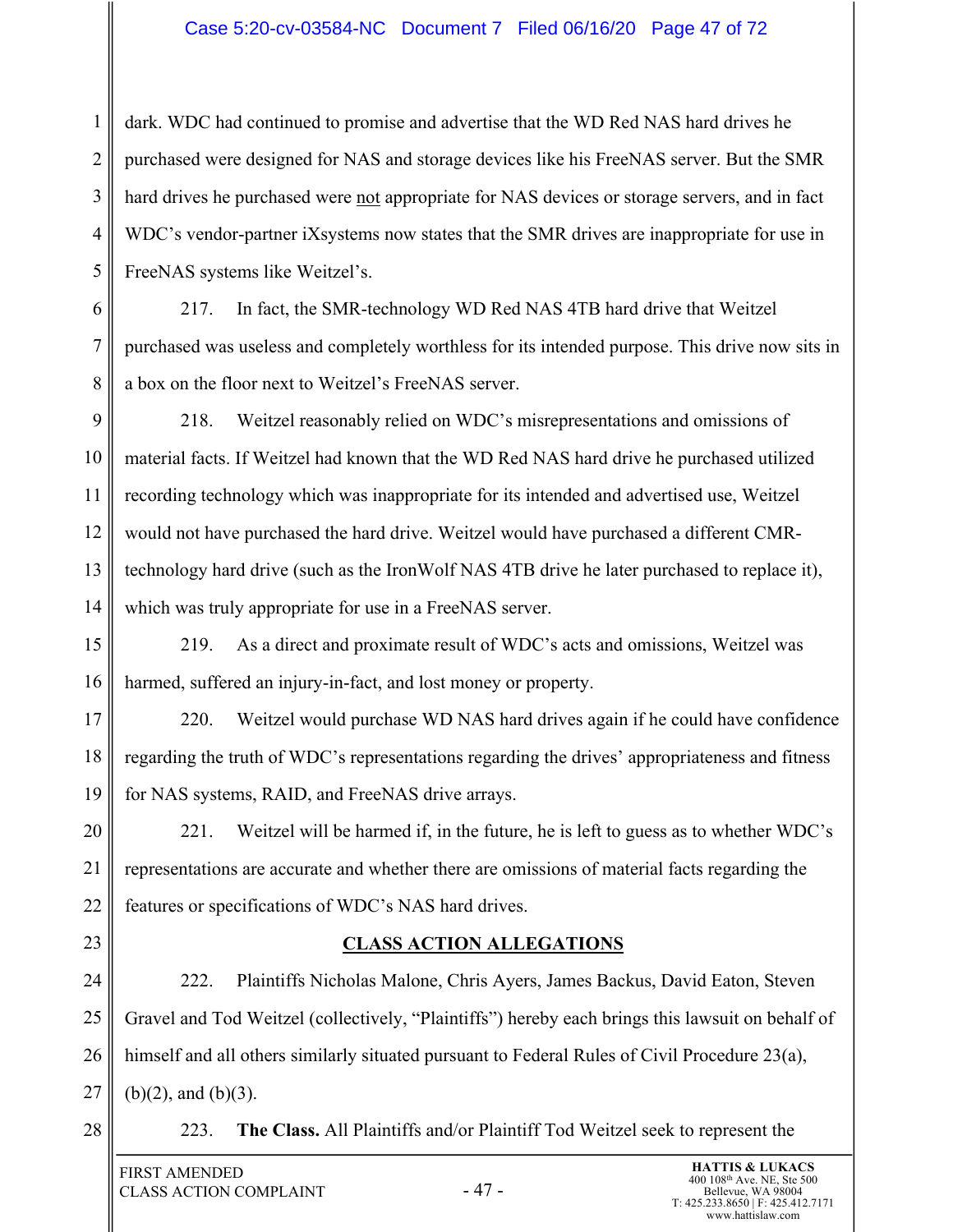#### Case 5:20-cv-03584-NC Document 7 Filed 06/16/20 Page 47 of 72

3 4 dark. WDC had continued to promise and advertise that the WD Red NAS hard drives he purchased were designed for NAS and storage devices like his FreeNAS server. But the SMR hard drives he purchased were not appropriate for NAS devices or storage servers, and in fact WDC's vendor-partner iXsystems now states that the SMR drives are inappropriate for use in FreeNAS systems like Weitzel's.

6 7 8 217. In fact, the SMR-technology WD Red NAS 4TB hard drive that Weitzel purchased was useless and completely worthless for its intended purpose. This drive now sits in a box on the floor next to Weitzel's FreeNAS server.

9 10 11 12 13 14 218. Weitzel reasonably relied on WDC's misrepresentations and omissions of material facts. If Weitzel had known that the WD Red NAS hard drive he purchased utilized recording technology which was inappropriate for its intended and advertised use, Weitzel would not have purchased the hard drive. Weitzel would have purchased a different CMRtechnology hard drive (such as the IronWolf NAS 4TB drive he later purchased to replace it), which was truly appropriate for use in a FreeNAS server.

15 16 219. As a direct and proximate result of WDC's acts and omissions, Weitzel was harmed, suffered an injury-in-fact, and lost money or property.

17 18 19 220. Weitzel would purchase WD NAS hard drives again if he could have confidence regarding the truth of WDC's representations regarding the drives' appropriateness and fitness for NAS systems, RAID, and FreeNAS drive arrays.

20 21 22 221. Weitzel will be harmed if, in the future, he is left to guess as to whether WDC's representations are accurate and whether there are omissions of material facts regarding the features or specifications of WDC's NAS hard drives.

23

1

2

5

## **CLASS ACTION ALLEGATIONS**

24 25 26 27 222. Plaintiffs Nicholas Malone, Chris Ayers, James Backus, David Eaton, Steven Gravel and Tod Weitzel (collectively, "Plaintiffs") hereby each brings this lawsuit on behalf of himself and all others similarly situated pursuant to Federal Rules of Civil Procedure 23(a),  $(b)(2)$ , and  $(b)(3)$ .

28

223. **The Class.** All Plaintiffs and/or Plaintiff Tod Weitzel seek to represent the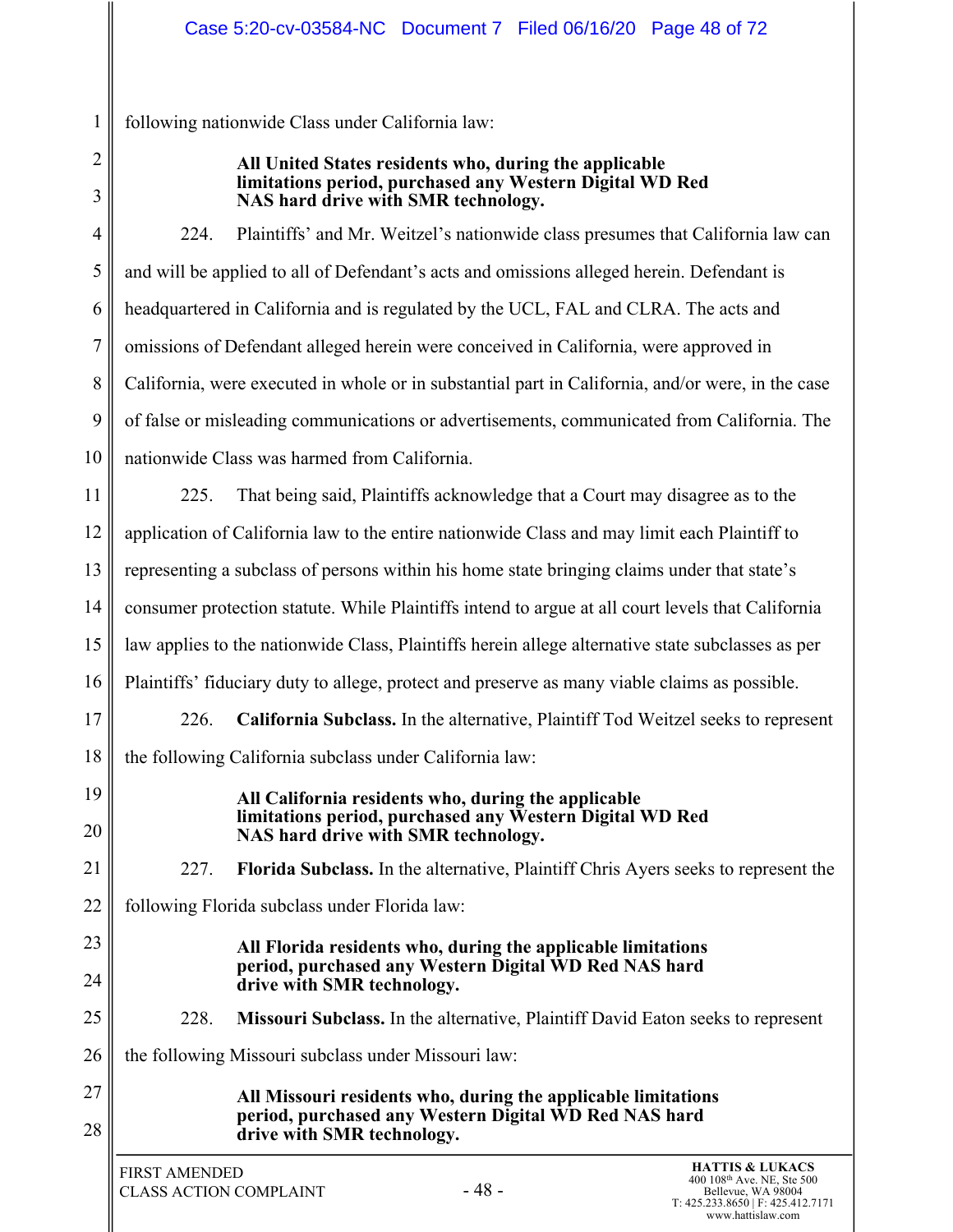following nationwide Class under California law:

1 2 3

#### **All United States residents who, during the applicable limitations period, purchased any Western Digital WD Red NAS hard drive with SMR technology.**

4 5 6 7 8 9 10 11 12 13 14 15 16 17 18 19 20 21 22 23 24 25 26 27 28 **HATTIS & LUKACS** 224. Plaintiffs' and Mr. Weitzel's nationwide class presumes that California law can and will be applied to all of Defendant's acts and omissions alleged herein. Defendant is headquartered in California and is regulated by the UCL, FAL and CLRA. The acts and omissions of Defendant alleged herein were conceived in California, were approved in California, were executed in whole or in substantial part in California, and/or were, in the case of false or misleading communications or advertisements, communicated from California. The nationwide Class was harmed from California. 225. That being said, Plaintiffs acknowledge that a Court may disagree as to the application of California law to the entire nationwide Class and may limit each Plaintiff to representing a subclass of persons within his home state bringing claims under that state's consumer protection statute. While Plaintiffs intend to argue at all court levels that California law applies to the nationwide Class, Plaintiffs herein allege alternative state subclasses as per Plaintiffs' fiduciary duty to allege, protect and preserve as many viable claims as possible. 226. **California Subclass.** In the alternative, Plaintiff Tod Weitzel seeks to represent the following California subclass under California law: **All California residents who, during the applicable limitations period, purchased any Western Digital WD Red NAS hard drive with SMR technology.**  227. **Florida Subclass.** In the alternative, Plaintiff Chris Ayers seeks to represent the following Florida subclass under Florida law: **All Florida residents who, during the applicable limitations period, purchased any Western Digital WD Red NAS hard drive with SMR technology.**  228. **Missouri Subclass.** In the alternative, Plaintiff David Eaton seeks to represent the following Missouri subclass under Missouri law: **All Missouri residents who, during the applicable limitations period, purchased any Western Digital WD Red NAS hard drive with SMR technology.**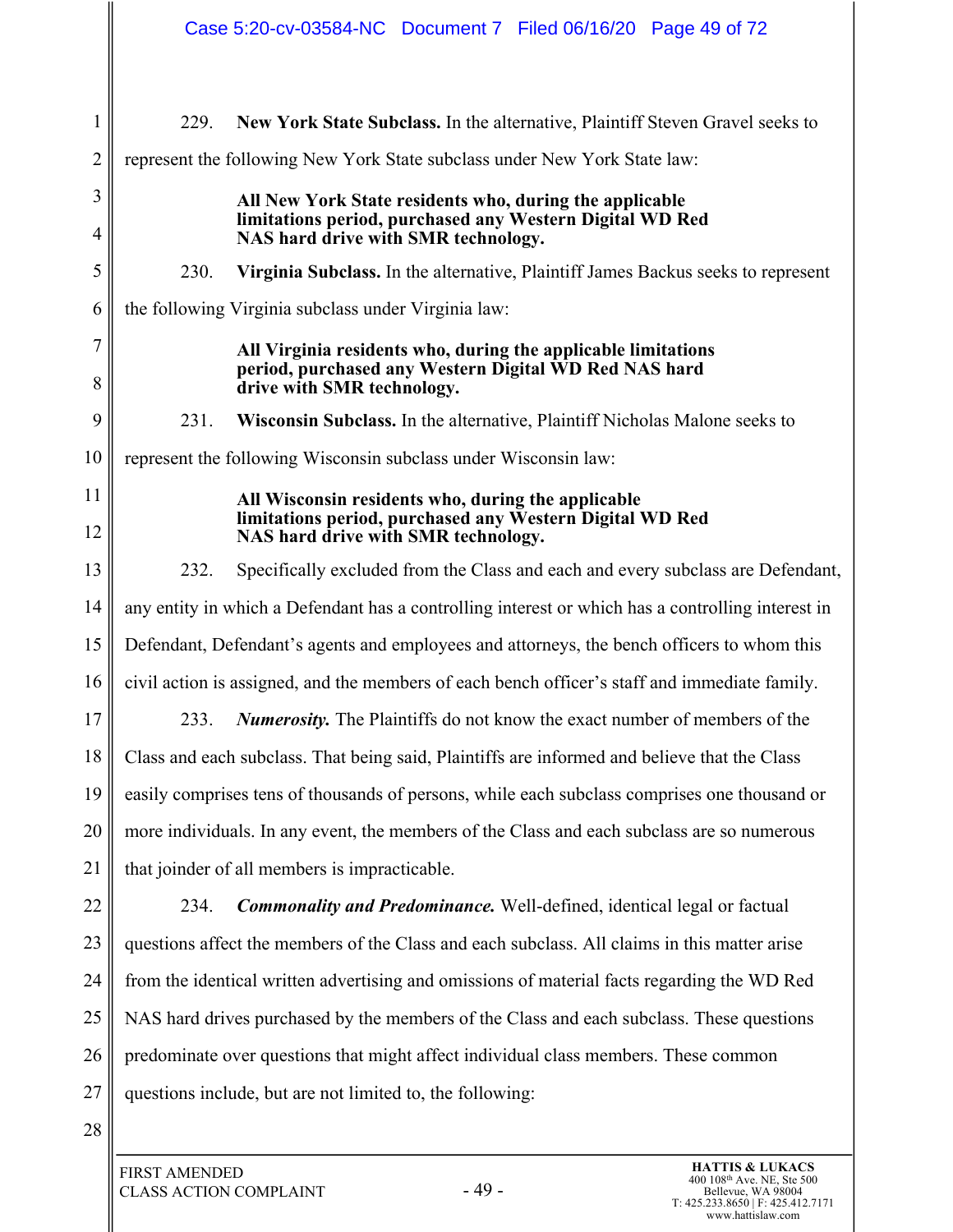|                     | Case 5:20-cv-03584-NC Document 7 Filed 06/16/20 Page 49 of 72                                                                                        |  |  |  |  |  |
|---------------------|------------------------------------------------------------------------------------------------------------------------------------------------------|--|--|--|--|--|
| $\mathbf{1}$        | 229.<br>New York State Subclass. In the alternative, Plaintiff Steven Gravel seeks to                                                                |  |  |  |  |  |
| $\overline{2}$      | represent the following New York State subclass under New York State law:                                                                            |  |  |  |  |  |
| 3                   | All New York State residents who, during the applicable                                                                                              |  |  |  |  |  |
| 4                   | limitations period, purchased any Western Digital WD Red<br>NAS hard drive with SMR technology.                                                      |  |  |  |  |  |
| 5                   | 230.<br>Virginia Subclass. In the alternative, Plaintiff James Backus seeks to represent                                                             |  |  |  |  |  |
| 6                   | the following Virginia subclass under Virginia law:                                                                                                  |  |  |  |  |  |
| $\overline{7}$<br>8 | All Virginia residents who, during the applicable limitations<br>period, purchased any Western Digital WD Red NAS hard<br>drive with SMR technology. |  |  |  |  |  |
| 9                   | 231.<br>Wisconsin Subclass. In the alternative, Plaintiff Nicholas Malone seeks to                                                                   |  |  |  |  |  |
| 10                  | represent the following Wisconsin subclass under Wisconsin law:                                                                                      |  |  |  |  |  |
| 11                  | All Wisconsin residents who, during the applicable                                                                                                   |  |  |  |  |  |
| 12                  | limitations period, purchased any Western Digital WD Red<br>NAS hard drive with SMR technology.                                                      |  |  |  |  |  |
| 13                  | 232.<br>Specifically excluded from the Class and each and every subclass are Defendant,                                                              |  |  |  |  |  |
| 14                  | any entity in which a Defendant has a controlling interest or which has a controlling interest in                                                    |  |  |  |  |  |
| 15                  | Defendant, Defendant's agents and employees and attorneys, the bench officers to whom this                                                           |  |  |  |  |  |
| 16                  | civil action is assigned, and the members of each bench officer's staff and immediate family.                                                        |  |  |  |  |  |
| $17\,$              | <b>Numerosity.</b> The Plaintiffs do not know the exact number of members of the<br>233.                                                             |  |  |  |  |  |
| 18                  | Class and each subclass. That being said, Plaintiffs are informed and believe that the Class                                                         |  |  |  |  |  |
| 19                  | easily comprises tens of thousands of persons, while each subclass comprises one thousand or                                                         |  |  |  |  |  |
| 20                  | more individuals. In any event, the members of the Class and each subclass are so numerous                                                           |  |  |  |  |  |
| 21                  | that joinder of all members is impracticable.                                                                                                        |  |  |  |  |  |
| 22                  | <b>Commonality and Predominance.</b> Well-defined, identical legal or factual<br>234.                                                                |  |  |  |  |  |
| 23                  | questions affect the members of the Class and each subclass. All claims in this matter arise                                                         |  |  |  |  |  |
| 24                  | from the identical written advertising and omissions of material facts regarding the WD Red                                                          |  |  |  |  |  |
| 25                  | NAS hard drives purchased by the members of the Class and each subclass. These questions                                                             |  |  |  |  |  |
| 26                  | predominate over questions that might affect individual class members. These common                                                                  |  |  |  |  |  |
| 27                  | questions include, but are not limited to, the following:                                                                                            |  |  |  |  |  |
| 28                  |                                                                                                                                                      |  |  |  |  |  |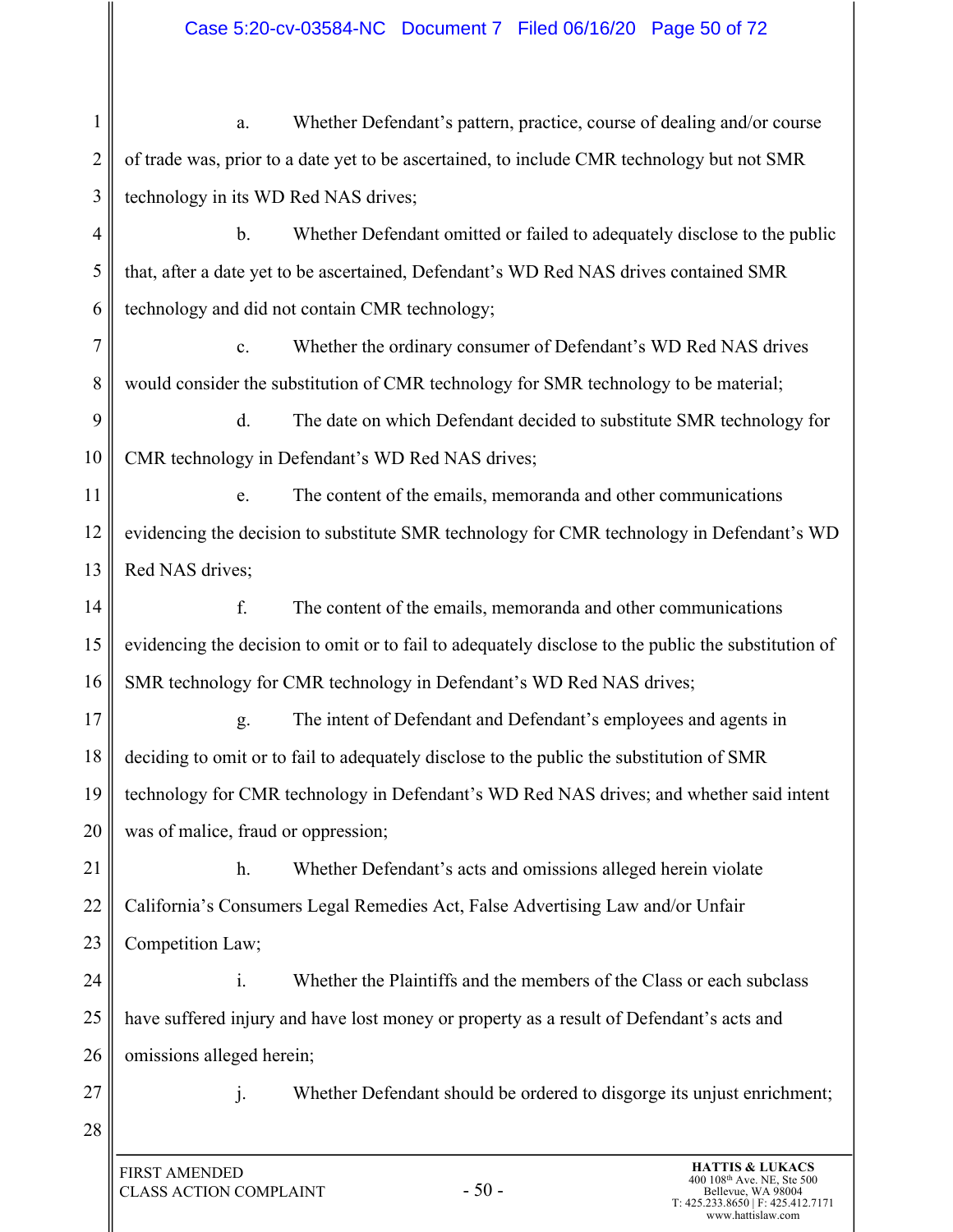# Case 5:20-cv-03584-NC Document 7 Filed 06/16/20 Page 50 of 72

| 1              | Whether Defendant's pattern, practice, course of dealing and/or course<br>a.                                                                                  |  |  |  |  |
|----------------|---------------------------------------------------------------------------------------------------------------------------------------------------------------|--|--|--|--|
| 2              | of trade was, prior to a date yet to be ascertained, to include CMR technology but not SMR                                                                    |  |  |  |  |
| 3              | technology in its WD Red NAS drives;                                                                                                                          |  |  |  |  |
| $\overline{4}$ | $\mathbf b$ .<br>Whether Defendant omitted or failed to adequately disclose to the public                                                                     |  |  |  |  |
| 5              | that, after a date yet to be ascertained, Defendant's WD Red NAS drives contained SMR                                                                         |  |  |  |  |
| 6              | technology and did not contain CMR technology;                                                                                                                |  |  |  |  |
| $\overline{7}$ | Whether the ordinary consumer of Defendant's WD Red NAS drives<br>c.                                                                                          |  |  |  |  |
| 8              | would consider the substitution of CMR technology for SMR technology to be material;                                                                          |  |  |  |  |
| 9              | d.<br>The date on which Defendant decided to substitute SMR technology for                                                                                    |  |  |  |  |
| 10             | CMR technology in Defendant's WD Red NAS drives;                                                                                                              |  |  |  |  |
| 11             | The content of the emails, memoranda and other communications<br>e.                                                                                           |  |  |  |  |
| 12             | evidencing the decision to substitute SMR technology for CMR technology in Defendant's WD                                                                     |  |  |  |  |
| 13             | Red NAS drives;                                                                                                                                               |  |  |  |  |
| 14             | f.<br>The content of the emails, memoranda and other communications                                                                                           |  |  |  |  |
| 15             | evidencing the decision to omit or to fail to adequately disclose to the public the substitution of                                                           |  |  |  |  |
| 16             | SMR technology for CMR technology in Defendant's WD Red NAS drives;                                                                                           |  |  |  |  |
| 17             | The intent of Defendant and Defendant's employees and agents in<br>g.                                                                                         |  |  |  |  |
| 18             | deciding to omit or to fail to adequately disclose to the public the substitution of SMR                                                                      |  |  |  |  |
| 19             | technology for CMR technology in Defendant's WD Red NAS drives; and whether said intent                                                                       |  |  |  |  |
| 20             | was of malice, fraud or oppression;                                                                                                                           |  |  |  |  |
| 21             | h.<br>Whether Defendant's acts and omissions alleged herein violate                                                                                           |  |  |  |  |
| 22             | California's Consumers Legal Remedies Act, False Advertising Law and/or Unfair                                                                                |  |  |  |  |
| 23             | Competition Law;                                                                                                                                              |  |  |  |  |
| 24             | $\mathbf{i}$ .<br>Whether the Plaintiffs and the members of the Class or each subclass                                                                        |  |  |  |  |
| 25             | have suffered injury and have lost money or property as a result of Defendant's acts and                                                                      |  |  |  |  |
| 26             | omissions alleged herein;                                                                                                                                     |  |  |  |  |
| 27             | j.<br>Whether Defendant should be ordered to disgorge its unjust enrichment;                                                                                  |  |  |  |  |
| 28             |                                                                                                                                                               |  |  |  |  |
|                | <b>HATTIS &amp; LUKACS</b><br><b>FIRST AMENDED</b><br>400 108 <sup>th</sup> Ave. NE, Ste 500<br>$-50-$<br><b>CLASS ACTION COMPLAINT</b><br>Bellevue, WA 98004 |  |  |  |  |

I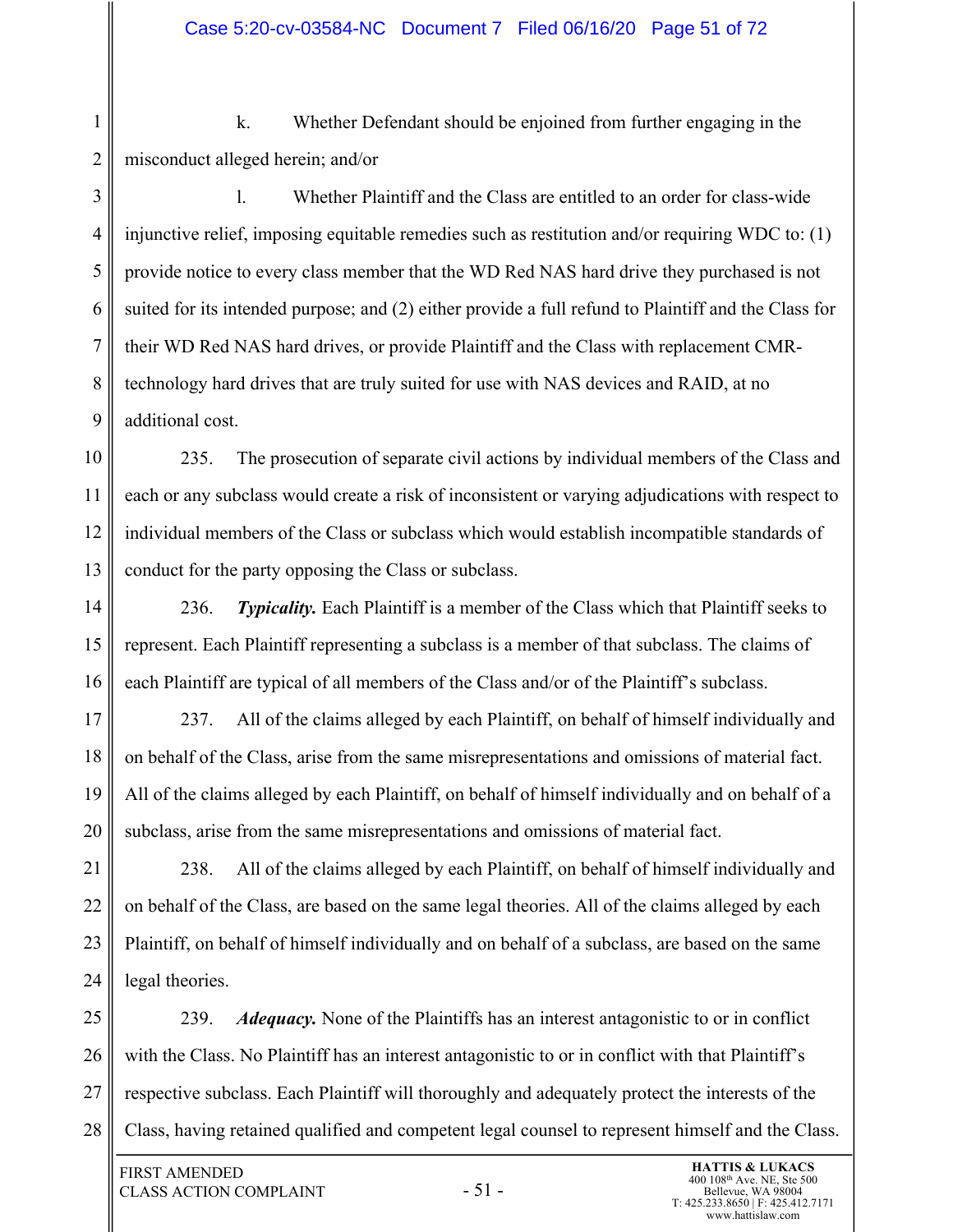1 2 k. Whether Defendant should be enjoined from further engaging in the misconduct alleged herein; and/or

3 4 5 6 7 8 9 l. Whether Plaintiff and the Class are entitled to an order for class-wide injunctive relief, imposing equitable remedies such as restitution and/or requiring WDC to: (1) provide notice to every class member that the WD Red NAS hard drive they purchased is not suited for its intended purpose; and (2) either provide a full refund to Plaintiff and the Class for their WD Red NAS hard drives, or provide Plaintiff and the Class with replacement CMRtechnology hard drives that are truly suited for use with NAS devices and RAID, at no additional cost.

10 11 12 13 235. The prosecution of separate civil actions by individual members of the Class and each or any subclass would create a risk of inconsistent or varying adjudications with respect to individual members of the Class or subclass which would establish incompatible standards of conduct for the party opposing the Class or subclass.

14 15 16 236. *Typicality.* Each Plaintiff is a member of the Class which that Plaintiff seeks to represent. Each Plaintiff representing a subclass is a member of that subclass. The claims of each Plaintiff are typical of all members of the Class and/or of the Plaintiff's subclass.

17 18 19 20 237. All of the claims alleged by each Plaintiff, on behalf of himself individually and on behalf of the Class, arise from the same misrepresentations and omissions of material fact. All of the claims alleged by each Plaintiff, on behalf of himself individually and on behalf of a subclass, arise from the same misrepresentations and omissions of material fact.

21 22 23 24 238. All of the claims alleged by each Plaintiff, on behalf of himself individually and on behalf of the Class, are based on the same legal theories. All of the claims alleged by each Plaintiff, on behalf of himself individually and on behalf of a subclass, are based on the same legal theories.

25 26 27 28 239. *Adequacy.* None of the Plaintiffs has an interest antagonistic to or in conflict with the Class. No Plaintiff has an interest antagonistic to or in conflict with that Plaintiff's respective subclass. Each Plaintiff will thoroughly and adequately protect the interests of the Class, having retained qualified and competent legal counsel to represent himself and the Class.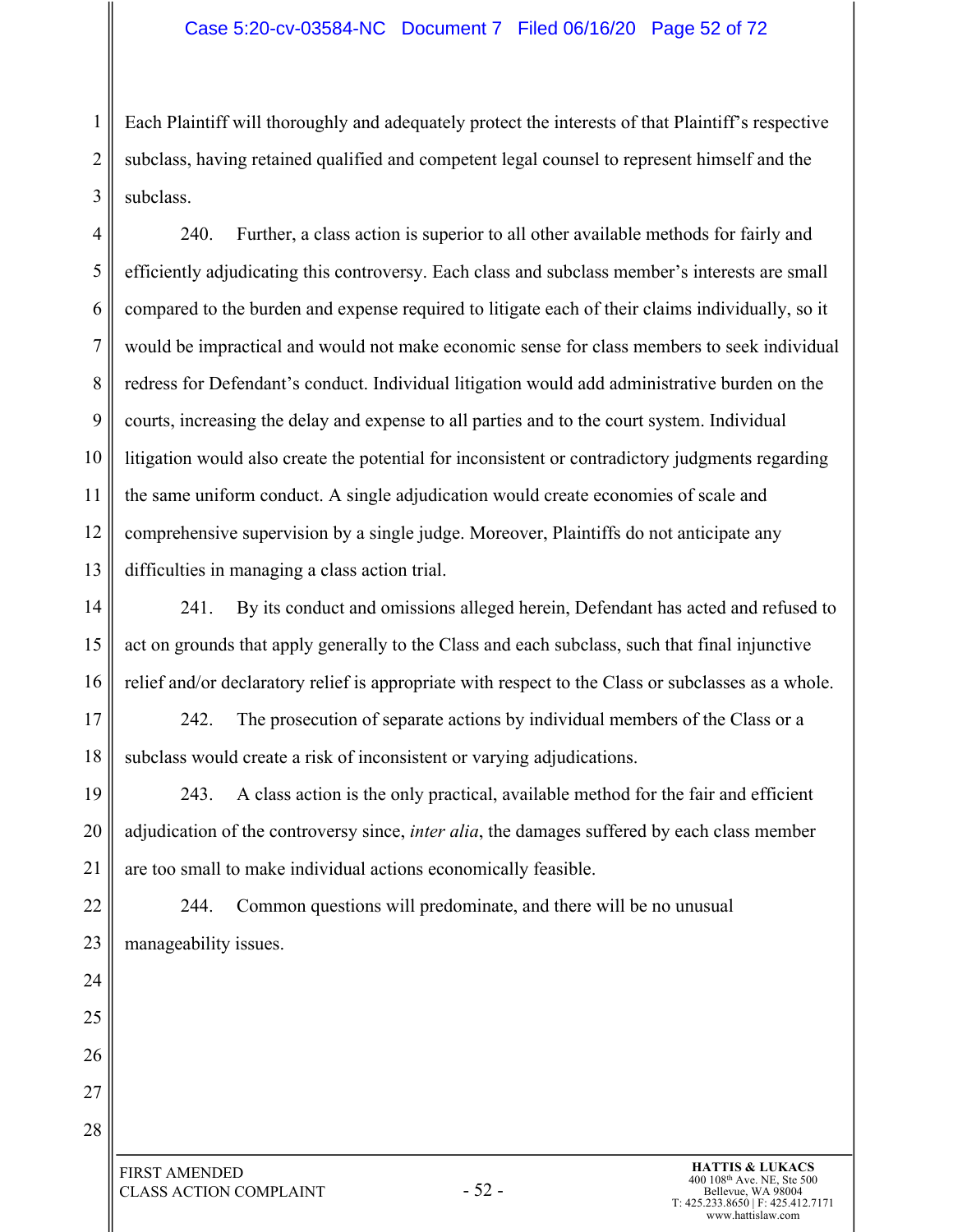#### Case 5:20-cv-03584-NC Document 7 Filed 06/16/20 Page 52 of 72

1 2 3 Each Plaintiff will thoroughly and adequately protect the interests of that Plaintiff's respective subclass, having retained qualified and competent legal counsel to represent himself and the subclass.

4 5 6 7 8 9 10 11 12 13 240. Further, a class action is superior to all other available methods for fairly and efficiently adjudicating this controversy. Each class and subclass member's interests are small compared to the burden and expense required to litigate each of their claims individually, so it would be impractical and would not make economic sense for class members to seek individual redress for Defendant's conduct. Individual litigation would add administrative burden on the courts, increasing the delay and expense to all parties and to the court system. Individual litigation would also create the potential for inconsistent or contradictory judgments regarding the same uniform conduct. A single adjudication would create economies of scale and comprehensive supervision by a single judge. Moreover, Plaintiffs do not anticipate any difficulties in managing a class action trial.

14 15 16 241. By its conduct and omissions alleged herein, Defendant has acted and refused to act on grounds that apply generally to the Class and each subclass, such that final injunctive relief and/or declaratory relief is appropriate with respect to the Class or subclasses as a whole.

17 18 242. The prosecution of separate actions by individual members of the Class or a subclass would create a risk of inconsistent or varying adjudications.

19 20 21 243. A class action is the only practical, available method for the fair and efficient adjudication of the controversy since, *inter alia*, the damages suffered by each class member are too small to make individual actions economically feasible.

22 23 244. Common questions will predominate, and there will be no unusual manageability issues.

24 25

26

27

28

- 52 - FIRST AMENDED CLASS ACTION COMPLAINT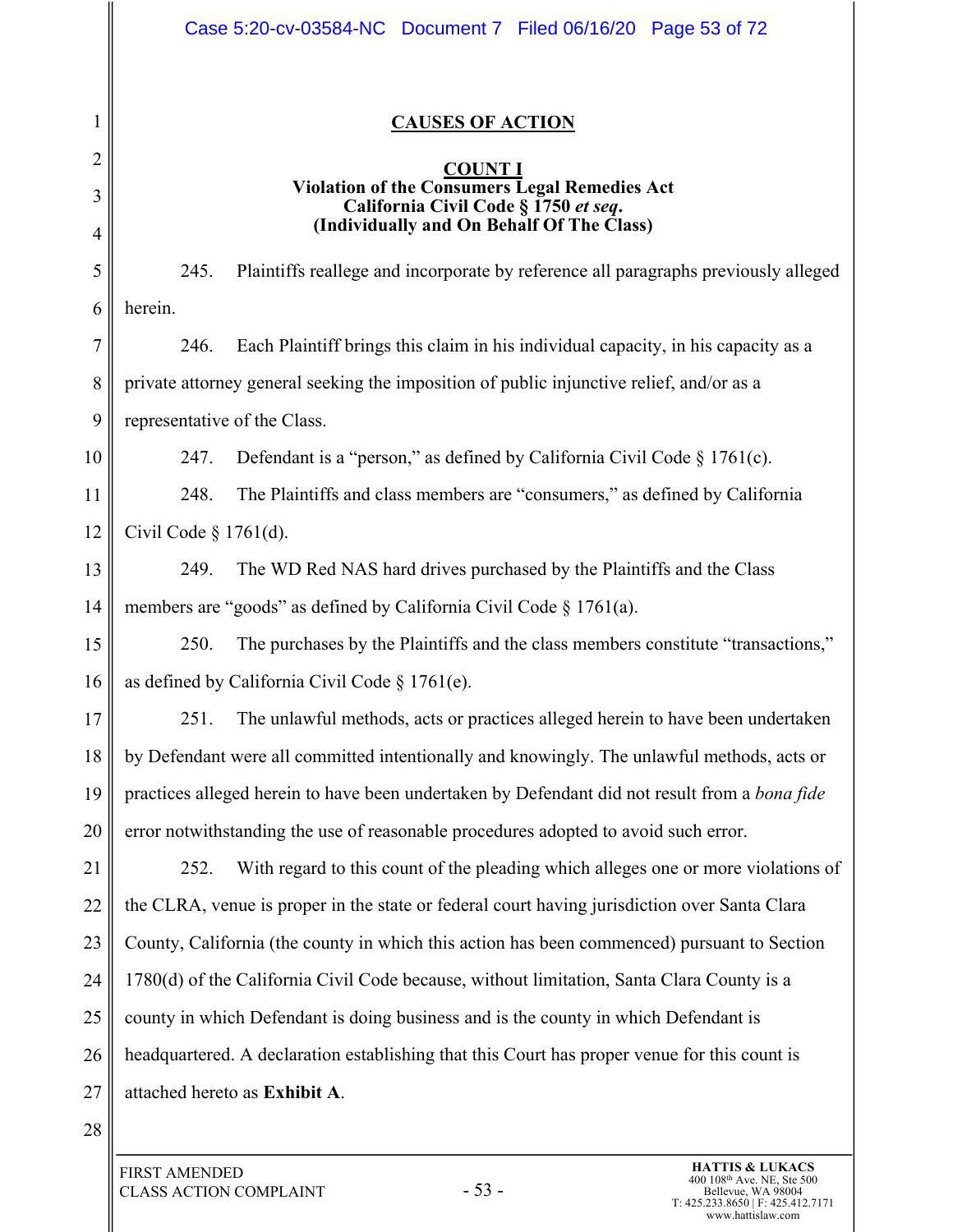|                | Case 5:20-cv-03584-NC Document 7 Filed 06/16/20 Page 53 of 72                                    |  |  |  |  |  |
|----------------|--------------------------------------------------------------------------------------------------|--|--|--|--|--|
| 1              | <b>CAUSES OF ACTION</b>                                                                          |  |  |  |  |  |
| 2              |                                                                                                  |  |  |  |  |  |
| 3              | COUNT 1<br>Violation of the Consumers Legal Remedies Act<br>California Civil Code § 1750 et seq. |  |  |  |  |  |
| $\overline{4}$ | (Individually and On Behalf Of The Class)                                                        |  |  |  |  |  |
| 5              | 245.<br>Plaintiffs reallege and incorporate by reference all paragraphs previously alleged       |  |  |  |  |  |
| 6              | herein.                                                                                          |  |  |  |  |  |
| 7              | 246.<br>Each Plaintiff brings this claim in his individual capacity, in his capacity as a        |  |  |  |  |  |
| 8              | private attorney general seeking the imposition of public injunctive relief, and/or as a         |  |  |  |  |  |
| 9              | representative of the Class.                                                                     |  |  |  |  |  |
| 10             | 247.<br>Defendant is a "person," as defined by California Civil Code $\S 1761(c)$ .              |  |  |  |  |  |
| 11             | 248.<br>The Plaintiffs and class members are "consumers," as defined by California               |  |  |  |  |  |
| 12             | Civil Code $\S$ 1761(d).                                                                         |  |  |  |  |  |
| 13             | 249.<br>The WD Red NAS hard drives purchased by the Plaintiffs and the Class                     |  |  |  |  |  |
| 14             | members are "goods" as defined by California Civil Code $\S 1761(a)$ .                           |  |  |  |  |  |
| 15             | The purchases by the Plaintiffs and the class members constitute "transactions,"<br>250.         |  |  |  |  |  |
| 16             | as defined by California Civil Code $\S 1761(e)$ .                                               |  |  |  |  |  |
| 17             | 251.<br>The unlawful methods, acts or practices alleged herein to have been undertaken           |  |  |  |  |  |
| 18             | by Defendant were all committed intentionally and knowingly. The unlawful methods, acts or       |  |  |  |  |  |
| 19             | practices alleged herein to have been undertaken by Defendant did not result from a bona fide    |  |  |  |  |  |
| 20             | error notwithstanding the use of reasonable procedures adopted to avoid such error.              |  |  |  |  |  |
| 21             | With regard to this count of the pleading which alleges one or more violations of<br>252.        |  |  |  |  |  |
| 22             | the CLRA, venue is proper in the state or federal court having jurisdiction over Santa Clara     |  |  |  |  |  |
| 23             | County, California (the county in which this action has been commenced) pursuant to Section      |  |  |  |  |  |
| 24             | 1780(d) of the California Civil Code because, without limitation, Santa Clara County is a        |  |  |  |  |  |
| 25             | county in which Defendant is doing business and is the county in which Defendant is              |  |  |  |  |  |
| 26             | headquartered. A declaration establishing that this Court has proper venue for this count is     |  |  |  |  |  |
| 27             | attached hereto as Exhibit A.                                                                    |  |  |  |  |  |
| 28             |                                                                                                  |  |  |  |  |  |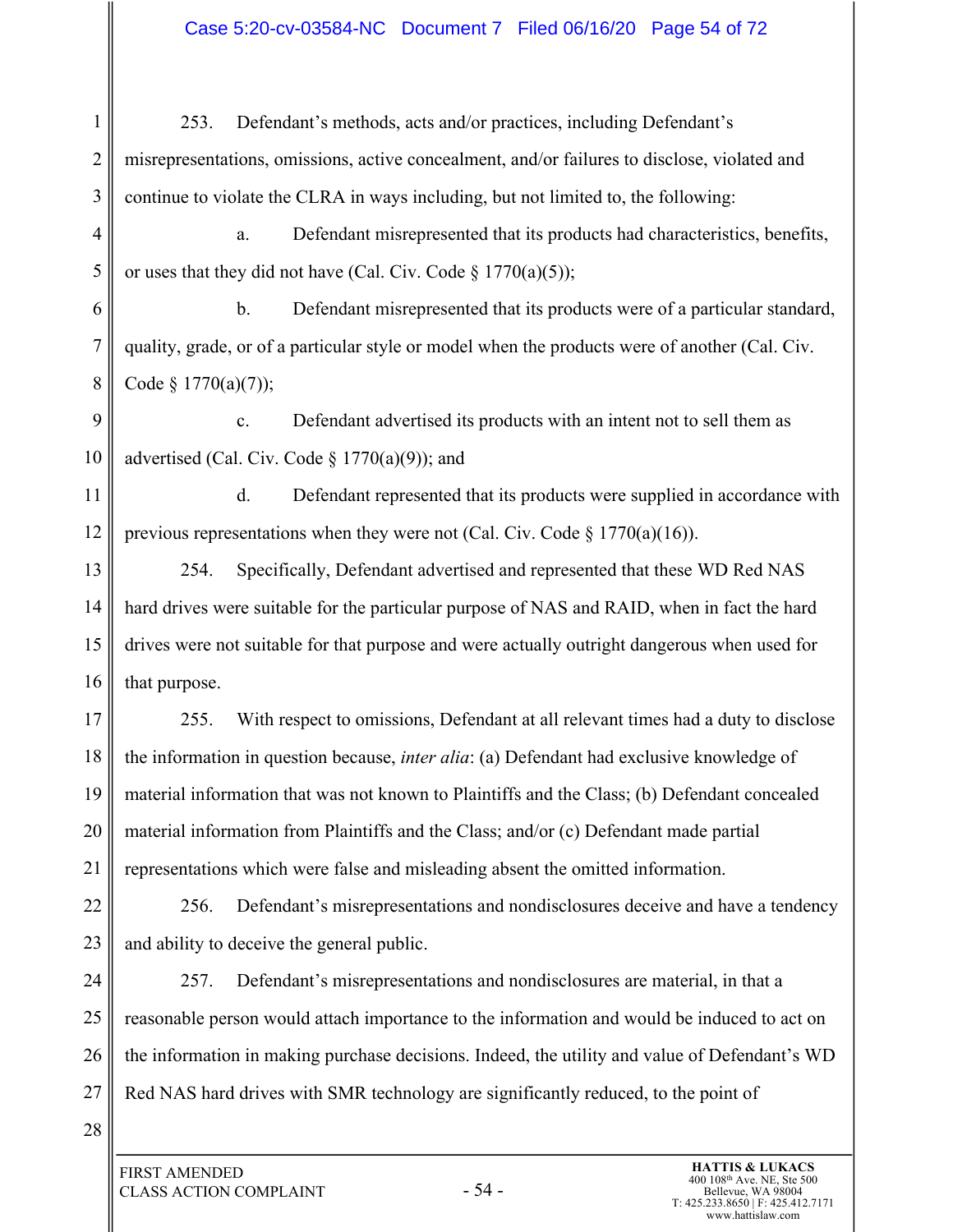# Case 5:20-cv-03584-NC Document 7 Filed 06/16/20 Page 54 of 72

| $\mathbf{1}$   | Defendant's methods, acts and/or practices, including Defendant's<br>253.                      |  |  |  |  |  |
|----------------|------------------------------------------------------------------------------------------------|--|--|--|--|--|
| 2              | misrepresentations, omissions, active concealment, and/or failures to disclose, violated and   |  |  |  |  |  |
| 3              | continue to violate the CLRA in ways including, but not limited to, the following:             |  |  |  |  |  |
| $\overline{4}$ | Defendant misrepresented that its products had characteristics, benefits,<br>a.                |  |  |  |  |  |
| 5              | or uses that they did not have (Cal. Civ. Code $\S 1770(a)(5)$ );                              |  |  |  |  |  |
| 6              | $\mathbf b$ .<br>Defendant misrepresented that its products were of a particular standard,     |  |  |  |  |  |
| 7              | quality, grade, or of a particular style or model when the products were of another (Cal. Civ. |  |  |  |  |  |
| 8              | Code § $1770(a)(7)$ ;                                                                          |  |  |  |  |  |
| 9              | Defendant advertised its products with an intent not to sell them as<br>c.                     |  |  |  |  |  |
| 10             | advertised (Cal. Civ. Code $\S 1770(a)(9)$ ); and                                              |  |  |  |  |  |
| 11             | d.<br>Defendant represented that its products were supplied in accordance with                 |  |  |  |  |  |
| 12             | previous representations when they were not (Cal. Civ. Code $\S 1770(a)(16)$ ).                |  |  |  |  |  |
| 13             | Specifically, Defendant advertised and represented that these WD Red NAS<br>254.               |  |  |  |  |  |
| 14             | hard drives were suitable for the particular purpose of NAS and RAID, when in fact the hard    |  |  |  |  |  |
| 15             | drives were not suitable for that purpose and were actually outright dangerous when used for   |  |  |  |  |  |
| 16             | that purpose.                                                                                  |  |  |  |  |  |
| 17             | With respect to omissions, Defendant at all relevant times had a duty to disclose<br>255.      |  |  |  |  |  |
| 18             | the information in question because, inter alia: (a) Defendant had exclusive knowledge of      |  |  |  |  |  |
| 19             | material information that was not known to Plaintiffs and the Class; (b) Defendant concealed   |  |  |  |  |  |
| 20             | material information from Plaintiffs and the Class; and/or (c) Defendant made partial          |  |  |  |  |  |
| 21             | representations which were false and misleading absent the omitted information.                |  |  |  |  |  |
| 22             | 256.<br>Defendant's misrepresentations and nondisclosures deceive and have a tendency          |  |  |  |  |  |
| 23             | and ability to deceive the general public.                                                     |  |  |  |  |  |
| 24             | Defendant's misrepresentations and nondisclosures are material, in that a<br>257.              |  |  |  |  |  |
| 25             | reasonable person would attach importance to the information and would be induced to act on    |  |  |  |  |  |
| 26             | the information in making purchase decisions. Indeed, the utility and value of Defendant's WD  |  |  |  |  |  |
| 27             | Red NAS hard drives with SMR technology are significantly reduced, to the point of             |  |  |  |  |  |
| 28             |                                                                                                |  |  |  |  |  |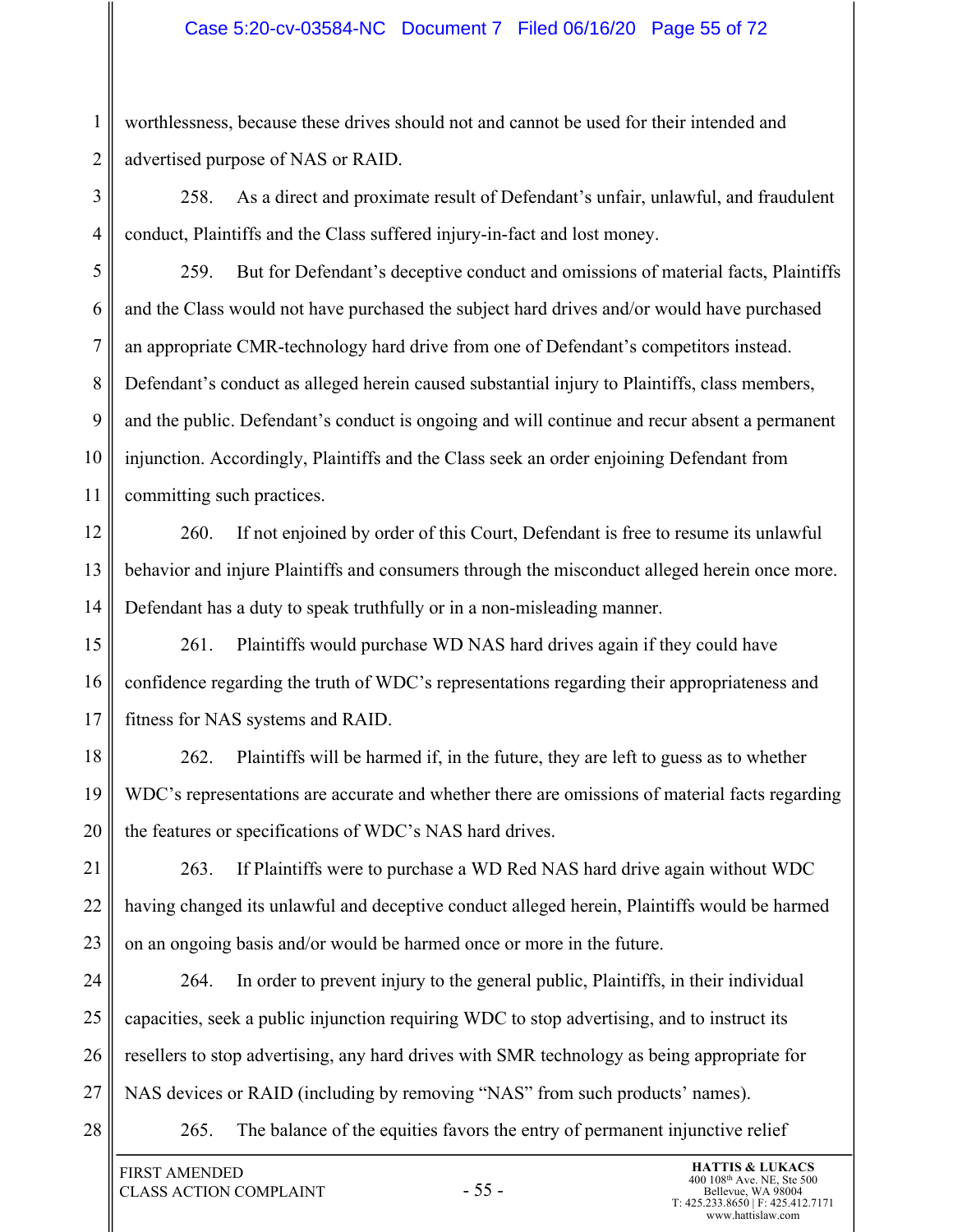#### Case 5:20-cv-03584-NC Document 7 Filed 06/16/20 Page 55 of 72

worthlessness, because these drives should not and cannot be used for their intended and advertised purpose of NAS or RAID.

3 4 258. As a direct and proximate result of Defendant's unfair, unlawful, and fraudulent conduct, Plaintiffs and the Class suffered injury-in-fact and lost money.

5 6 7 8 9 10 11 259. But for Defendant's deceptive conduct and omissions of material facts, Plaintiffs and the Class would not have purchased the subject hard drives and/or would have purchased an appropriate CMR-technology hard drive from one of Defendant's competitors instead. Defendant's conduct as alleged herein caused substantial injury to Plaintiffs, class members, and the public. Defendant's conduct is ongoing and will continue and recur absent a permanent injunction. Accordingly, Plaintiffs and the Class seek an order enjoining Defendant from committing such practices.

12 13 14 260. If not enjoined by order of this Court, Defendant is free to resume its unlawful behavior and injure Plaintiffs and consumers through the misconduct alleged herein once more. Defendant has a duty to speak truthfully or in a non-misleading manner.

15 16 17 261. Plaintiffs would purchase WD NAS hard drives again if they could have confidence regarding the truth of WDC's representations regarding their appropriateness and fitness for NAS systems and RAID.

18 19 20 262. Plaintiffs will be harmed if, in the future, they are left to guess as to whether WDC's representations are accurate and whether there are omissions of material facts regarding the features or specifications of WDC's NAS hard drives.

21 22 23 263. If Plaintiffs were to purchase a WD Red NAS hard drive again without WDC having changed its unlawful and deceptive conduct alleged herein, Plaintiffs would be harmed on an ongoing basis and/or would be harmed once or more in the future.

24 25 26 27 264. In order to prevent injury to the general public, Plaintiffs, in their individual capacities, seek a public injunction requiring WDC to stop advertising, and to instruct its resellers to stop advertising, any hard drives with SMR technology as being appropriate for NAS devices or RAID (including by removing "NAS" from such products' names).

28

1

2

265. The balance of the equities favors the entry of permanent injunctive relief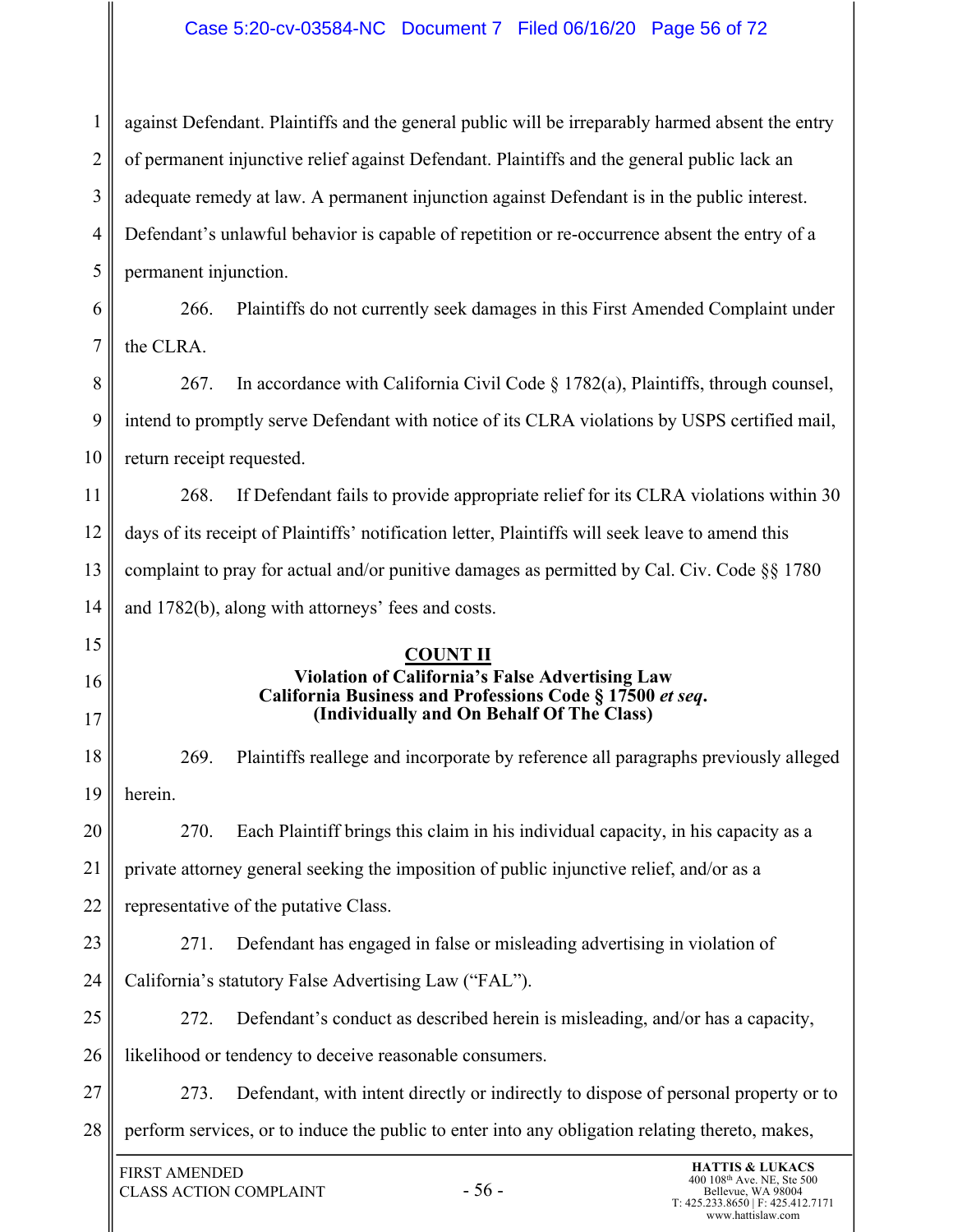# Case 5:20-cv-03584-NC Document 7 Filed 06/16/20 Page 56 of 72

| 1              | against Defendant. Plaintiffs and the general public will be irreparably harmed absent the entry                                                                                                                        |  |  |  |  |  |
|----------------|-------------------------------------------------------------------------------------------------------------------------------------------------------------------------------------------------------------------------|--|--|--|--|--|
| $\overline{2}$ | of permanent injunctive relief against Defendant. Plaintiffs and the general public lack an                                                                                                                             |  |  |  |  |  |
| 3              | adequate remedy at law. A permanent injunction against Defendant is in the public interest.                                                                                                                             |  |  |  |  |  |
| $\overline{4}$ | Defendant's unlawful behavior is capable of repetition or re-occurrence absent the entry of a                                                                                                                           |  |  |  |  |  |
| 5              | permanent injunction.                                                                                                                                                                                                   |  |  |  |  |  |
| 6              | 266.<br>Plaintiffs do not currently seek damages in this First Amended Complaint under                                                                                                                                  |  |  |  |  |  |
| $\overline{7}$ | the CLRA.                                                                                                                                                                                                               |  |  |  |  |  |
| 8              | In accordance with California Civil Code $\S 1782(a)$ , Plaintiffs, through counsel,<br>267.                                                                                                                            |  |  |  |  |  |
| 9              | intend to promptly serve Defendant with notice of its CLRA violations by USPS certified mail,                                                                                                                           |  |  |  |  |  |
| 10             | return receipt requested.                                                                                                                                                                                               |  |  |  |  |  |
| 11             | If Defendant fails to provide appropriate relief for its CLRA violations within 30<br>268.                                                                                                                              |  |  |  |  |  |
| 12             | days of its receipt of Plaintiffs' notification letter, Plaintiffs will seek leave to amend this                                                                                                                        |  |  |  |  |  |
| 13             | complaint to pray for actual and/or punitive damages as permitted by Cal. Civ. Code §§ 1780                                                                                                                             |  |  |  |  |  |
| 14             | and 1782(b), along with attorneys' fees and costs.                                                                                                                                                                      |  |  |  |  |  |
| 15             | <b>COUNT II</b>                                                                                                                                                                                                         |  |  |  |  |  |
| 16             | Violation of California's False Advertising Law<br>California Business and Professions Code § 17500 et seq.                                                                                                             |  |  |  |  |  |
| 17             | (Individually and On Behalf Of The Class)                                                                                                                                                                               |  |  |  |  |  |
| 18             | 269.<br>Plaintiffs reallege and incorporate by reference all paragraphs previously alleged                                                                                                                              |  |  |  |  |  |
| 19             | herein.                                                                                                                                                                                                                 |  |  |  |  |  |
| 20             | Each Plaintiff brings this claim in his individual capacity, in his capacity as a<br>270.                                                                                                                               |  |  |  |  |  |
| 21             | private attorney general seeking the imposition of public injunctive relief, and/or as a                                                                                                                                |  |  |  |  |  |
| 22             | representative of the putative Class.                                                                                                                                                                                   |  |  |  |  |  |
| 23             | Defendant has engaged in false or misleading advertising in violation of<br>271.                                                                                                                                        |  |  |  |  |  |
| 24             | California's statutory False Advertising Law ("FAL").                                                                                                                                                                   |  |  |  |  |  |
| 25             | Defendant's conduct as described herein is misleading, and/or has a capacity,<br>272.                                                                                                                                   |  |  |  |  |  |
| 26             | likelihood or tendency to deceive reasonable consumers.                                                                                                                                                                 |  |  |  |  |  |
| 27             | Defendant, with intent directly or indirectly to dispose of personal property or to<br>273.                                                                                                                             |  |  |  |  |  |
| 28             | perform services, or to induce the public to enter into any obligation relating thereto, makes,                                                                                                                         |  |  |  |  |  |
|                | <b>HATTIS &amp; LUKACS</b><br><b>FIRST AMENDED</b><br>400 108 <sup>th</sup> Ave. NE, Ste 500<br>$-56-$<br><b>CLASS ACTION COMPLAINT</b><br>Bellevue, WA 98004<br>T: 425.233.8650   F: 425.412.7171<br>www.hattislaw.com |  |  |  |  |  |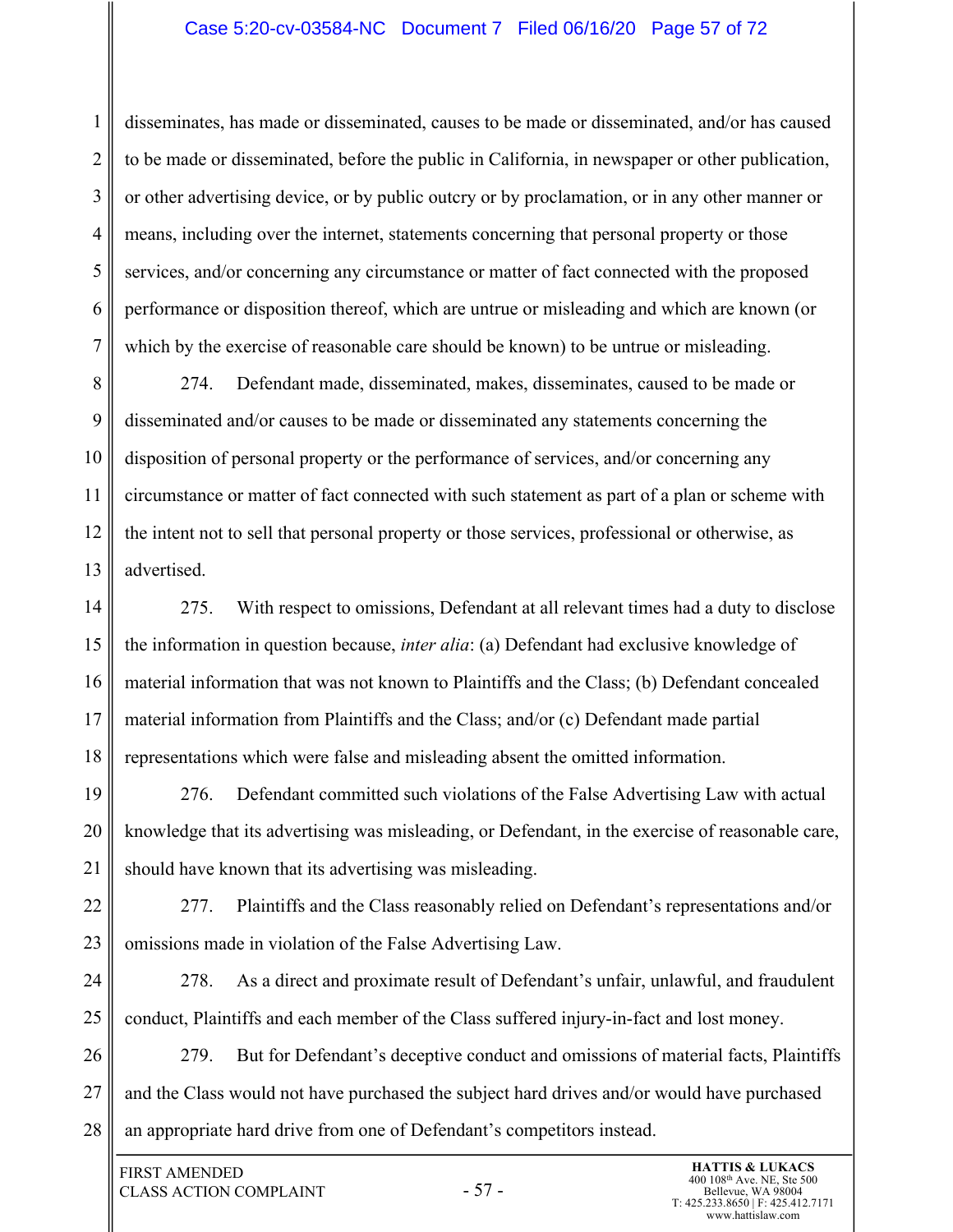#### Case 5:20-cv-03584-NC Document 7 Filed 06/16/20 Page 57 of 72

2 3 4 5 6 7 disseminates, has made or disseminated, causes to be made or disseminated, and/or has caused to be made or disseminated, before the public in California, in newspaper or other publication, or other advertising device, or by public outcry or by proclamation, or in any other manner or means, including over the internet, statements concerning that personal property or those services, and/or concerning any circumstance or matter of fact connected with the proposed performance or disposition thereof, which are untrue or misleading and which are known (or which by the exercise of reasonable care should be known) to be untrue or misleading.

8 9 10 11 12 13 274. Defendant made, disseminated, makes, disseminates, caused to be made or disseminated and/or causes to be made or disseminated any statements concerning the disposition of personal property or the performance of services, and/or concerning any circumstance or matter of fact connected with such statement as part of a plan or scheme with the intent not to sell that personal property or those services, professional or otherwise, as advertised.

14 15 16 17 18 275. With respect to omissions, Defendant at all relevant times had a duty to disclose the information in question because, *inter alia*: (a) Defendant had exclusive knowledge of material information that was not known to Plaintiffs and the Class; (b) Defendant concealed material information from Plaintiffs and the Class; and/or (c) Defendant made partial representations which were false and misleading absent the omitted information.

19 20 21 276. Defendant committed such violations of the False Advertising Law with actual knowledge that its advertising was misleading, or Defendant, in the exercise of reasonable care, should have known that its advertising was misleading.

22 23 277. Plaintiffs and the Class reasonably relied on Defendant's representations and/or omissions made in violation of the False Advertising Law.

24 25 278. As a direct and proximate result of Defendant's unfair, unlawful, and fraudulent conduct, Plaintiffs and each member of the Class suffered injury-in-fact and lost money.

26 27 28 279. But for Defendant's deceptive conduct and omissions of material facts, Plaintiffs and the Class would not have purchased the subject hard drives and/or would have purchased an appropriate hard drive from one of Defendant's competitors instead.

1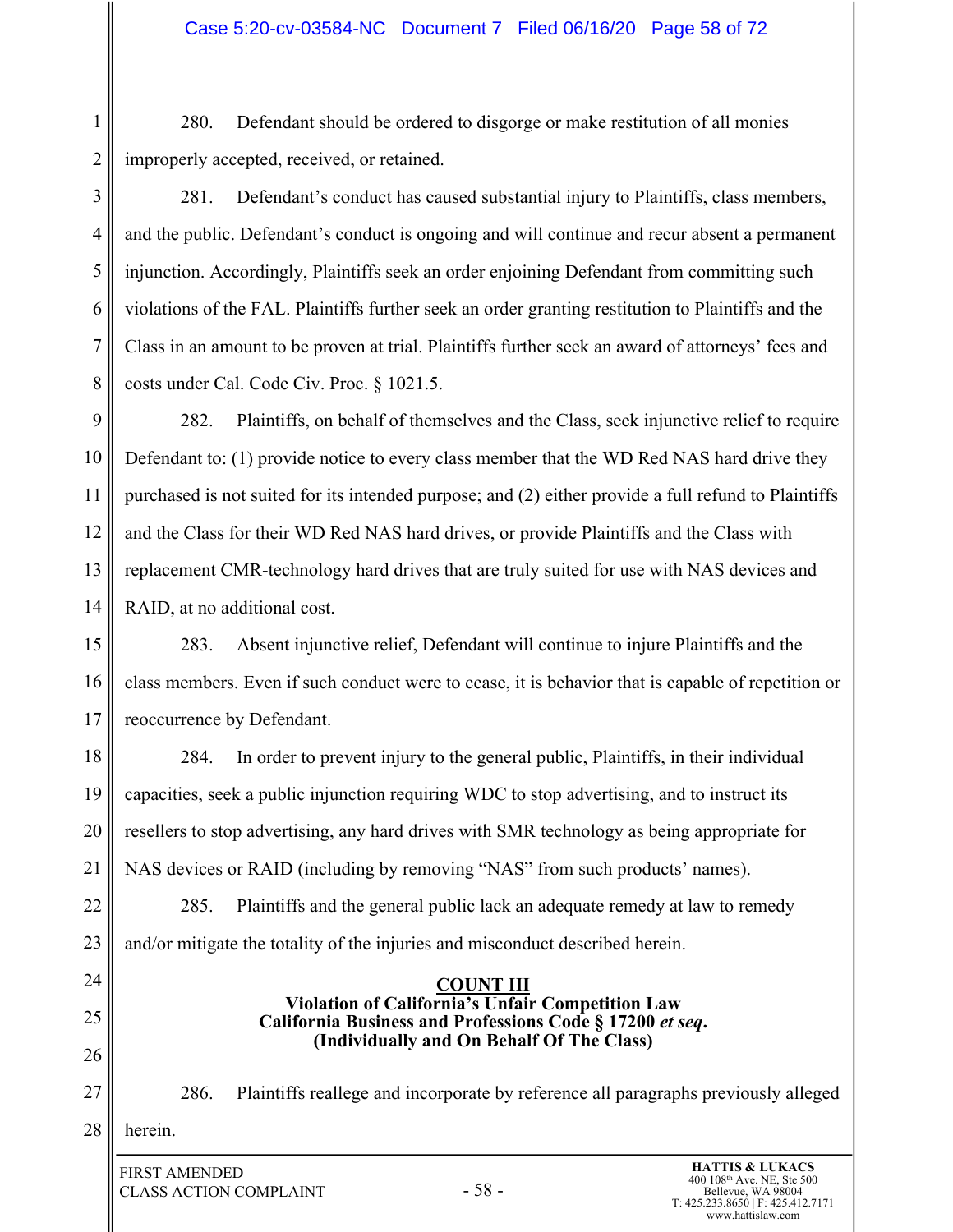1 2 280. Defendant should be ordered to disgorge or make restitution of all monies improperly accepted, received, or retained.

3 4 5 6 7 8 281. Defendant's conduct has caused substantial injury to Plaintiffs, class members, and the public. Defendant's conduct is ongoing and will continue and recur absent a permanent injunction. Accordingly, Plaintiffs seek an order enjoining Defendant from committing such violations of the FAL. Plaintiffs further seek an order granting restitution to Plaintiffs and the Class in an amount to be proven at trial. Plaintiffs further seek an award of attorneys' fees and costs under Cal. Code Civ. Proc. § 1021.5.

9 10 11 12 13 14 282. Plaintiffs, on behalf of themselves and the Class, seek injunctive relief to require Defendant to: (1) provide notice to every class member that the WD Red NAS hard drive they purchased is not suited for its intended purpose; and (2) either provide a full refund to Plaintiffs and the Class for their WD Red NAS hard drives, or provide Plaintiffs and the Class with replacement CMR-technology hard drives that are truly suited for use with NAS devices and RAID, at no additional cost.

15 16 17 283. Absent injunctive relief, Defendant will continue to injure Plaintiffs and the class members. Even if such conduct were to cease, it is behavior that is capable of repetition or reoccurrence by Defendant.

18 19 20 21 284. In order to prevent injury to the general public, Plaintiffs, in their individual capacities, seek a public injunction requiring WDC to stop advertising, and to instruct its resellers to stop advertising, any hard drives with SMR technology as being appropriate for NAS devices or RAID (including by removing "NAS" from such products' names).

22 23 285. Plaintiffs and the general public lack an adequate remedy at law to remedy and/or mitigate the totality of the injuries and misconduct described herein.

- 24
- 25

26

27

286. Plaintiffs reallege and incorporate by reference all paragraphs previously alleged

**COUNT III Violation of California's Unfair Competition Law California Business and Professions Code § 17200** *et seq***. (Individually and On Behalf Of The Class)**

28 herein.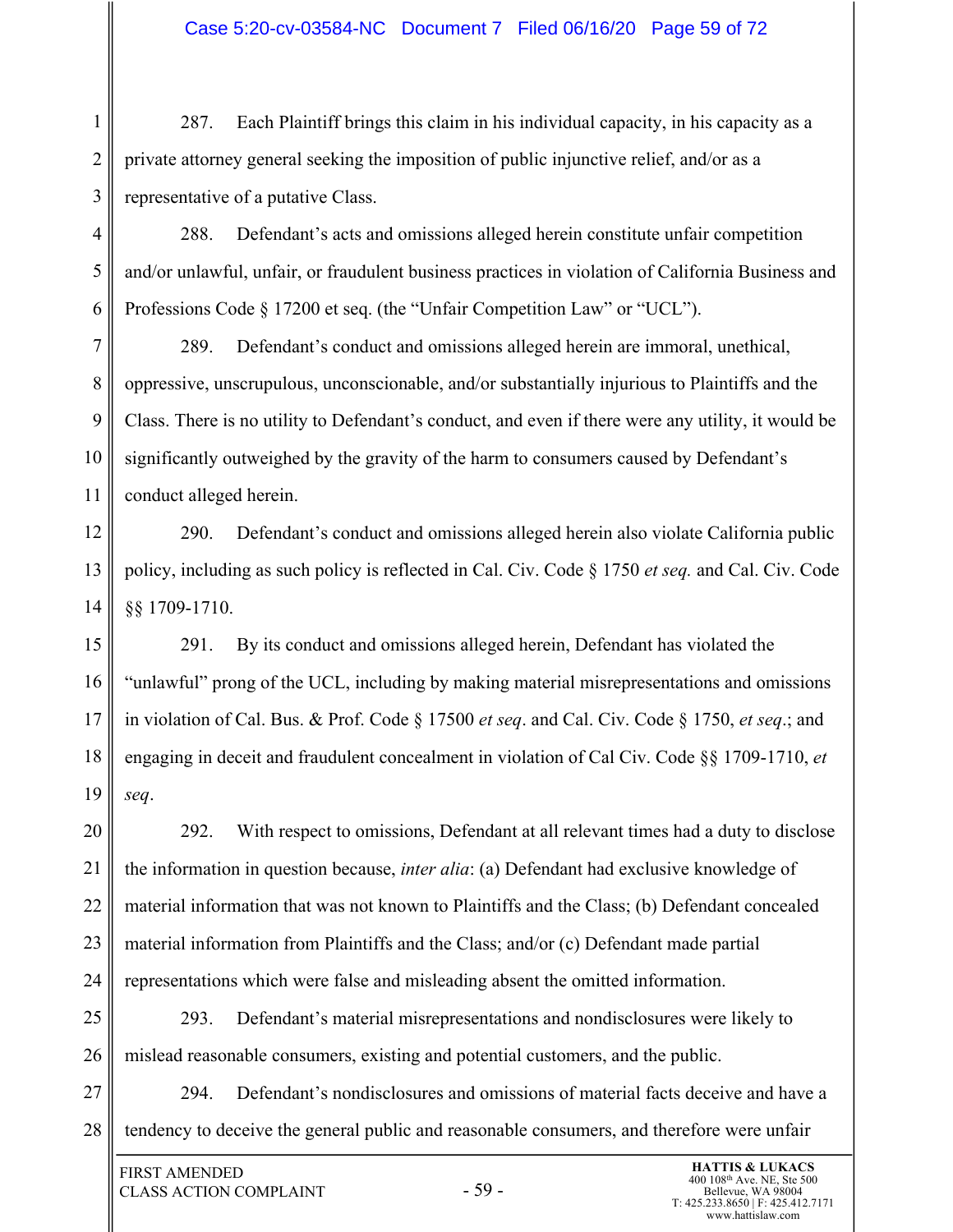#### Case 5:20-cv-03584-NC Document 7 Filed 06/16/20 Page 59 of 72

1 2 3 287. Each Plaintiff brings this claim in his individual capacity, in his capacity as a private attorney general seeking the imposition of public injunctive relief, and/or as a representative of a putative Class.

4 5 6 288. Defendant's acts and omissions alleged herein constitute unfair competition and/or unlawful, unfair, or fraudulent business practices in violation of California Business and Professions Code § 17200 et seq. (the "Unfair Competition Law" or "UCL").

7 8 9 10 11 289. Defendant's conduct and omissions alleged herein are immoral, unethical, oppressive, unscrupulous, unconscionable, and/or substantially injurious to Plaintiffs and the Class. There is no utility to Defendant's conduct, and even if there were any utility, it would be significantly outweighed by the gravity of the harm to consumers caused by Defendant's conduct alleged herein.

12 13 14 290. Defendant's conduct and omissions alleged herein also violate California public policy, including as such policy is reflected in Cal. Civ. Code § 1750 *et seq.* and Cal. Civ. Code §§ 1709-1710.

15 16 17 18 19 291. By its conduct and omissions alleged herein, Defendant has violated the "unlawful" prong of the UCL, including by making material misrepresentations and omissions in violation of Cal. Bus. & Prof. Code § 17500 *et seq*. and Cal. Civ. Code § 1750, *et seq*.; and engaging in deceit and fraudulent concealment in violation of Cal Civ. Code §§ 1709-1710, *et seq*.

20 21 22 23 24 292. With respect to omissions, Defendant at all relevant times had a duty to disclose the information in question because, *inter alia*: (a) Defendant had exclusive knowledge of material information that was not known to Plaintiffs and the Class; (b) Defendant concealed material information from Plaintiffs and the Class; and/or (c) Defendant made partial representations which were false and misleading absent the omitted information.

25 26 293. Defendant's material misrepresentations and nondisclosures were likely to mislead reasonable consumers, existing and potential customers, and the public.

27 28 294. Defendant's nondisclosures and omissions of material facts deceive and have a tendency to deceive the general public and reasonable consumers, and therefore were unfair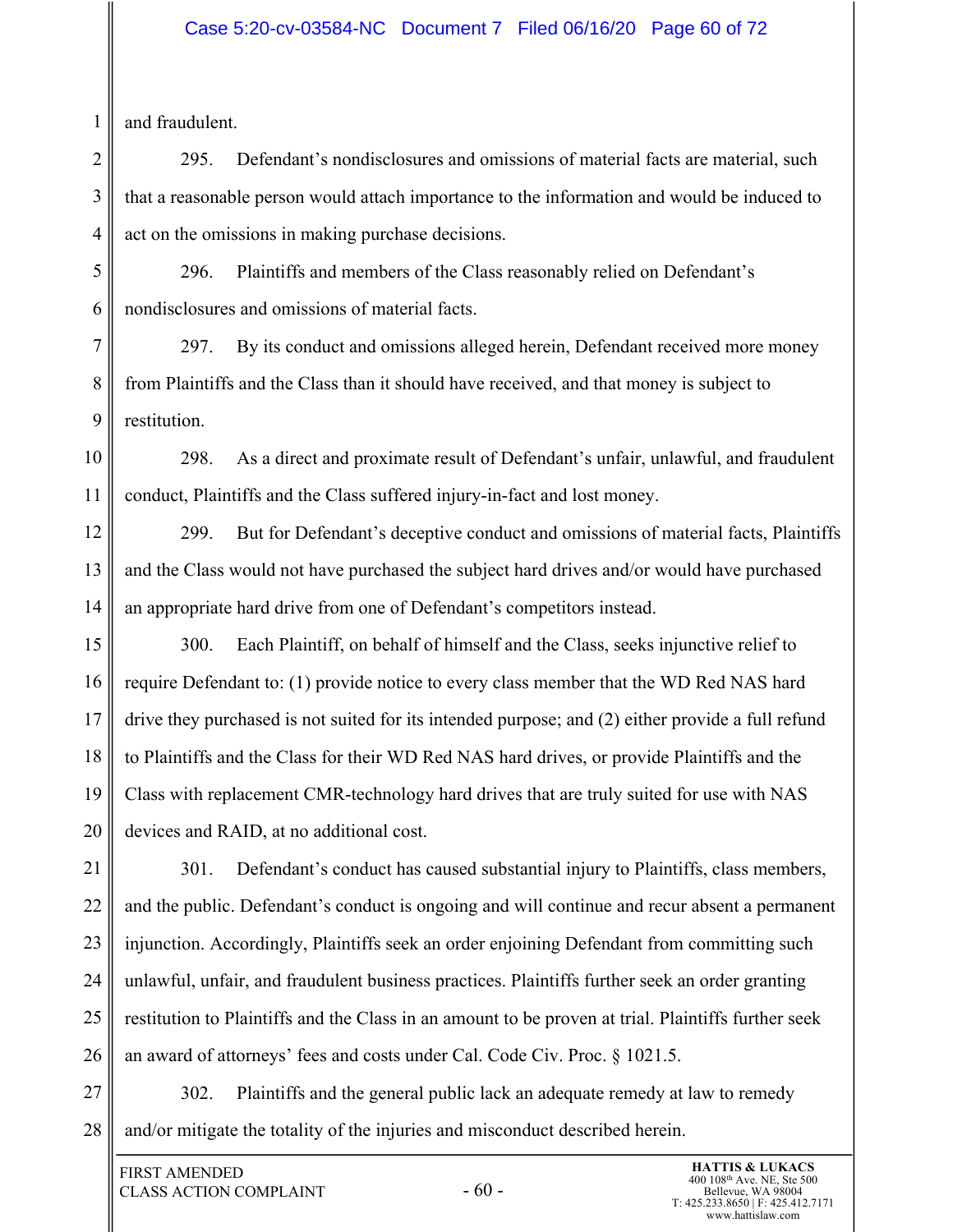#### Case 5:20-cv-03584-NC Document 7 Filed 06/16/20 Page 60 of 72

and fraudulent.

1

2 3 4 295. Defendant's nondisclosures and omissions of material facts are material, such that a reasonable person would attach importance to the information and would be induced to act on the omissions in making purchase decisions.

5 6 296. Plaintiffs and members of the Class reasonably relied on Defendant's nondisclosures and omissions of material facts.

7 8 9 297. By its conduct and omissions alleged herein, Defendant received more money from Plaintiffs and the Class than it should have received, and that money is subject to restitution.

10 11 298. As a direct and proximate result of Defendant's unfair, unlawful, and fraudulent conduct, Plaintiffs and the Class suffered injury-in-fact and lost money.

12 13 14 299. But for Defendant's deceptive conduct and omissions of material facts, Plaintiffs and the Class would not have purchased the subject hard drives and/or would have purchased an appropriate hard drive from one of Defendant's competitors instead.

15 16 17 18 19 20 300. Each Plaintiff, on behalf of himself and the Class, seeks injunctive relief to require Defendant to: (1) provide notice to every class member that the WD Red NAS hard drive they purchased is not suited for its intended purpose; and (2) either provide a full refund to Plaintiffs and the Class for their WD Red NAS hard drives, or provide Plaintiffs and the Class with replacement CMR-technology hard drives that are truly suited for use with NAS devices and RAID, at no additional cost.

21 22 23 24 25 26 301. Defendant's conduct has caused substantial injury to Plaintiffs, class members, and the public. Defendant's conduct is ongoing and will continue and recur absent a permanent injunction. Accordingly, Plaintiffs seek an order enjoining Defendant from committing such unlawful, unfair, and fraudulent business practices. Plaintiffs further seek an order granting restitution to Plaintiffs and the Class in an amount to be proven at trial. Plaintiffs further seek an award of attorneys' fees and costs under Cal. Code Civ. Proc. § 1021.5.

27 28 302. Plaintiffs and the general public lack an adequate remedy at law to remedy and/or mitigate the totality of the injuries and misconduct described herein.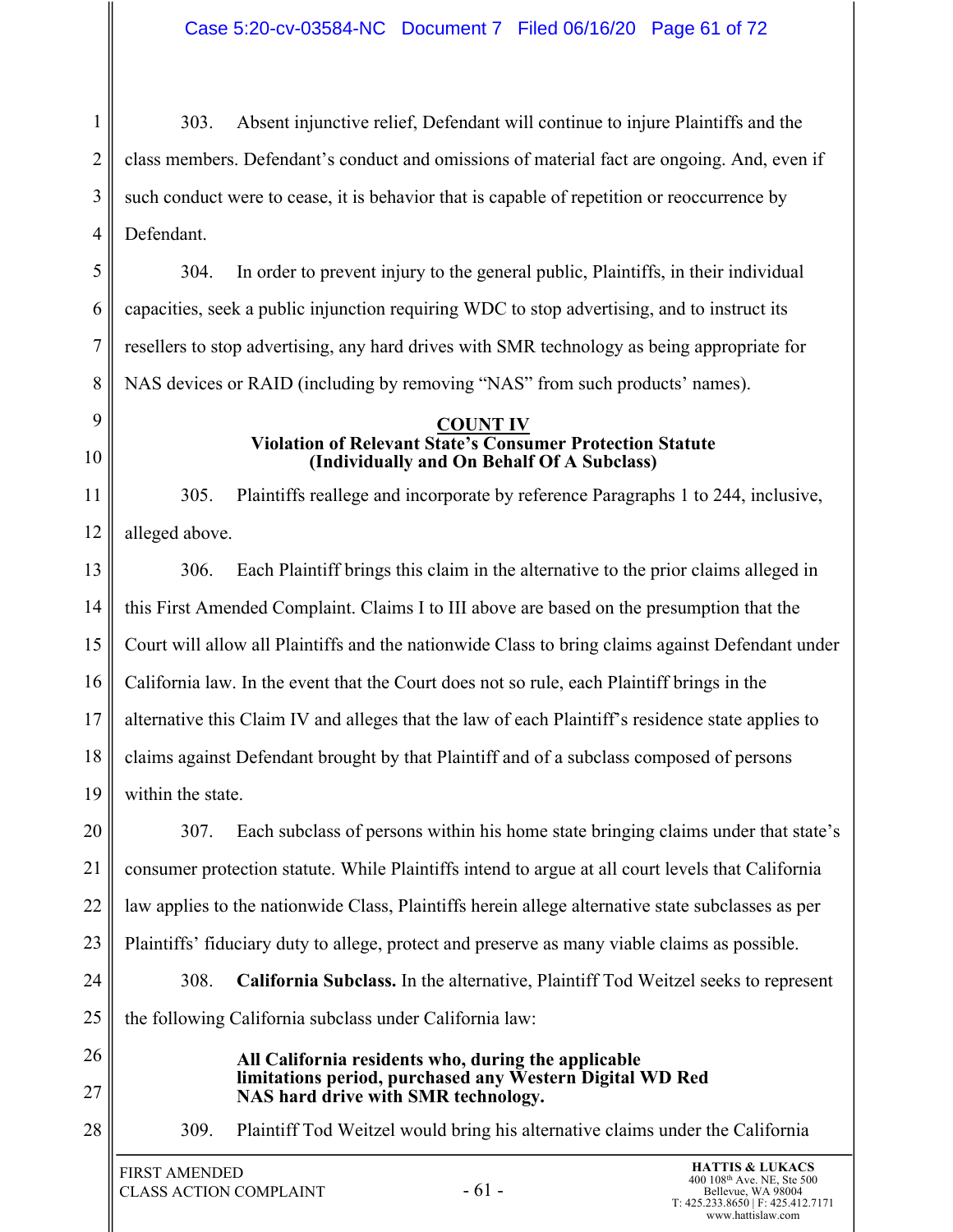1 2 3 4 303. Absent injunctive relief, Defendant will continue to injure Plaintiffs and the class members. Defendant's conduct and omissions of material fact are ongoing. And, even if such conduct were to cease, it is behavior that is capable of repetition or reoccurrence by Defendant.

5 6 7 8 304. In order to prevent injury to the general public, Plaintiffs, in their individual capacities, seek a public injunction requiring WDC to stop advertising, and to instruct its resellers to stop advertising, any hard drives with SMR technology as being appropriate for NAS devices or RAID (including by removing "NAS" from such products' names).

#### **COUNT IV Violation of Relevant State's Consumer Protection Statute (Individually and On Behalf Of A Subclass)**

305. Plaintiffs reallege and incorporate by reference Paragraphs 1 to 244, inclusive, alleged above.

13 14 15 16 17 18 19 306. Each Plaintiff brings this claim in the alternative to the prior claims alleged in this First Amended Complaint. Claims I to III above are based on the presumption that the Court will allow all Plaintiffs and the nationwide Class to bring claims against Defendant under California law. In the event that the Court does not so rule, each Plaintiff brings in the alternative this Claim IV and alleges that the law of each Plaintiff's residence state applies to claims against Defendant brought by that Plaintiff and of a subclass composed of persons within the state.

20 21 22 23 307. Each subclass of persons within his home state bringing claims under that state's consumer protection statute. While Plaintiffs intend to argue at all court levels that California law applies to the nationwide Class, Plaintiffs herein allege alternative state subclasses as per Plaintiffs' fiduciary duty to allege, protect and preserve as many viable claims as possible.

24 25 308. **California Subclass.** In the alternative, Plaintiff Tod Weitzel seeks to represent the following California subclass under California law:

26

9

10

11

12

27

**All California residents who, during the applicable limitations period, purchased any Western Digital WD Red NAS hard drive with SMR technology.** 

28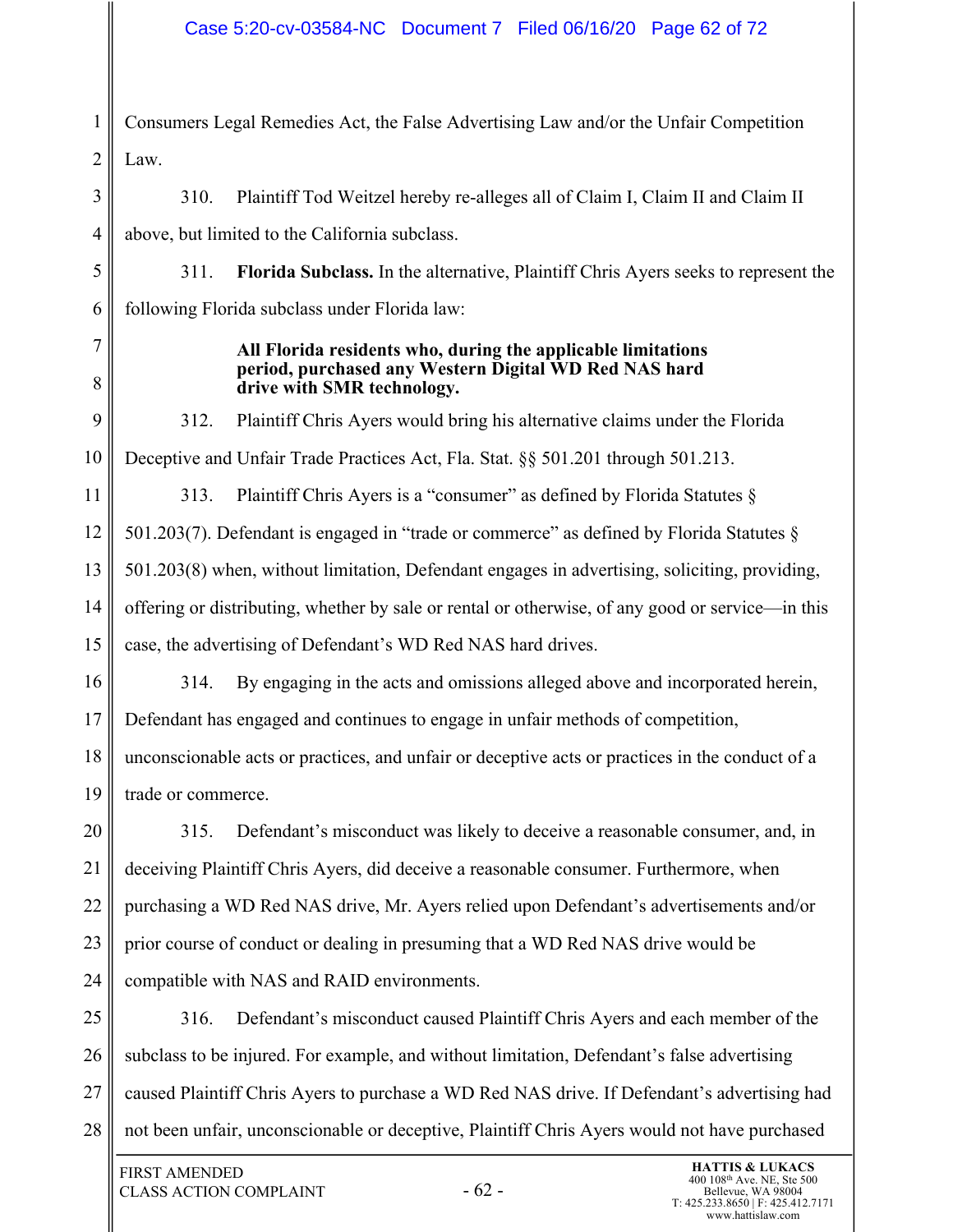## Case 5:20-cv-03584-NC Document 7 Filed 06/16/20 Page 62 of 72

1 2 Consumers Legal Remedies Act, the False Advertising Law and/or the Unfair Competition Law.

3 4 310. Plaintiff Tod Weitzel hereby re-alleges all of Claim I, Claim II and Claim II above, but limited to the California subclass.

5 6 311. **Florida Subclass.** In the alternative, Plaintiff Chris Ayers seeks to represent the following Florida subclass under Florida law:

7 8 **All Florida residents who, during the applicable limitations period, purchased any Western Digital WD Red NAS hard drive with SMR technology.** 

9 10 312. Plaintiff Chris Ayers would bring his alternative claims under the Florida Deceptive and Unfair Trade Practices Act, Fla. Stat. §§ 501.201 through 501.213.

11 12 13 14 15 313. Plaintiff Chris Ayers is a "consumer" as defined by Florida Statutes § 501.203(7). Defendant is engaged in "trade or commerce" as defined by Florida Statutes § 501.203(8) when, without limitation, Defendant engages in advertising, soliciting, providing, offering or distributing, whether by sale or rental or otherwise, of any good or service—in this case, the advertising of Defendant's WD Red NAS hard drives.

16 17 18 19 314. By engaging in the acts and omissions alleged above and incorporated herein, Defendant has engaged and continues to engage in unfair methods of competition, unconscionable acts or practices, and unfair or deceptive acts or practices in the conduct of a trade or commerce.

20 21 22 23 24 315. Defendant's misconduct was likely to deceive a reasonable consumer, and, in deceiving Plaintiff Chris Ayers, did deceive a reasonable consumer. Furthermore, when purchasing a WD Red NAS drive, Mr. Ayers relied upon Defendant's advertisements and/or prior course of conduct or dealing in presuming that a WD Red NAS drive would be compatible with NAS and RAID environments.

25 26 27 28 316. Defendant's misconduct caused Plaintiff Chris Ayers and each member of the subclass to be injured. For example, and without limitation, Defendant's false advertising caused Plaintiff Chris Ayers to purchase a WD Red NAS drive. If Defendant's advertising had not been unfair, unconscionable or deceptive, Plaintiff Chris Ayers would not have purchased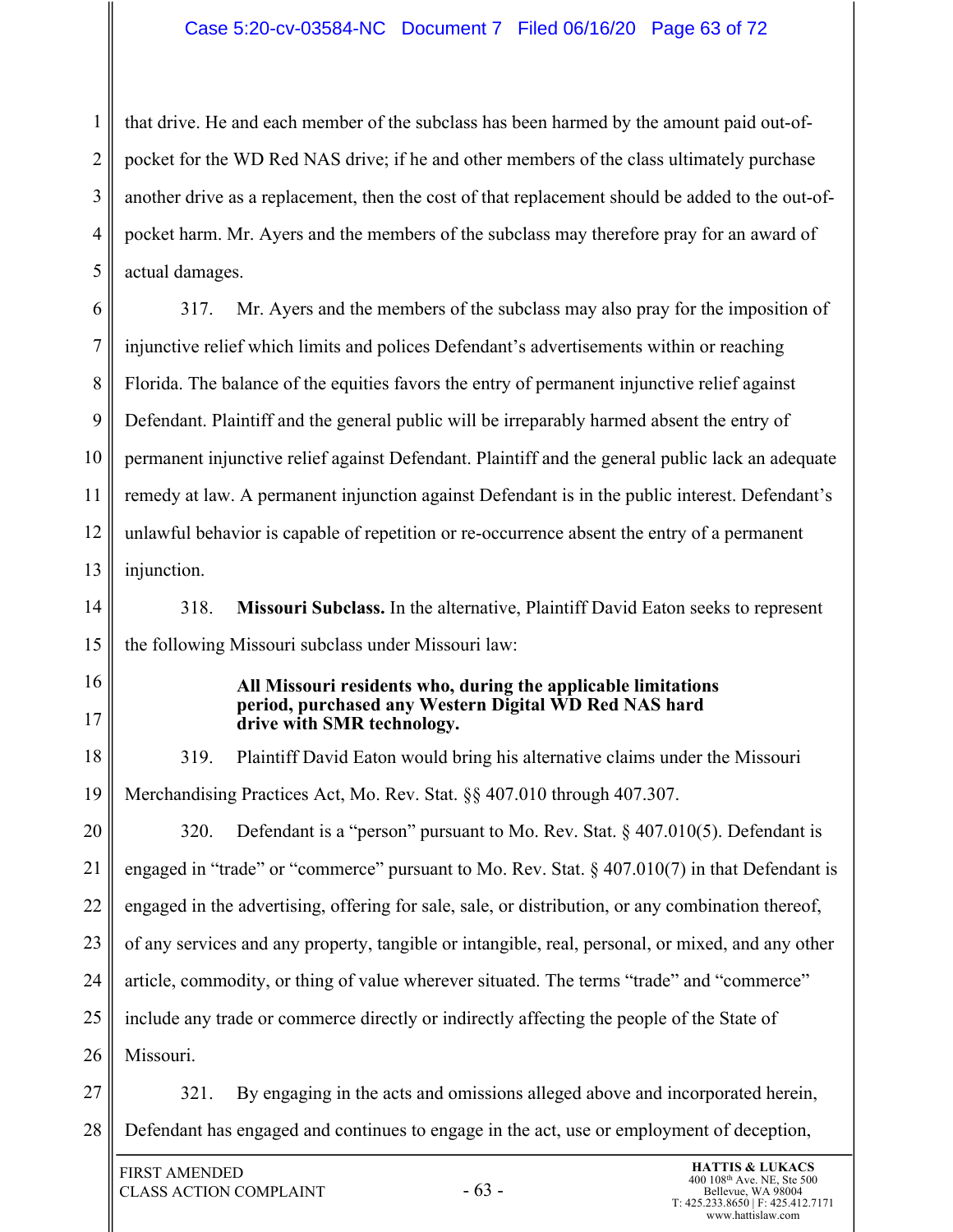#### Case 5:20-cv-03584-NC Document 7 Filed 06/16/20 Page 63 of 72

1 2 3 4 5 that drive. He and each member of the subclass has been harmed by the amount paid out-ofpocket for the WD Red NAS drive; if he and other members of the class ultimately purchase another drive as a replacement, then the cost of that replacement should be added to the out-ofpocket harm. Mr. Ayers and the members of the subclass may therefore pray for an award of actual damages.

6 7 8 9 10 11 12 13 317. Mr. Ayers and the members of the subclass may also pray for the imposition of injunctive relief which limits and polices Defendant's advertisements within or reaching Florida. The balance of the equities favors the entry of permanent injunctive relief against Defendant. Plaintiff and the general public will be irreparably harmed absent the entry of permanent injunctive relief against Defendant. Plaintiff and the general public lack an adequate remedy at law. A permanent injunction against Defendant is in the public interest. Defendant's unlawful behavior is capable of repetition or re-occurrence absent the entry of a permanent injunction.

14

15 318. **Missouri Subclass.** In the alternative, Plaintiff David Eaton seeks to represent the following Missouri subclass under Missouri law:

- 16
- 17

#### **All Missouri residents who, during the applicable limitations period, purchased any Western Digital WD Red NAS hard drive with SMR technology.**

18 19 319. Plaintiff David Eaton would bring his alternative claims under the Missouri Merchandising Practices Act, Mo. Rev. Stat. §§ 407.010 through 407.307.

20 21 22 23 24 25 26 320. Defendant is a "person" pursuant to Mo. Rev. Stat.  $\S$  407.010(5). Defendant is engaged in "trade" or "commerce" pursuant to Mo. Rev. Stat. § 407.010(7) in that Defendant is engaged in the advertising, offering for sale, sale, or distribution, or any combination thereof, of any services and any property, tangible or intangible, real, personal, or mixed, and any other article, commodity, or thing of value wherever situated. The terms "trade" and "commerce" include any trade or commerce directly or indirectly affecting the people of the State of Missouri.

27 28 321. By engaging in the acts and omissions alleged above and incorporated herein, Defendant has engaged and continues to engage in the act, use or employment of deception,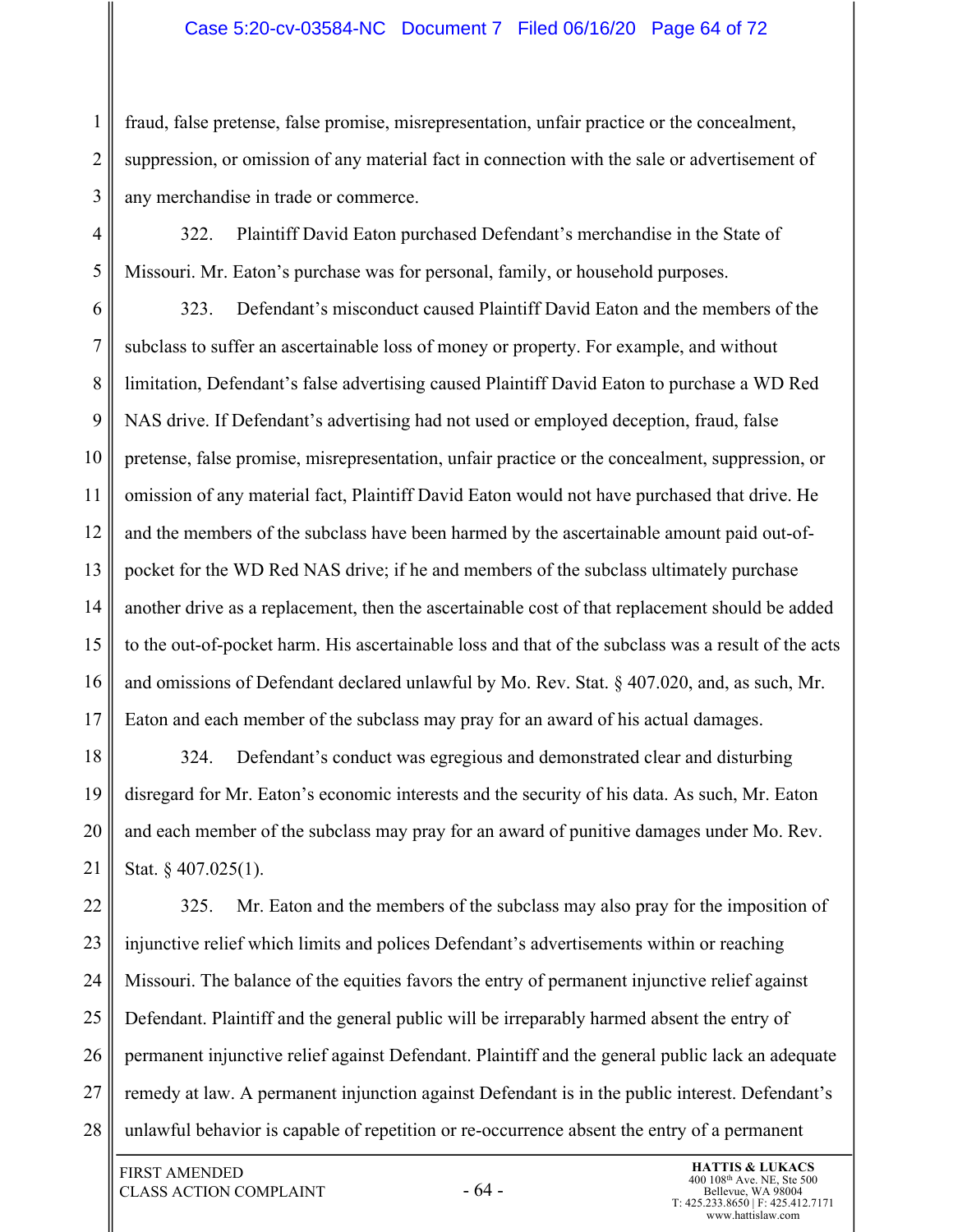#### Case 5:20-cv-03584-NC Document 7 Filed 06/16/20 Page 64 of 72

fraud, false pretense, false promise, misrepresentation, unfair practice or the concealment, suppression, or omission of any material fact in connection with the sale or advertisement of any merchandise in trade or commerce.

4 5 322. Plaintiff David Eaton purchased Defendant's merchandise in the State of Missouri. Mr. Eaton's purchase was for personal, family, or household purposes.

6 7 8 9 10 11 12 13 14 15 16 17 323. Defendant's misconduct caused Plaintiff David Eaton and the members of the subclass to suffer an ascertainable loss of money or property. For example, and without limitation, Defendant's false advertising caused Plaintiff David Eaton to purchase a WD Red NAS drive. If Defendant's advertising had not used or employed deception, fraud, false pretense, false promise, misrepresentation, unfair practice or the concealment, suppression, or omission of any material fact, Plaintiff David Eaton would not have purchased that drive. He and the members of the subclass have been harmed by the ascertainable amount paid out-ofpocket for the WD Red NAS drive; if he and members of the subclass ultimately purchase another drive as a replacement, then the ascertainable cost of that replacement should be added to the out-of-pocket harm. His ascertainable loss and that of the subclass was a result of the acts and omissions of Defendant declared unlawful by Mo. Rev. Stat. § 407.020, and, as such, Mr. Eaton and each member of the subclass may pray for an award of his actual damages.

18 19 20 21 324. Defendant's conduct was egregious and demonstrated clear and disturbing disregard for Mr. Eaton's economic interests and the security of his data. As such, Mr. Eaton and each member of the subclass may pray for an award of punitive damages under Mo. Rev. Stat. § 407.025(1).

22 23 24 25 26 27 28 325. Mr. Eaton and the members of the subclass may also pray for the imposition of injunctive relief which limits and polices Defendant's advertisements within or reaching Missouri. The balance of the equities favors the entry of permanent injunctive relief against Defendant. Plaintiff and the general public will be irreparably harmed absent the entry of permanent injunctive relief against Defendant. Plaintiff and the general public lack an adequate remedy at law. A permanent injunction against Defendant is in the public interest. Defendant's unlawful behavior is capable of repetition or re-occurrence absent the entry of a permanent

1

2

3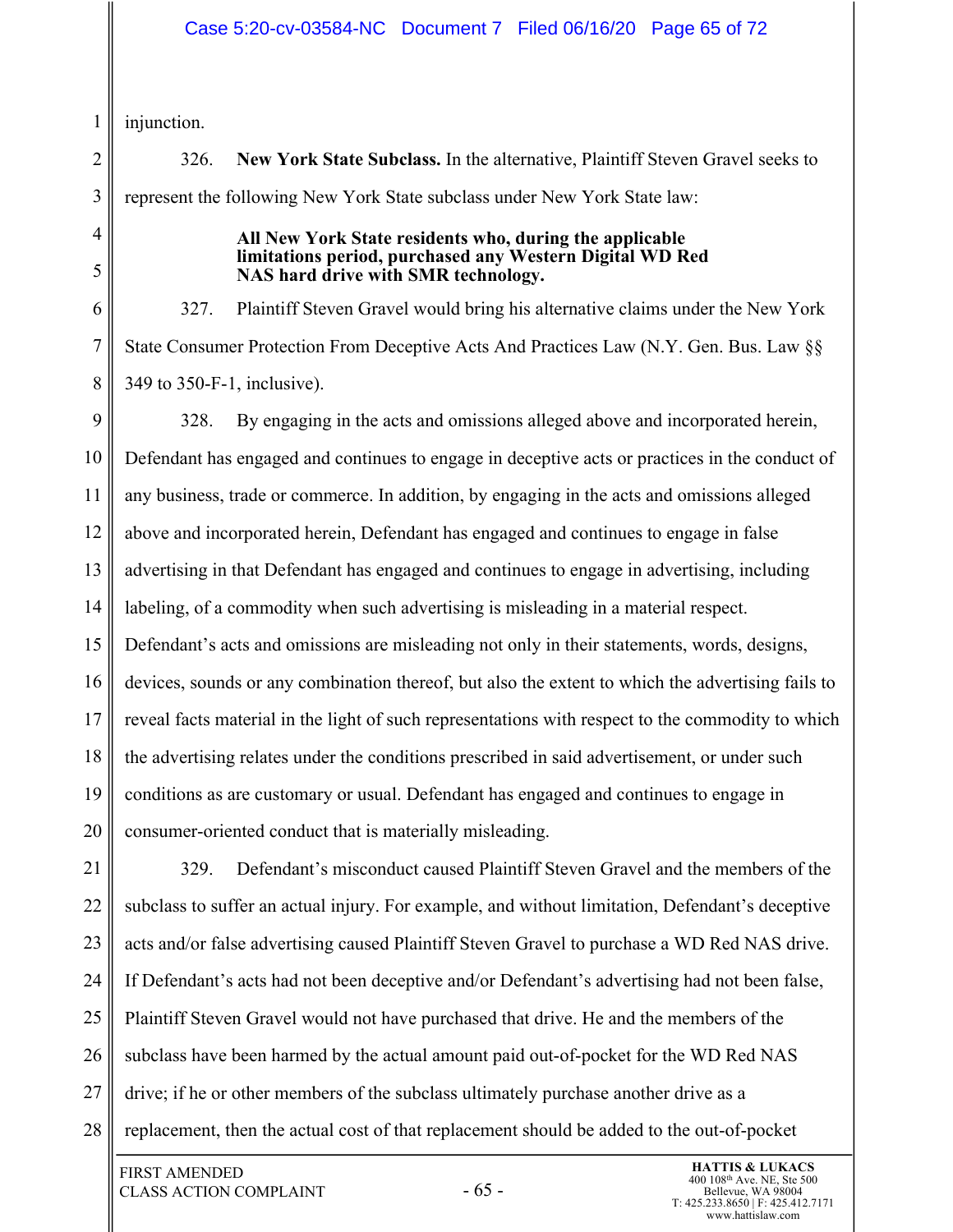injunction.

326. **New York State Subclass.** In the alternative, Plaintiff Steven Gravel seeks to represent the following New York State subclass under New York State law:

4 5

1

2

3

#### **All New York State residents who, during the applicable limitations period, purchased any Western Digital WD Red NAS hard drive with SMR technology.**

6 7 8 327. Plaintiff Steven Gravel would bring his alternative claims under the New York State Consumer Protection From Deceptive Acts And Practices Law (N.Y. Gen. Bus. Law §§ 349 to 350-F-1, inclusive).

9 10 11 12 13 14 15 16 17 18 19 20 328. By engaging in the acts and omissions alleged above and incorporated herein, Defendant has engaged and continues to engage in deceptive acts or practices in the conduct of any business, trade or commerce. In addition, by engaging in the acts and omissions alleged above and incorporated herein, Defendant has engaged and continues to engage in false advertising in that Defendant has engaged and continues to engage in advertising, including labeling, of a commodity when such advertising is misleading in a material respect. Defendant's acts and omissions are misleading not only in their statements, words, designs, devices, sounds or any combination thereof, but also the extent to which the advertising fails to reveal facts material in the light of such representations with respect to the commodity to which the advertising relates under the conditions prescribed in said advertisement, or under such conditions as are customary or usual. Defendant has engaged and continues to engage in consumer-oriented conduct that is materially misleading.

21 22 23 24 25 26 27 28 329. Defendant's misconduct caused Plaintiff Steven Gravel and the members of the subclass to suffer an actual injury. For example, and without limitation, Defendant's deceptive acts and/or false advertising caused Plaintiff Steven Gravel to purchase a WD Red NAS drive. If Defendant's acts had not been deceptive and/or Defendant's advertising had not been false, Plaintiff Steven Gravel would not have purchased that drive. He and the members of the subclass have been harmed by the actual amount paid out-of-pocket for the WD Red NAS drive; if he or other members of the subclass ultimately purchase another drive as a replacement, then the actual cost of that replacement should be added to the out-of-pocket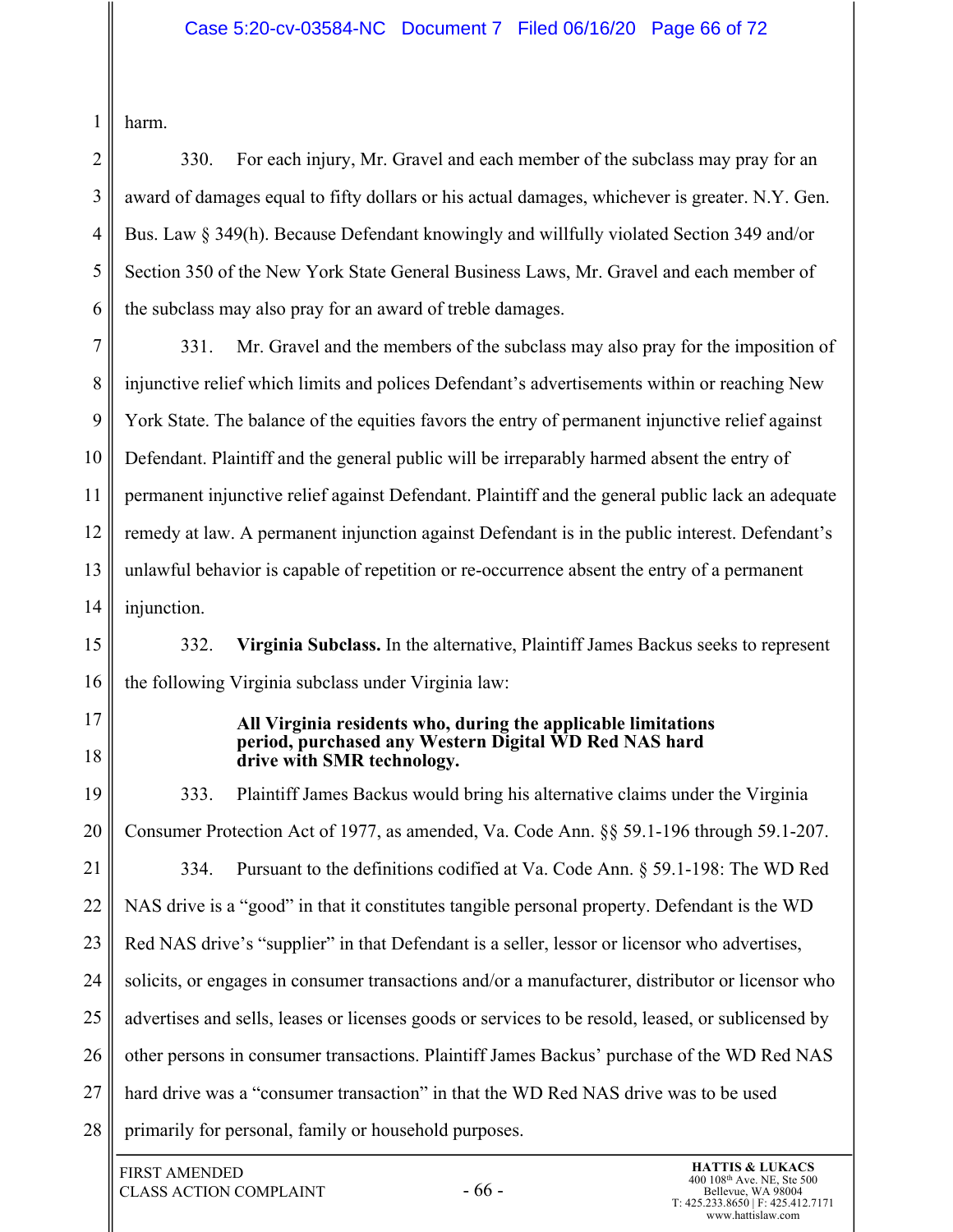harm.

1

2 3 4 5 6 330. For each injury, Mr. Gravel and each member of the subclass may pray for an award of damages equal to fifty dollars or his actual damages, whichever is greater. N.Y. Gen. Bus. Law § 349(h). Because Defendant knowingly and willfully violated Section 349 and/or Section 350 of the New York State General Business Laws, Mr. Gravel and each member of the subclass may also pray for an award of treble damages.

7 8 9 10 11 12 13 14 331. Mr. Gravel and the members of the subclass may also pray for the imposition of injunctive relief which limits and polices Defendant's advertisements within or reaching New York State. The balance of the equities favors the entry of permanent injunctive relief against Defendant. Plaintiff and the general public will be irreparably harmed absent the entry of permanent injunctive relief against Defendant. Plaintiff and the general public lack an adequate remedy at law. A permanent injunction against Defendant is in the public interest. Defendant's unlawful behavior is capable of repetition or re-occurrence absent the entry of a permanent injunction.

15 16 332. **Virginia Subclass.** In the alternative, Plaintiff James Backus seeks to represent the following Virginia subclass under Virginia law:

17

18

**All Virginia residents who, during the applicable limitations period, purchased any Western Digital WD Red NAS hard drive with SMR technology.** 

19 20 21 22 23 24 25 26 27 28 333. Plaintiff James Backus would bring his alternative claims under the Virginia Consumer Protection Act of 1977, as amended, Va. Code Ann. §§ 59.1-196 through 59.1-207. 334. Pursuant to the definitions codified at Va. Code Ann. § 59.1-198: The WD Red NAS drive is a "good" in that it constitutes tangible personal property. Defendant is the WD Red NAS drive's "supplier" in that Defendant is a seller, lessor or licensor who advertises, solicits, or engages in consumer transactions and/or a manufacturer, distributor or licensor who advertises and sells, leases or licenses goods or services to be resold, leased, or sublicensed by other persons in consumer transactions. Plaintiff James Backus' purchase of the WD Red NAS hard drive was a "consumer transaction" in that the WD Red NAS drive was to be used primarily for personal, family or household purposes.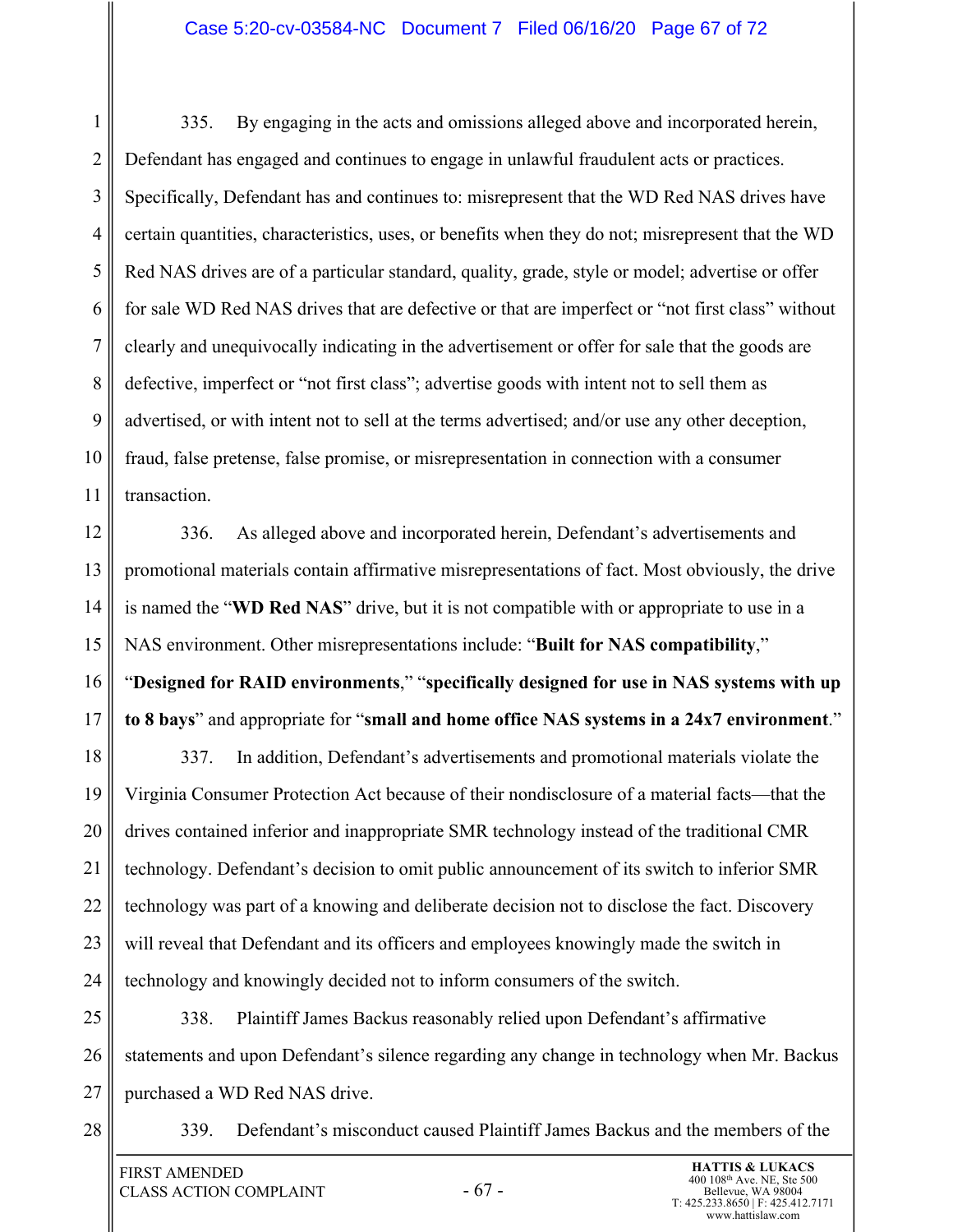#### Case 5:20-cv-03584-NC Document 7 Filed 06/16/20 Page 67 of 72

1 2 3 4 5 6 7 8 9 10 11 335. By engaging in the acts and omissions alleged above and incorporated herein, Defendant has engaged and continues to engage in unlawful fraudulent acts or practices. Specifically, Defendant has and continues to: misrepresent that the WD Red NAS drives have certain quantities, characteristics, uses, or benefits when they do not; misrepresent that the WD Red NAS drives are of a particular standard, quality, grade, style or model; advertise or offer for sale WD Red NAS drives that are defective or that are imperfect or "not first class" without clearly and unequivocally indicating in the advertisement or offer for sale that the goods are defective, imperfect or "not first class"; advertise goods with intent not to sell them as advertised, or with intent not to sell at the terms advertised; and/or use any other deception, fraud, false pretense, false promise, or misrepresentation in connection with a consumer transaction.

12 13 14 15 16 17 336. As alleged above and incorporated herein, Defendant's advertisements and promotional materials contain affirmative misrepresentations of fact. Most obviously, the drive is named the "**WD Red NAS**" drive, but it is not compatible with or appropriate to use in a NAS environment. Other misrepresentations include: "**Built for NAS compatibility**," "**Designed for RAID environments**," "**specifically designed for use in NAS systems with up to 8 bays**" and appropriate for "**small and home office NAS systems in a 24x7 environment**."

18 19 20 21 22 23 24 337. In addition, Defendant's advertisements and promotional materials violate the Virginia Consumer Protection Act because of their nondisclosure of a material facts—that the drives contained inferior and inappropriate SMR technology instead of the traditional CMR technology. Defendant's decision to omit public announcement of its switch to inferior SMR technology was part of a knowing and deliberate decision not to disclose the fact. Discovery will reveal that Defendant and its officers and employees knowingly made the switch in technology and knowingly decided not to inform consumers of the switch.

25 26 27 338. Plaintiff James Backus reasonably relied upon Defendant's affirmative statements and upon Defendant's silence regarding any change in technology when Mr. Backus purchased a WD Red NAS drive.

28

339. Defendant's misconduct caused Plaintiff James Backus and the members of the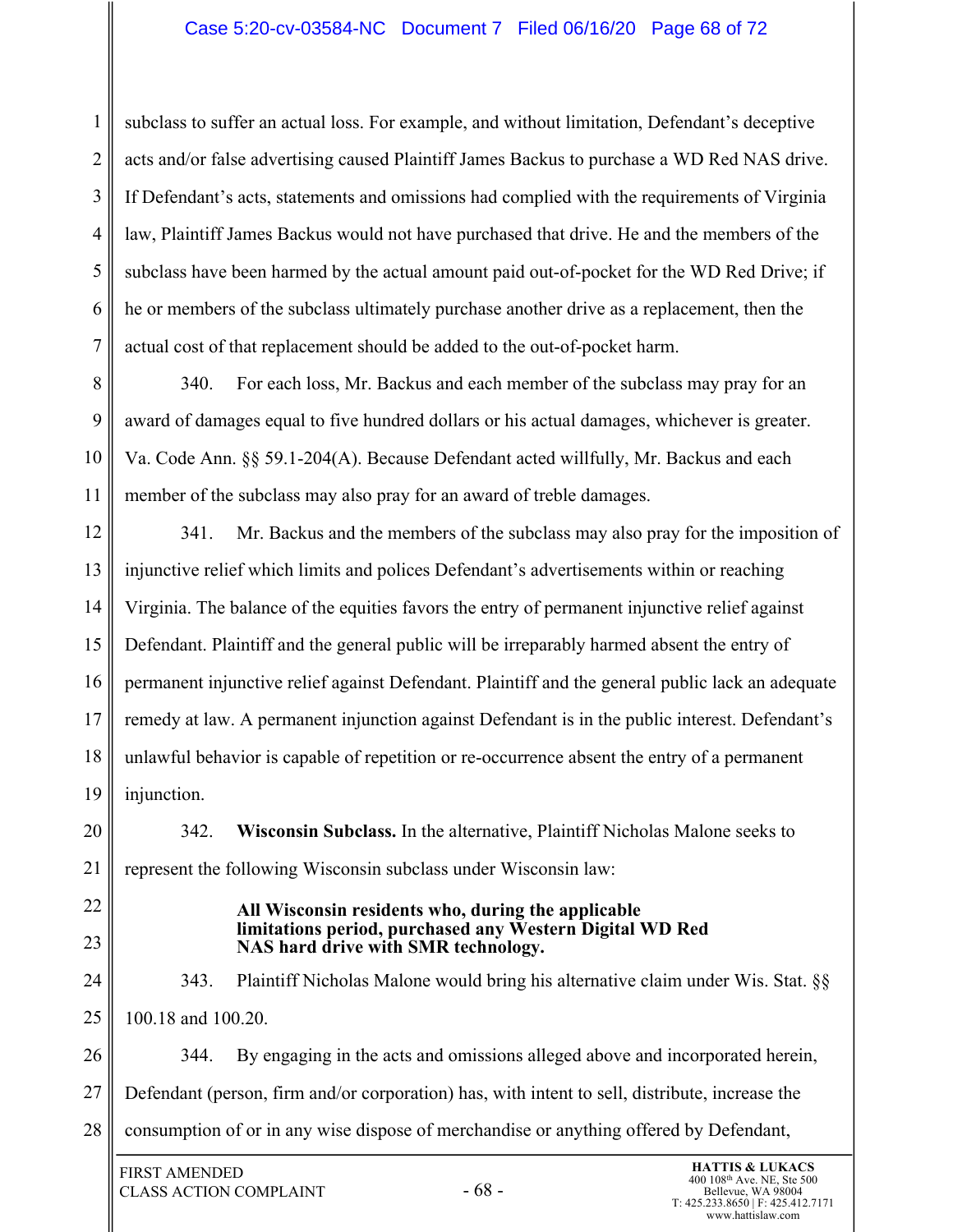#### Case 5:20-cv-03584-NC Document 7 Filed 06/16/20 Page 68 of 72

3 4 6 7 subclass to suffer an actual loss. For example, and without limitation, Defendant's deceptive acts and/or false advertising caused Plaintiff James Backus to purchase a WD Red NAS drive. If Defendant's acts, statements and omissions had complied with the requirements of Virginia law, Plaintiff James Backus would not have purchased that drive. He and the members of the subclass have been harmed by the actual amount paid out-of-pocket for the WD Red Drive; if he or members of the subclass ultimately purchase another drive as a replacement, then the actual cost of that replacement should be added to the out-of-pocket harm.

8 9 10 11 340. For each loss, Mr. Backus and each member of the subclass may pray for an award of damages equal to five hundred dollars or his actual damages, whichever is greater. Va. Code Ann. §§ 59.1-204(A). Because Defendant acted willfully, Mr. Backus and each member of the subclass may also pray for an award of treble damages.

12 13 14 15 16 17 18 19 341. Mr. Backus and the members of the subclass may also pray for the imposition of injunctive relief which limits and polices Defendant's advertisements within or reaching Virginia. The balance of the equities favors the entry of permanent injunctive relief against Defendant. Plaintiff and the general public will be irreparably harmed absent the entry of permanent injunctive relief against Defendant. Plaintiff and the general public lack an adequate remedy at law. A permanent injunction against Defendant is in the public interest. Defendant's unlawful behavior is capable of repetition or re-occurrence absent the entry of a permanent injunction.

20 21 342. **Wisconsin Subclass.** In the alternative, Plaintiff Nicholas Malone seeks to represent the following Wisconsin subclass under Wisconsin law:

22

1

2

5

23

#### **All Wisconsin residents who, during the applicable limitations period, purchased any Western Digital WD Red NAS hard drive with SMR technology.**

24 25 343. Plaintiff Nicholas Malone would bring his alternative claim under Wis. Stat. §§ 100.18 and 100.20.

26 27 28 344. By engaging in the acts and omissions alleged above and incorporated herein, Defendant (person, firm and/or corporation) has, with intent to sell, distribute, increase the consumption of or in any wise dispose of merchandise or anything offered by Defendant,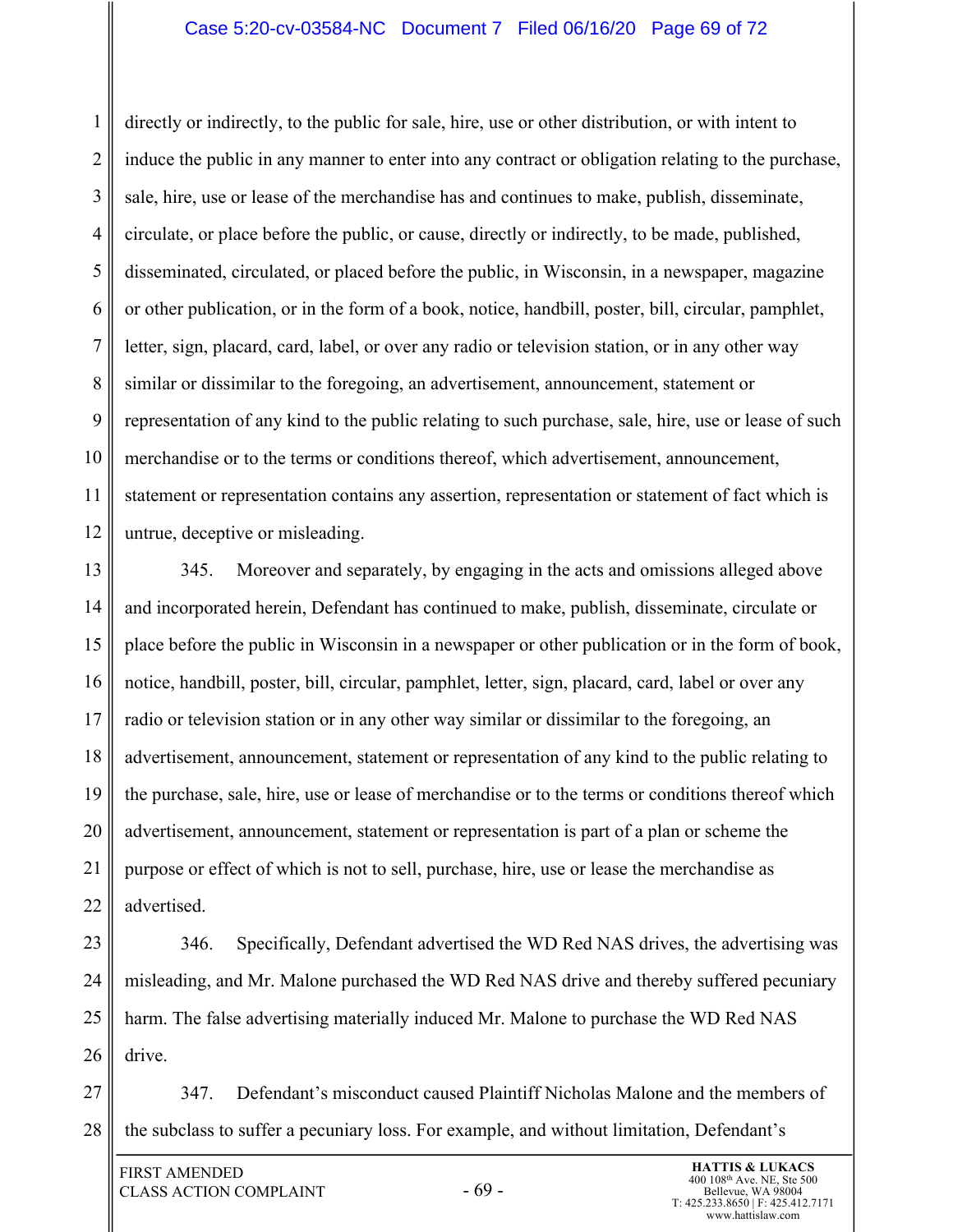#### Case 5:20-cv-03584-NC Document 7 Filed 06/16/20 Page 69 of 72

1 2 3 4 5 6 7 8 9 10 11 12 directly or indirectly, to the public for sale, hire, use or other distribution, or with intent to induce the public in any manner to enter into any contract or obligation relating to the purchase, sale, hire, use or lease of the merchandise has and continues to make, publish, disseminate, circulate, or place before the public, or cause, directly or indirectly, to be made, published, disseminated, circulated, or placed before the public, in Wisconsin, in a newspaper, magazine or other publication, or in the form of a book, notice, handbill, poster, bill, circular, pamphlet, letter, sign, placard, card, label, or over any radio or television station, or in any other way similar or dissimilar to the foregoing, an advertisement, announcement, statement or representation of any kind to the public relating to such purchase, sale, hire, use or lease of such merchandise or to the terms or conditions thereof, which advertisement, announcement, statement or representation contains any assertion, representation or statement of fact which is untrue, deceptive or misleading.

13 14 15 16 17 18 19 20 21 22 345. Moreover and separately, by engaging in the acts and omissions alleged above and incorporated herein, Defendant has continued to make, publish, disseminate, circulate or place before the public in Wisconsin in a newspaper or other publication or in the form of book, notice, handbill, poster, bill, circular, pamphlet, letter, sign, placard, card, label or over any radio or television station or in any other way similar or dissimilar to the foregoing, an advertisement, announcement, statement or representation of any kind to the public relating to the purchase, sale, hire, use or lease of merchandise or to the terms or conditions thereof which advertisement, announcement, statement or representation is part of a plan or scheme the purpose or effect of which is not to sell, purchase, hire, use or lease the merchandise as advertised.

23 24 25 26 346. Specifically, Defendant advertised the WD Red NAS drives, the advertising was misleading, and Mr. Malone purchased the WD Red NAS drive and thereby suffered pecuniary harm. The false advertising materially induced Mr. Malone to purchase the WD Red NAS drive.

27 28 347. Defendant's misconduct caused Plaintiff Nicholas Malone and the members of the subclass to suffer a pecuniary loss. For example, and without limitation, Defendant's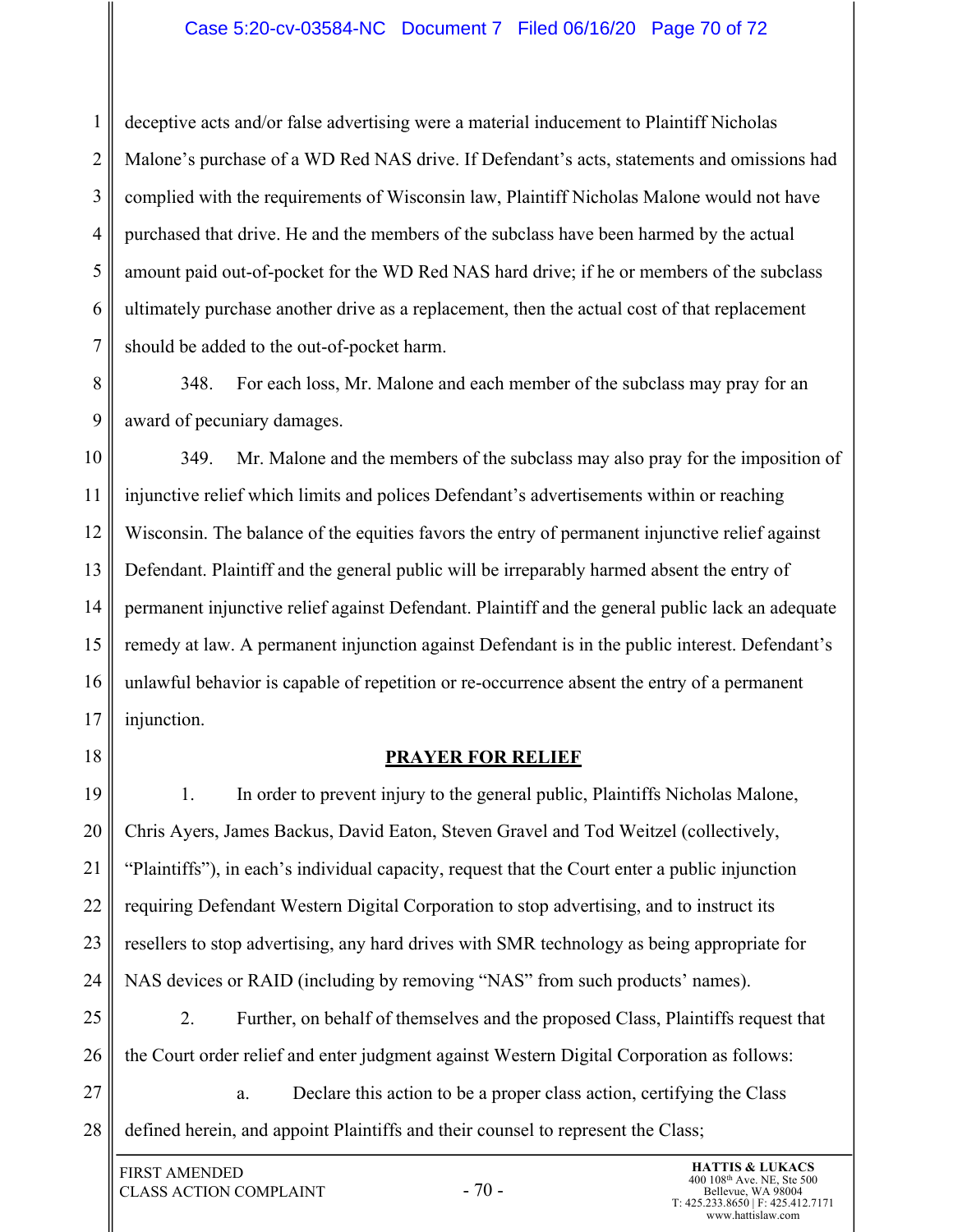#### Case 5:20-cv-03584-NC Document 7 Filed 06/16/20 Page 70 of 72

1 2 3 4 5 6 7 deceptive acts and/or false advertising were a material inducement to Plaintiff Nicholas Malone's purchase of a WD Red NAS drive. If Defendant's acts, statements and omissions had complied with the requirements of Wisconsin law, Plaintiff Nicholas Malone would not have purchased that drive. He and the members of the subclass have been harmed by the actual amount paid out-of-pocket for the WD Red NAS hard drive; if he or members of the subclass ultimately purchase another drive as a replacement, then the actual cost of that replacement should be added to the out-of-pocket harm.

8 9 348. For each loss, Mr. Malone and each member of the subclass may pray for an award of pecuniary damages.

10 11 12 13 14 15 16 17 349. Mr. Malone and the members of the subclass may also pray for the imposition of injunctive relief which limits and polices Defendant's advertisements within or reaching Wisconsin. The balance of the equities favors the entry of permanent injunctive relief against Defendant. Plaintiff and the general public will be irreparably harmed absent the entry of permanent injunctive relief against Defendant. Plaintiff and the general public lack an adequate remedy at law. A permanent injunction against Defendant is in the public interest. Defendant's unlawful behavior is capable of repetition or re-occurrence absent the entry of a permanent injunction.

18

#### **PRAYER FOR RELIEF**

19 20 21 22 23 24 1. In order to prevent injury to the general public, Plaintiffs Nicholas Malone, Chris Ayers, James Backus, David Eaton, Steven Gravel and Tod Weitzel (collectively, "Plaintiffs"), in each's individual capacity, request that the Court enter a public injunction requiring Defendant Western Digital Corporation to stop advertising, and to instruct its resellers to stop advertising, any hard drives with SMR technology as being appropriate for NAS devices or RAID (including by removing "NAS" from such products' names).

25 26 2. Further, on behalf of themselves and the proposed Class, Plaintiffs request that the Court order relief and enter judgment against Western Digital Corporation as follows:

27 28 a. Declare this action to be a proper class action, certifying the Class defined herein, and appoint Plaintiffs and their counsel to represent the Class;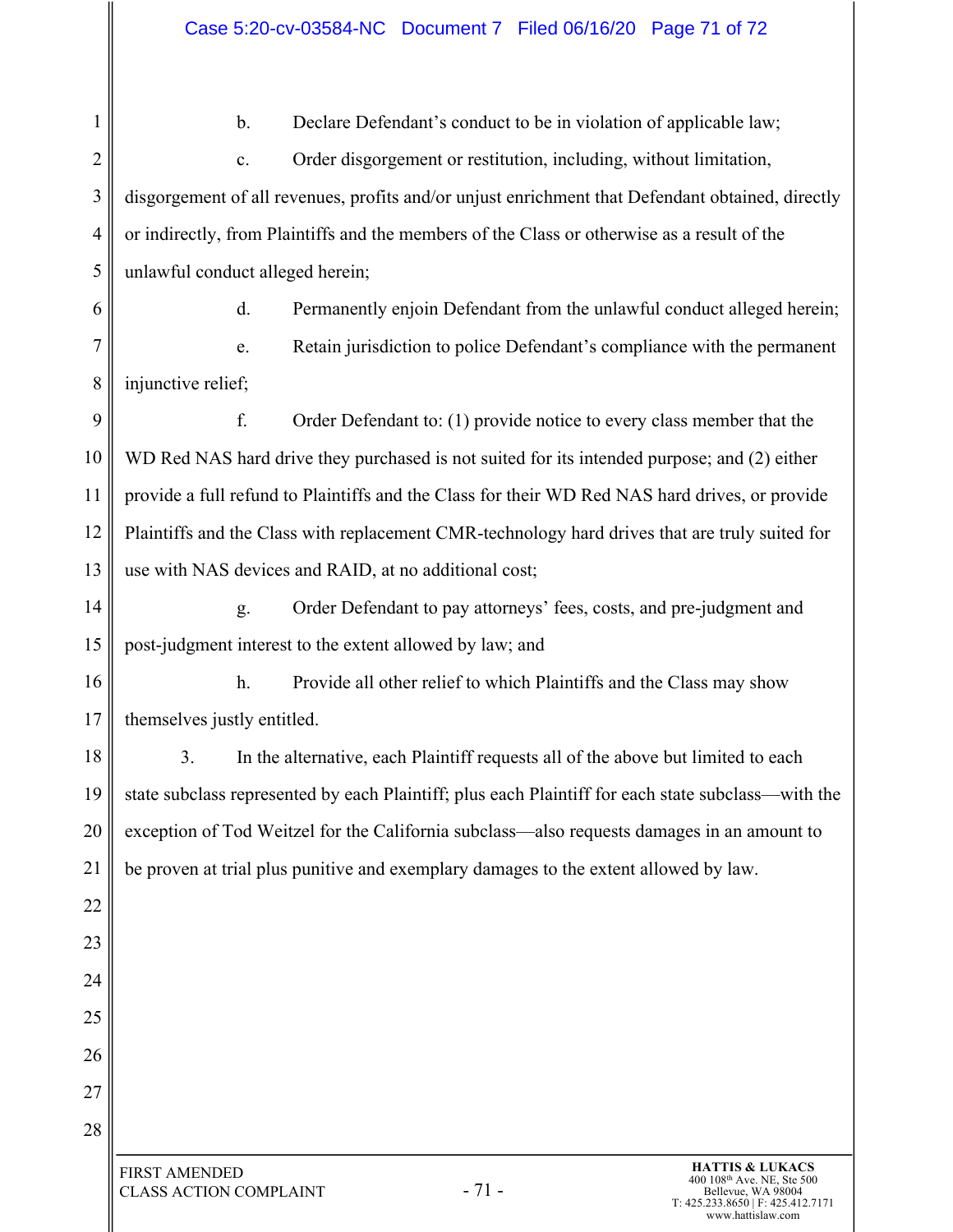#### Case 5:20-cv-03584-NC Document 7 Filed 06/16/20 Page 71 of 72

1 2 3 4 5 6 7 8 9 10 11 12 13 14 15 16 17 18 19 20 21 22 23 24 25 26 27 28 - 71 - FIRST AMENDED CLASS ACTION COMPLAINT **HATTIS & LUKACS** 400 108th Ave. NE, Ste 500 b. Declare Defendant's conduct to be in violation of applicable law; c. Order disgorgement or restitution, including, without limitation, disgorgement of all revenues, profits and/or unjust enrichment that Defendant obtained, directly or indirectly, from Plaintiffs and the members of the Class or otherwise as a result of the unlawful conduct alleged herein; d. Permanently enjoin Defendant from the unlawful conduct alleged herein; e. Retain jurisdiction to police Defendant's compliance with the permanent injunctive relief; f. Order Defendant to: (1) provide notice to every class member that the WD Red NAS hard drive they purchased is not suited for its intended purpose; and (2) either provide a full refund to Plaintiffs and the Class for their WD Red NAS hard drives, or provide Plaintiffs and the Class with replacement CMR-technology hard drives that are truly suited for use with NAS devices and RAID, at no additional cost; g. Order Defendant to pay attorneys' fees, costs, and pre-judgment and post-judgment interest to the extent allowed by law; and h. Provide all other relief to which Plaintiffs and the Class may show themselves justly entitled. 3. In the alternative, each Plaintiff requests all of the above but limited to each state subclass represented by each Plaintiff; plus each Plaintiff for each state subclass—with the exception of Tod Weitzel for the California subclass—also requests damages in an amount to be proven at trial plus punitive and exemplary damages to the extent allowed by law.